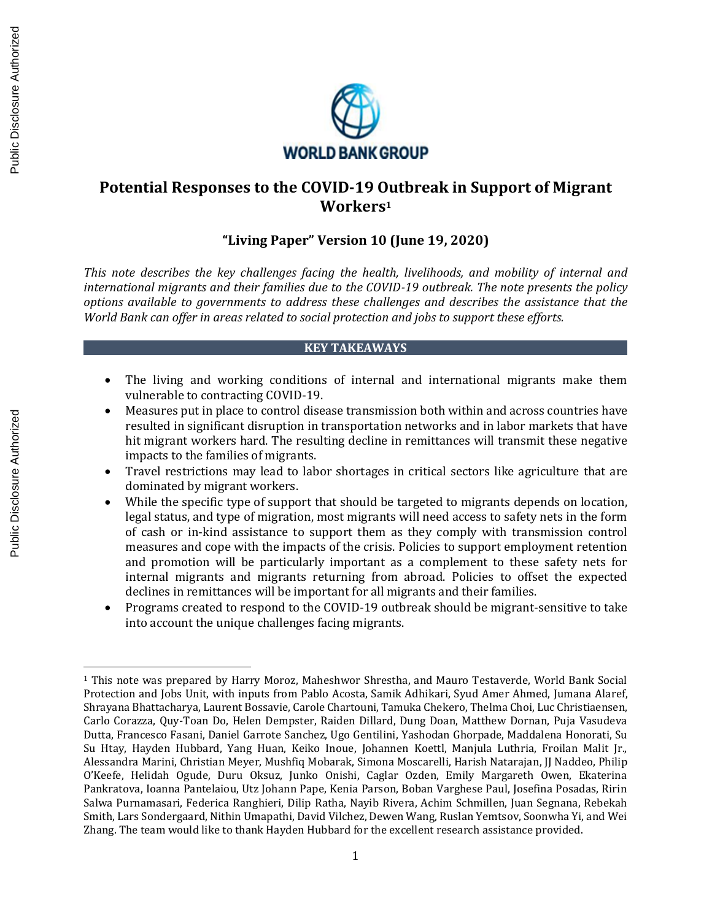

# **Potential Responses to the COVID-19 Outbreak in Support of Migrant Workers<sup>1</sup>**

# **"Living Paper" Version 10 (June 19, 2020)**

*This note describes the key challenges facing the health, livelihoods, and mobility of internal and international migrants and their families due to the COVID-19 outbreak. The note presents the policy options available to governments to address these challenges and describes the assistance that the World Bank can offer in areas related to social protection and jobs to support these efforts.*

## **KEY TAKEAWAYS**

- The living and working conditions of internal and international migrants make them vulnerable to contracting COVID-19.
- Measures put in place to control disease transmission both within and across countries have resulted in significant disruption in transportation networks and in labor markets that have hit migrant workers hard. The resulting decline in remittances will transmit these negative impacts to the families of migrants.
- Travel restrictions may lead to labor shortages in critical sectors like agriculture that are dominated by migrant workers.
- While the specific type of support that should be targeted to migrants depends on location, legal status, and type of migration, most migrants will need access to safety nets in the form of cash or in-kind assistance to support them as they comply with transmission control measures and cope with the impacts of the crisis. Policies to support employment retention and promotion will be particularly important as a complement to these safety nets for internal migrants and migrants returning from abroad. Policies to offset the expected declines in remittances will be important for all migrants and their families.
- Programs created to respond to the COVID-19 outbreak should be migrant-sensitive to take into account the unique challenges facing migrants.

<sup>1</sup> This note was prepared by Harry Moroz, Maheshwor Shrestha, and Mauro Testaverde, World Bank Social Protection and Jobs Unit, with inputs from Pablo Acosta, Samik Adhikari, Syud Amer Ahmed, Jumana Alaref, Shrayana Bhattacharya, Laurent Bossavie, Carole Chartouni, Tamuka Chekero, Thelma Choi, Luc Christiaensen, Carlo Corazza, Quy-Toan Do, Helen Dempster, Raiden Dillard, Dung Doan, Matthew Dornan, Puja Vasudeva Dutta, Francesco Fasani, Daniel Garrote Sanchez, Ugo Gentilini, Yashodan Ghorpade, Maddalena Honorati, Su Su Htay, Hayden Hubbard, Yang Huan, Keiko Inoue, Johannen Koettl, Manjula Luthria, Froilan Malit Jr., Alessandra Marini, Christian Meyer, Mushfiq Mobarak, Simona Moscarelli, Harish Natarajan, JJ Naddeo, Philip O'Keefe, Helidah Ogude, Duru Oksuz, Junko Onishi, Caglar Ozden, Emily Margareth Owen, Ekaterina Pankratova, Ioanna Pantelaiou, Utz Johann Pape, Kenia Parson, Boban Varghese Paul, Josefina Posadas, Ririn Salwa Purnamasari, Federica Ranghieri, Dilip Ratha, Nayib Rivera, Achim Schmillen, Juan Segnana, Rebekah Smith, Lars Sondergaard, Nithin Umapathi, David Vilchez, Dewen Wang, Ruslan Yemtsov, Soonwha Yi, and Wei **Excellent research assume the team would like to the excellent research assume the excellent results of the excellent results of the excellent results of the excellent research assistance provided as the excellent result**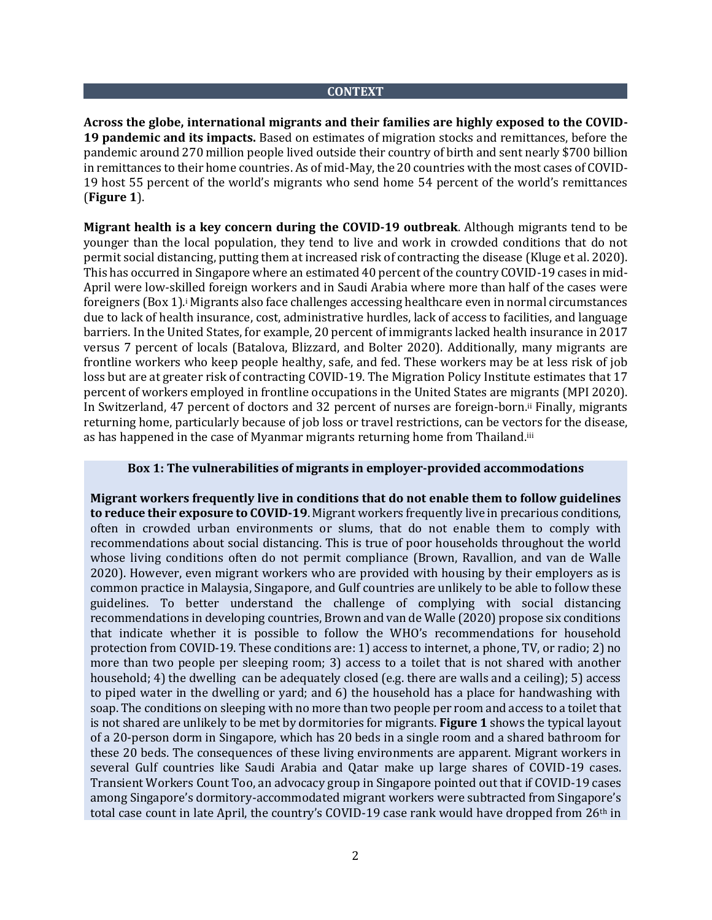### **CONTEXT**

**Across the globe, international migrants and their families are highly exposed to the COVID-19 pandemic and its impacts.** Based on estimates of migration stocks and remittances, before the pandemic around 270 million people lived outside their country of birth and sent nearly \$700 billion in remittances to their home countries. As of mid-May, the 20 countries with the most cases of COVID-19 host 55 percent of the world's migrants who send home 54 percent of the world's remittances (**Figure 1**).

**Migrant health is a key concern during the COVID-19 outbreak**. Although migrants tend to be younger than the local population, they tend to live and work in crowded conditions that do not permit social distancing, putting them at increased risk of contracting the disease (Kluge et al. 2020). This has occurred in Singapore where an estimated 40 percent of the country COVID-19 cases in mid-April were low-skilled foreign workers and in Saudi Arabia where more than half of the cases were foreigners (Box 1).<sup>†</sup> Migrants also face challenges accessing healthcare even in normal circumstances due to lack of health insurance, cost, administrative hurdles, lack of access to facilities, and language barriers. In the United States, for example, 20 percent of immigrants lacked health insurance in 2017 versus 7 percent of locals (Batalova, Blizzard, and Bolter 2020). Additionally, many migrants are frontline workers who keep people healthy, safe, and fed. These workers may be at less risk of job loss but are at greater risk of contracting COVID-19. The Migration Policy Institute estimates that 17 percent of workers employed in frontline occupations in the United States are migrants (MPI 2020). In Switzerland, 47 percent of doctors and 32 percent of nurses are foreign-born.ii Finally, migrants returning home, particularly because of job loss or travel restrictions, can be vectors for the disease, as has happened in the case of Myanmar migrants returning home from Thailand.<sup>iii</sup>

### **Box 1: The vulnerabilities of migrants in employer-provided accommodations**

**Migrant workers frequently live in conditions that do not enable them to follow guidelines to reduce their exposure to COVID-19**. Migrant workers frequently live in precarious conditions, often in crowded urban environments or slums, that do not enable them to comply with recommendations about social distancing. This is true of poor households throughout the world whose living conditions often do not permit compliance (Brown, Ravallion, and van de Walle 2020). However, even migrant workers who are provided with housing by their employers as is common practice in Malaysia, Singapore, and Gulf countries are unlikely to be able to follow these guidelines. To better understand the challenge of complying with social distancing recommendations in developing countries, Brown and van de Walle (2020) propose six conditions that indicate whether it is possible to follow the WHO's recommendations for household protection from COVID-19. These conditions are: 1) access to internet, a phone, TV, or radio; 2) no more than two people per sleeping room; 3) access to a toilet that is not shared with another household; 4) the dwelling can be adequately closed (e.g. there are walls and a ceiling); 5) access to piped water in the dwelling or yard; and 6) the household has a place for handwashing with soap. The conditions on sleeping with no more than two people per room and access to a toilet that is not shared are unlikely to be met by dormitories for migrants. **Figure 1** shows the typical layout of a 20-person dorm in Singapore, which has 20 beds in a single room and a shared bathroom for these 20 beds. The consequences of these living environments are apparent. Migrant workers in several Gulf countries like Saudi Arabia and Qatar make up large shares of COVID-19 cases. Transient Workers Count Too, an advocacy group in Singapore pointed out that if COVID-19 cases among Singapore's dormitory-accommodated migrant workers were subtracted from Singapore's total case count in late April, the country's COVID-19 case rank would have dropped from  $26<sup>th</sup>$  in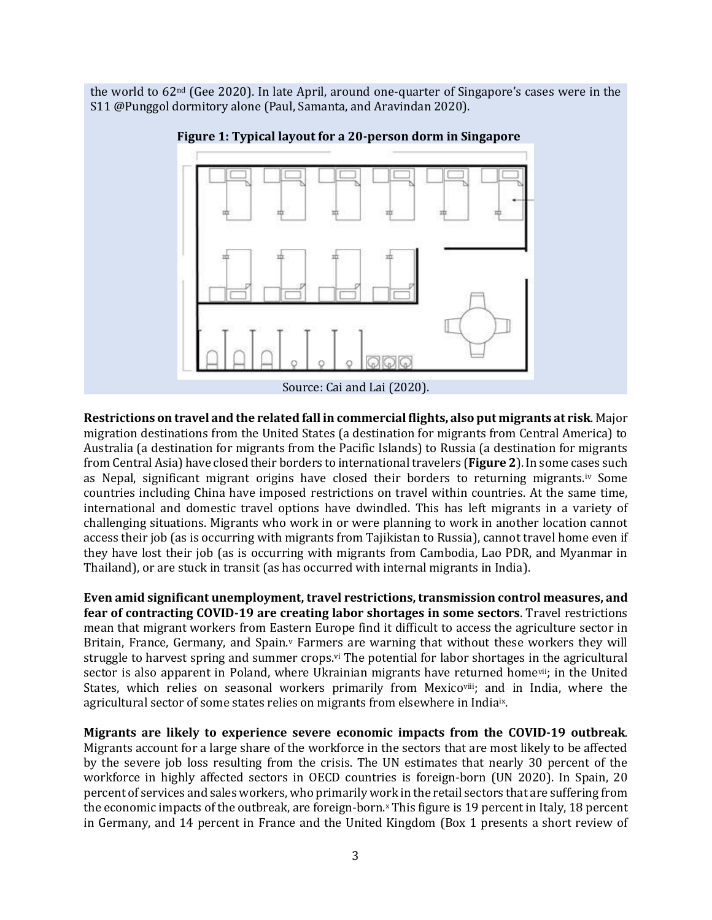the world to 62nd (Gee 2020). In late April, around one-quarter of Singapore's cases were in the S11 @Punggol dormitory alone (Paul, Samanta, and Aravindan 2020).



**Figure 1: Typical layout for a 20-person dorm in Singapore**

**Restrictions on travel and the related fall in commercial flights, also put migrants at risk**. Major migration destinations from the United States (a destination for migrants from Central America) to Australia (a destination for migrants from the Pacific Islands) to Russia (a destination for migrants from Central Asia) have closed their borders to international travelers (**Figure 2**). In some cases such as Nepal, significant migrant origins have closed their borders to returning migrants.iv Some countries including China have imposed restrictions on travel within countries. At the same time, international and domestic travel options have dwindled. This has left migrants in a variety of challenging situations. Migrants who work in or were planning to work in another location cannot access their job (as is occurring with migrants from Tajikistan to Russia), cannot travel home even if they have lost their job (as is occurring with migrants from Cambodia, Lao PDR, and Myanmar in Thailand), or are stuck in transit (as has occurred with internal migrants in India).

**Even amid significant unemployment, travel restrictions, transmission control measures, and fear of contracting COVID-19 are creating labor shortages in some sectors**. Travel restrictions mean that migrant workers from Eastern Europe find it difficult to access the agriculture sector in Britain, France, Germany, and Spain.<sup>v</sup> Farmers are warning that without these workers they will struggle to harvest spring and summer crops.<sup>vi</sup> The potential for labor shortages in the agricultural sector is also apparent in Poland, where Ukrainian migrants have returned home<sup>vii</sup>; in the United States, which relies on seasonal workers primarily from Mexicoviii; and in India, where the agricultural sector of some states relies on migrants from elsewhere in Indiaix.

**Migrants are likely to experience severe economic impacts from the COVID-19 outbreak**. Migrants account for a large share of the workforce in the sectors that are most likely to be affected by the severe job loss resulting from the crisis. The UN estimates that nearly 30 percent of the workforce in highly affected sectors in OECD countries is foreign-born (UN 2020). In Spain, 20 percent of services and sales workers, who primarily work in the retail sectors that are suffering from the economic impacts of the outbreak, are foreign-born. <sup>x</sup> This figure is 19 percent in Italy, 18 percent in Germany, and 14 percent in France and the United Kingdom (Box 1 presents a short review of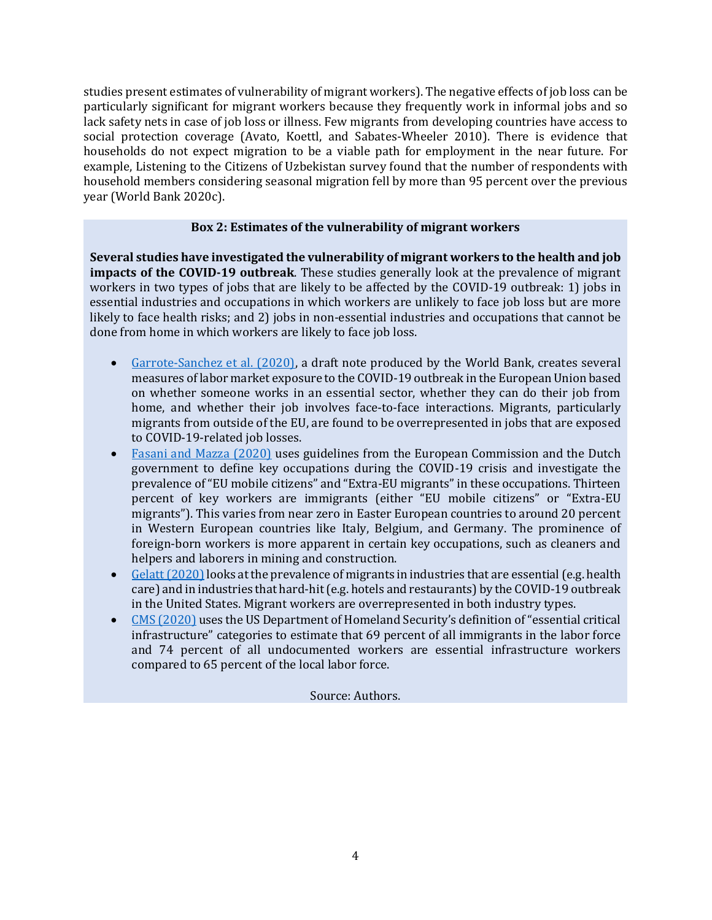studies present estimates of vulnerability of migrant workers). The negative effects of job loss can be particularly significant for migrant workers because they frequently work in informal jobs and so lack safety nets in case of job loss or illness. Few migrants from developing countries have access to social protection coverage (Avato, Koettl, and Sabates-Wheeler 2010). There is evidence that households do not expect migration to be a viable path for employment in the near future. For example, Listening to the Citizens of Uzbekistan survey found that the number of respondents with household members considering seasonal migration fell by more than 95 percent over the previous year (World Bank 2020c).

## **Box 2: Estimates of the vulnerability of migrant workers**

**Several studies have investigated the vulnerability of migrant workers to the health and job impacts of the COVID-19 outbreak**. These studies generally look at the prevalence of migrant workers in two types of jobs that are likely to be affected by the COVID-19 outbreak: 1) jobs in essential industries and occupations in which workers are unlikely to face job loss but are more likely to face health risks; and 2) jobs in non-essential industries and occupations that cannot be done from home in which workers are likely to face job loss.

- [Garrote-Sanchez et al. \(2020\),](http://documents.worldbank.org/curated/en/820351589209840894/pdf/Which-Jobs-Are-Most-Vulnerable-to-COVID-19-What-an-Analysis-of-the-European-Union-Reveals.pdf) a draft note produced by the World Bank, creates several measures of labor market exposure to the COVID-19 outbreak in the European Union based on whether someone works in an essential sector, whether they can do their job from home, and whether their job involves face-to-face interactions. Migrants, particularly migrants from outside of the EU, are found to be overrepresented in jobs that are exposed to COVID-19-related job losses.
- [Fasani and Mazza \(2020\)](http://ftp.iza.org/pp155.pdf) uses guidelines from the European Commission and the Dutch government to define key occupations during the COVID-19 crisis and investigate the prevalence of "EU mobile citizens" and "Extra-EU migrants" in these occupations. Thirteen percent of key workers are immigrants (either "EU mobile citizens" or "Extra-EU migrants"). This varies from near zero in Easter European countries to around 20 percent in Western European countries like Italy, Belgium, and Germany. The prominence of foreign-born workers is more apparent in certain key occupations, such as cleaners and helpers and laborers in mining and construction.
- Gelatt (2020) looks at the prevalence of migrants in industries that are essential (e.g. health care) and in industries that hard-hit (e.g. hotels and restaurants) by the COVID-19 outbreak in the United States. Migrant workers are overrepresented in both industry types.
- [CMS \(2020\)](https://cmsny.org/publications/us-essential-workers/) uses the US Department of Homeland Security's definition of "essential critical infrastructure" categories to estimate that 69 percent of all immigrants in the labor force and 74 percent of all undocumented workers are essential infrastructure workers compared to 65 percent of the local labor force.

### Source: Authors.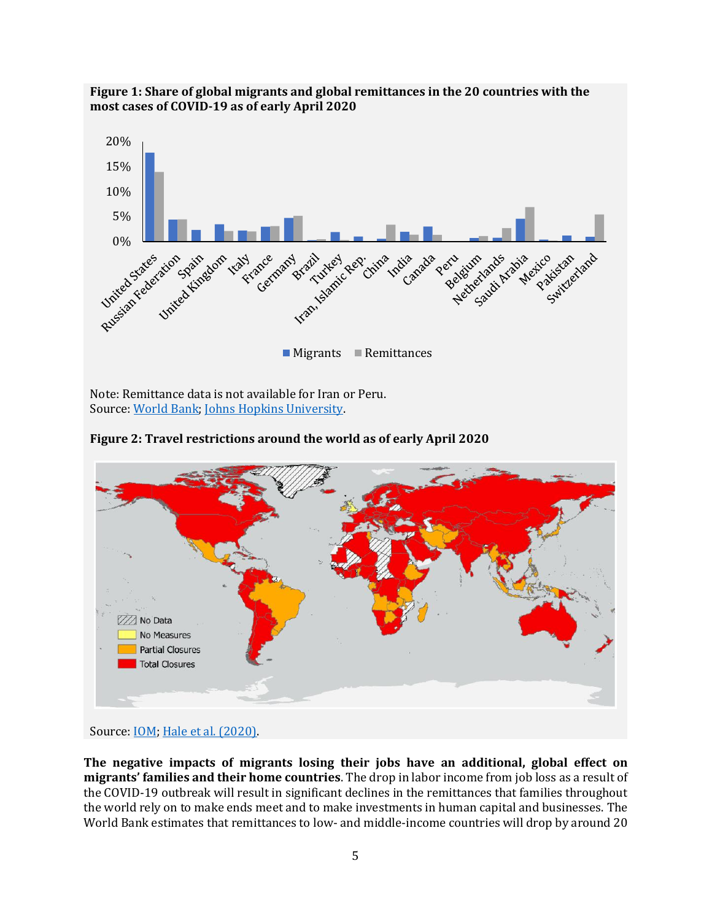

**Figure 1: Share of global migrants and global remittances in the 20 countries with the most cases of COVID-19 as of early April 2020**

Note: Remittance data is not available for Iran or Peru. Source: [World Bank;](https://www.knomad.org/) [Johns Hopkins University.](https://coronavirus.jhu.edu/)





Source: **IOM**; [Hale et al. \(2020\).](https://www.bsg.ox.ac.uk/research/publications/variation-government-responses-covid-19)

**The negative impacts of migrants losing their jobs have an additional, global effect on migrants' families and their home countries**. The drop in labor income from job loss as a result of the COVID-19 outbreak will result in significant declines in the remittances that families throughout the world rely on to make ends meet and to make investments in human capital and businesses. The World Bank estimates that remittances to low- and middle-income countries will drop by around 20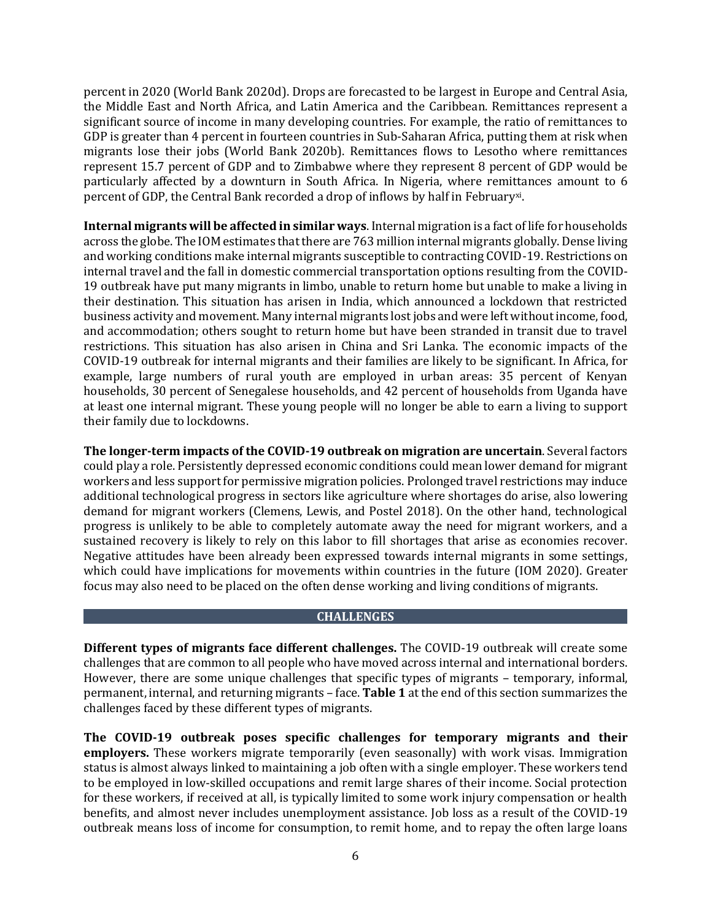percent in 2020 (World Bank 2020d). Drops are forecasted to be largest in Europe and Central Asia, the Middle East and North Africa, and Latin America and the Caribbean. Remittances represent a significant source of income in many developing countries. For example, the ratio of remittances to GDP is greater than 4 percent in fourteen countries in Sub-Saharan Africa, putting them at risk when migrants lose their jobs (World Bank 2020b). Remittances flows to Lesotho where remittances represent 15.7 percent of GDP and to Zimbabwe where they represent 8 percent of GDP would be particularly affected by a downturn in South Africa. In Nigeria, where remittances amount to 6 percent of GDP, the Central Bank recorded a drop of inflows by half in February<sup>xi</sup>.

**Internal migrants will be affected in similar ways**. Internal migration is a fact of life for households across the globe. The IOM estimates that there are 763 million internal migrants globally. Dense living and working conditions make internal migrants susceptible to contracting COVID-19. Restrictions on internal travel and the fall in domestic commercial transportation options resulting from the COVID-19 outbreak have put many migrants in limbo, unable to return home but unable to make a living in their destination. This situation has arisen in India, which announced a lockdown that restricted business activity and movement. Many internal migrants lost jobs and were left without income, food, and accommodation; others sought to return home but have been stranded in transit due to travel restrictions. This situation has also arisen in China and Sri Lanka. The economic impacts of the COVID-19 outbreak for internal migrants and their families are likely to be significant. In Africa, for example, large numbers of rural youth are employed in urban areas: 35 percent of Kenyan households, 30 percent of Senegalese households, and 42 percent of households from Uganda have at least one internal migrant. These young people will no longer be able to earn a living to support their family due to lockdowns.

**The longer-term impacts of the COVID-19 outbreak on migration are uncertain**. Several factors could play a role. Persistently depressed economic conditions could mean lower demand for migrant workers and less support for permissive migration policies. Prolonged travel restrictions may induce additional technological progress in sectors like agriculture where shortages do arise, also lowering demand for migrant workers (Clemens, Lewis, and Postel 2018). On the other hand, technological progress is unlikely to be able to completely automate away the need for migrant workers, and a sustained recovery is likely to rely on this labor to fill shortages that arise as economies recover. Negative attitudes have been already been expressed towards internal migrants in some settings, which could have implications for movements within countries in the future (IOM 2020). Greater focus may also need to be placed on the often dense working and living conditions of migrants.

### **CHALLENGES**

**Different types of migrants face different challenges.** The COVID-19 outbreak will create some challenges that are common to all people who have moved across internal and international borders. However, there are some unique challenges that specific types of migrants – temporary, informal, permanent, internal, and returning migrants – face. **Table 1** at the end of this section summarizes the challenges faced by these different types of migrants.

**The COVID-19 outbreak poses specific challenges for temporary migrants and their employers.** These workers migrate temporarily (even seasonally) with work visas. Immigration status is almost always linked to maintaining a job often with a single employer. These workers tend to be employed in low-skilled occupations and remit large shares of their income. Social protection for these workers, if received at all, is typically limited to some work injury compensation or health benefits, and almost never includes unemployment assistance. Job loss as a result of the COVID-19 outbreak means loss of income for consumption, to remit home, and to repay the often large loans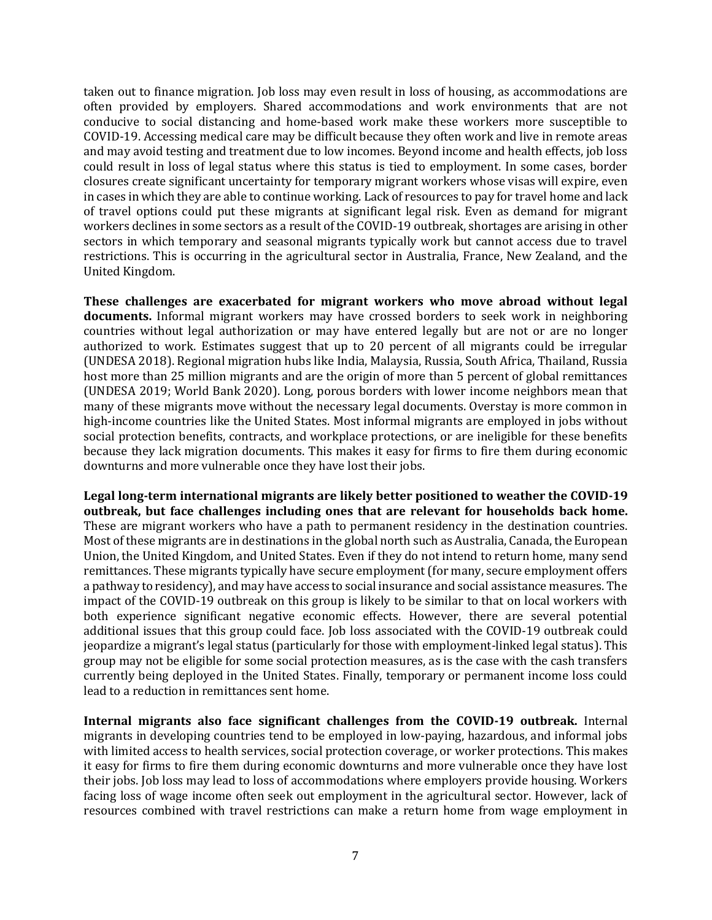taken out to finance migration. Job loss may even result in loss of housing, as accommodations are often provided by employers. Shared accommodations and work environments that are not conducive to social distancing and home-based work make these workers more susceptible to COVID-19. Accessing medical care may be difficult because they often work and live in remote areas and may avoid testing and treatment due to low incomes. Beyond income and health effects, job loss could result in loss of legal status where this status is tied to employment. In some cases, border closures create significant uncertainty for temporary migrant workers whose visas will expire, even in cases in which they are able to continue working. Lack of resources to pay for travel home and lack of travel options could put these migrants at significant legal risk. Even as demand for migrant workers declines in some sectors as a result of the COVID-19 outbreak, shortages are arising in other sectors in which temporary and seasonal migrants typically work but cannot access due to travel restrictions. This is occurring in the agricultural sector in Australia, France, New Zealand, and the United Kingdom.

**These challenges are exacerbated for migrant workers who move abroad without legal documents.** Informal migrant workers may have crossed borders to seek work in neighboring countries without legal authorization or may have entered legally but are not or are no longer authorized to work. Estimates suggest that up to 20 percent of all migrants could be irregular (UNDESA 2018). Regional migration hubs like India, Malaysia, Russia, South Africa, Thailand, Russia host more than 25 million migrants and are the origin of more than 5 percent of global remittances (UNDESA 2019; World Bank 2020). Long, porous borders with lower income neighbors mean that many of these migrants move without the necessary legal documents. Overstay is more common in high-income countries like the United States. Most informal migrants are employed in jobs without social protection benefits, contracts, and workplace protections, or are ineligible for these benefits because they lack migration documents. This makes it easy for firms to fire them during economic downturns and more vulnerable once they have lost their jobs.

**Legal long-term international migrants are likely better positioned to weather the COVID-19 outbreak, but face challenges including ones that are relevant for households back home.**  These are migrant workers who have a path to permanent residency in the destination countries. Most of these migrants are in destinations in the global north such as Australia, Canada, the European Union, the United Kingdom, and United States. Even if they do not intend to return home, many send remittances. These migrants typically have secure employment (for many, secure employment offers a pathway to residency), and may have access to social insurance and social assistance measures. The impact of the COVID-19 outbreak on this group is likely to be similar to that on local workers with both experience significant negative economic effects. However, there are several potential additional issues that this group could face. Job loss associated with the COVID-19 outbreak could jeopardize a migrant's legal status (particularly for those with employment-linked legal status). This group may not be eligible for some social protection measures, as is the case with the cash transfers currently being deployed in the United States. Finally, temporary or permanent income loss could lead to a reduction in remittances sent home.

**Internal migrants also face significant challenges from the COVID-19 outbreak.** Internal migrants in developing countries tend to be employed in low-paying, hazardous, and informal jobs with limited access to health services, social protection coverage, or worker protections. This makes it easy for firms to fire them during economic downturns and more vulnerable once they have lost their jobs. Job loss may lead to loss of accommodations where employers provide housing. Workers facing loss of wage income often seek out employment in the agricultural sector. However, lack of resources combined with travel restrictions can make a return home from wage employment in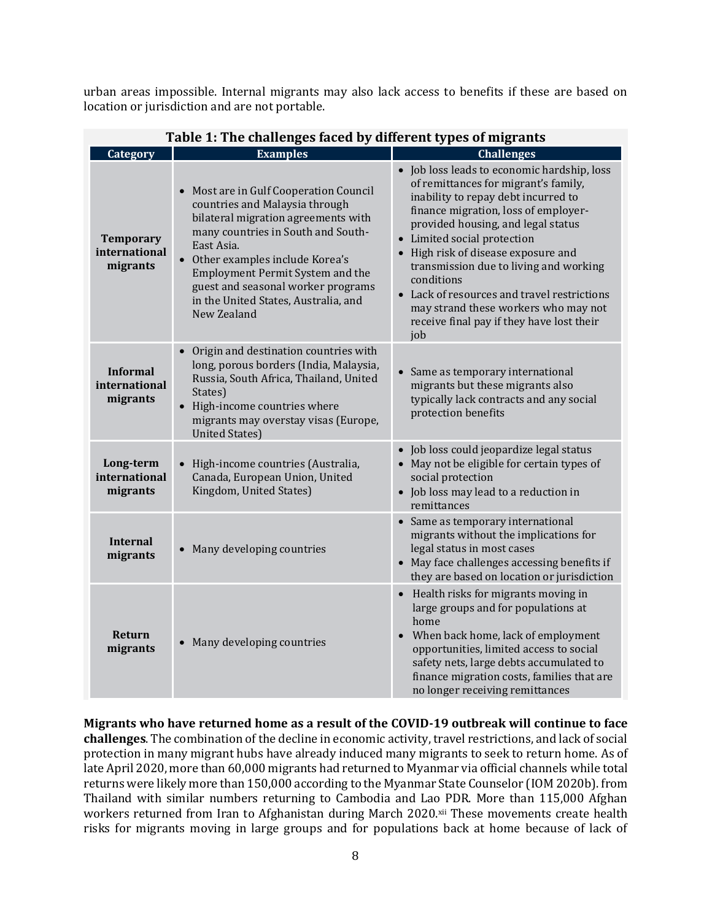urban areas impossible. Internal migrants may also lack access to benefits if these are based on location or jurisdiction and are not portable.

|                                               | Table 1: The challenges faced by different types of migrants                                                                                                                                                                                                                                                                             |                                                                                                                                                                                                                                                                                                                                                                                                                                                                               |
|-----------------------------------------------|------------------------------------------------------------------------------------------------------------------------------------------------------------------------------------------------------------------------------------------------------------------------------------------------------------------------------------------|-------------------------------------------------------------------------------------------------------------------------------------------------------------------------------------------------------------------------------------------------------------------------------------------------------------------------------------------------------------------------------------------------------------------------------------------------------------------------------|
| Category                                      | <b>Examples</b>                                                                                                                                                                                                                                                                                                                          | <b>Challenges</b>                                                                                                                                                                                                                                                                                                                                                                                                                                                             |
| <b>Temporary</b><br>international<br>migrants | • Most are in Gulf Cooperation Council<br>countries and Malaysia through<br>bilateral migration agreements with<br>many countries in South and South-<br>East Asia.<br>• Other examples include Korea's<br>Employment Permit System and the<br>guest and seasonal worker programs<br>in the United States, Australia, and<br>New Zealand | Job loss leads to economic hardship, loss<br>of remittances for migrant's family,<br>inability to repay debt incurred to<br>finance migration, loss of employer-<br>provided housing, and legal status<br>• Limited social protection<br>High risk of disease exposure and<br>transmission due to living and working<br>conditions<br>• Lack of resources and travel restrictions<br>may strand these workers who may not<br>receive final pay if they have lost their<br>job |
| <b>Informal</b><br>international<br>migrants  | Origin and destination countries with<br>long, porous borders (India, Malaysia,<br>Russia, South Africa, Thailand, United<br>States)<br>• High-income countries where<br>migrants may overstay visas (Europe,<br><b>United States)</b>                                                                                                   | Same as temporary international<br>migrants but these migrants also<br>typically lack contracts and any social<br>protection benefits                                                                                                                                                                                                                                                                                                                                         |
| Long-term<br>international<br>migrants        | High-income countries (Australia,<br>Canada, European Union, United<br>Kingdom, United States)                                                                                                                                                                                                                                           | · Job loss could jeopardize legal status<br>May not be eligible for certain types of<br>social protection<br>• Job loss may lead to a reduction in<br>remittances                                                                                                                                                                                                                                                                                                             |
| <b>Internal</b><br>migrants                   | Many developing countries                                                                                                                                                                                                                                                                                                                | • Same as temporary international<br>migrants without the implications for<br>legal status in most cases<br>• May face challenges accessing benefits if<br>they are based on location or jurisdiction                                                                                                                                                                                                                                                                         |
| Return<br>migrants                            | Many developing countries                                                                                                                                                                                                                                                                                                                | Health risks for migrants moving in<br>large groups and for populations at<br>home<br>When back home, lack of employment<br>$\bullet$<br>opportunities, limited access to social<br>safety nets, large debts accumulated to<br>finance migration costs, families that are<br>no longer receiving remittances                                                                                                                                                                  |

**Migrants who have returned home as a result of the COVID-19 outbreak will continue to face challenges**. The combination of the decline in economic activity, travel restrictions, and lack of social protection in many migrant hubs have already induced many migrants to seek to return home. As of late April 2020, more than 60,000 migrants had returned to Myanmar via official channels while total returns were likely more than 150,000 according to the Myanmar State Counselor (IOM 2020b). from Thailand with similar numbers returning to Cambodia and Lao PDR. More than 115,000 Afghan workers returned from Iran to Afghanistan during March 2020.xii These movements create health risks for migrants moving in large groups and for populations back at home because of lack of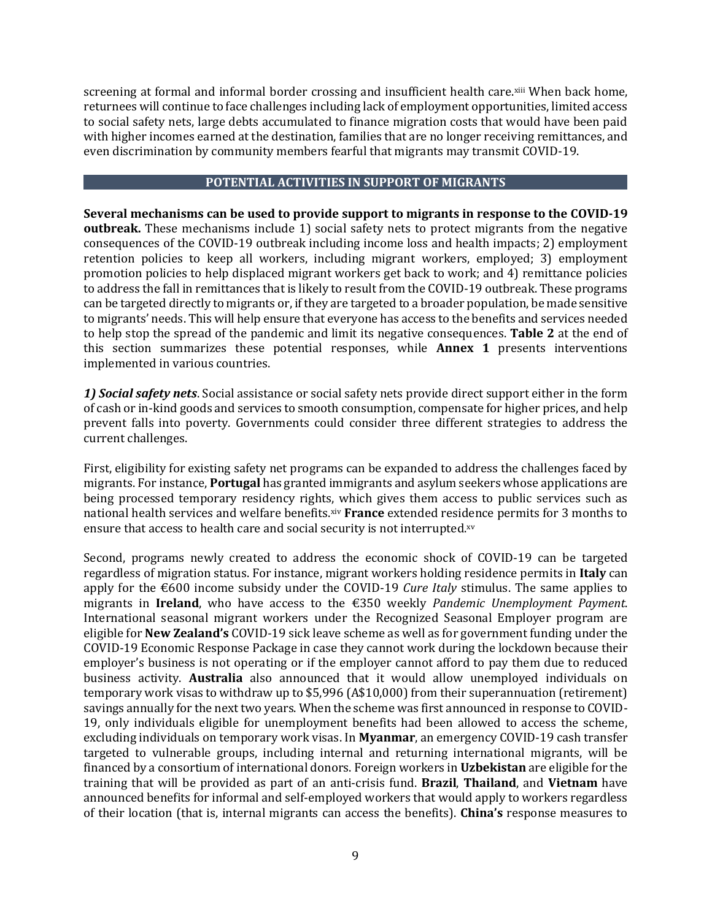screening at formal and informal border crossing and insufficient health care.xiii When back home, returnees will continue to face challenges including lack of employment opportunities, limited access to social safety nets, large debts accumulated to finance migration costs that would have been paid with higher incomes earned at the destination, families that are no longer receiving remittances, and even discrimination by community members fearful that migrants may transmit COVID-19.

### **POTENTIAL ACTIVITIES IN SUPPORT OF MIGRANTS**

**Several mechanisms can be used to provide support to migrants in response to the COVID-19 outbreak.** These mechanisms include 1) social safety nets to protect migrants from the negative consequences of the COVID-19 outbreak including income loss and health impacts; 2) employment retention policies to keep all workers, including migrant workers, employed; 3) employment promotion policies to help displaced migrant workers get back to work; and 4) remittance policies to address the fall in remittances that is likely to result from the COVID-19 outbreak. These programs can be targeted directly to migrants or, if they are targeted to a broader population, be made sensitive to migrants' needs. This will help ensure that everyone has access to the benefits and services needed to help stop the spread of the pandemic and limit its negative consequences. **Table 2** at the end of this section summarizes these potential responses, while **Annex 1** presents interventions implemented in various countries.

*1) Social safety nets*. Social assistance or social safety nets provide direct support either in the form of cash or in-kind goods and services to smooth consumption, compensate for higher prices, and help prevent falls into poverty. Governments could consider three different strategies to address the current challenges.

First, eligibility for existing safety net programs can be expanded to address the challenges faced by migrants. For instance, **Portugal** has granted immigrants and asylum seekers whose applications are being processed temporary residency rights, which gives them access to public services such as national health services and welfare benefits.xiv **France** extended residence permits for 3 months to ensure that access to health care and social security is not interrupted.xv

Second, programs newly created to address the economic shock of COVID-19 can be targeted regardless of migration status. For instance, migrant workers holding residence permits in **Italy** can apply for the €600 income subsidy under the COVID-19 *Cure Italy* stimulus. The same applies to migrants in **Ireland**, who have access to the €350 weekly *Pandemic Unemployment Payment*. International seasonal migrant workers under the Recognized Seasonal Employer program are eligible for **New Zealand's** COVID-19 sick leave scheme as well as for government funding under the COVID-19 Economic Response Package in case they cannot work during the lockdown because their employer's business is not operating or if the employer cannot afford to pay them due to reduced business activity. **Australia** also announced that it would allow unemployed individuals on temporary work visas to withdraw up to \$5,996 (A\$10,000) from their superannuation (retirement) savings annually for the next two years. When the scheme was first announced in response to COVID-19, only individuals eligible for unemployment benefits had been allowed to access the scheme, excluding individuals on temporary work visas. In **Myanmar**, an emergency COVID-19 cash transfer targeted to vulnerable groups, including internal and returning international migrants, will be financed by a consortium of international donors. Foreign workers in **Uzbekistan** are eligible for the training that will be provided as part of an anti-crisis fund. **Brazil**, **Thailand**, and **Vietnam** have announced benefits for informal and self-employed workers that would apply to workers regardless of their location (that is, internal migrants can access the benefits). **China's** response measures to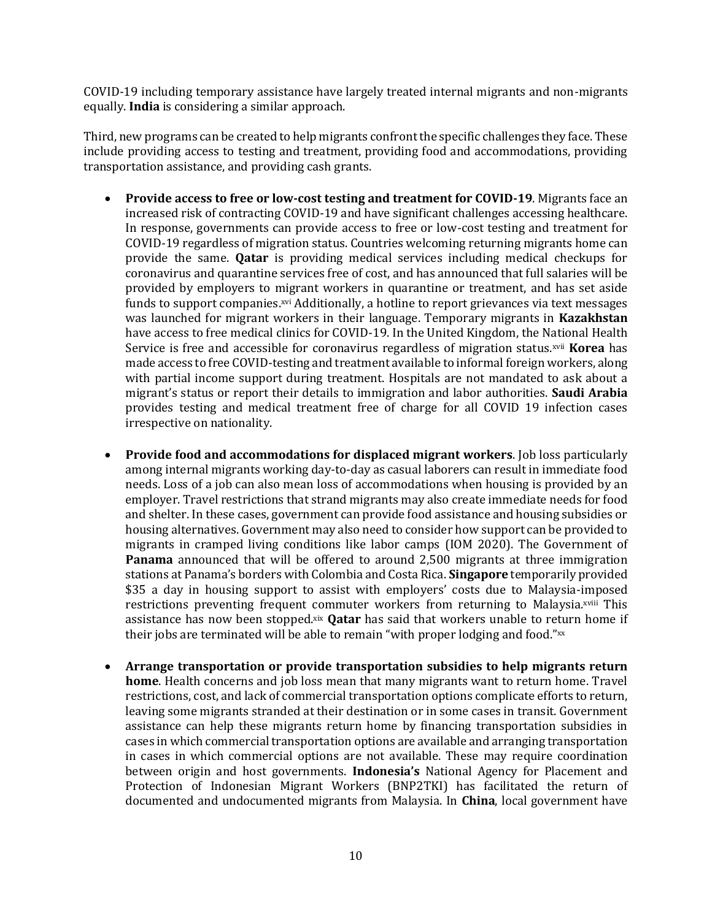COVID-19 including temporary assistance have largely treated internal migrants and non-migrants equally. **India** is considering a similar approach.

Third, new programs can be created to help migrants confront the specific challenges they face. These include providing access to testing and treatment, providing food and accommodations, providing transportation assistance, and providing cash grants.

- **Provide access to free or low-cost testing and treatment for COVID-19**. Migrants face an increased risk of contracting COVID-19 and have significant challenges accessing healthcare. In response, governments can provide access to free or low-cost testing and treatment for COVID-19 regardless of migration status. Countries welcoming returning migrants home can provide the same. **Qatar** is providing medical services including medical checkups for coronavirus and quarantine services free of cost, and has announced that full salaries will be provided by employers to migrant workers in quarantine or treatment, and has set aside funds to support companies.<sup>xvi</sup> Additionally, a hotline to report grievances via text messages was launched for migrant workers in their language. Temporary migrants in **Kazakhstan** have access to free medical clinics for COVID-19. In the United Kingdom, the National Health Service is free and accessible for coronavirus regardless of migration status.xvii **Korea** has made access to free COVID-testing and treatment available to informal foreign workers, along with partial income support during treatment. Hospitals are not mandated to ask about a migrant's status or report their details to immigration and labor authorities. **Saudi Arabia** provides testing and medical treatment free of charge for all COVID 19 infection cases irrespective on nationality.
- **Provide food and accommodations for displaced migrant workers**. Job loss particularly among internal migrants working day-to-day as casual laborers can result in immediate food needs. Loss of a job can also mean loss of accommodations when housing is provided by an employer. Travel restrictions that strand migrants may also create immediate needs for food and shelter. In these cases, government can provide food assistance and housing subsidies or housing alternatives. Government may also need to consider how support can be provided to migrants in cramped living conditions like labor camps (IOM 2020). The Government of **Panama** announced that will be offered to around 2,500 migrants at three immigration stations at Panama's borders with Colombia and Costa Rica. **Singapore** temporarily provided \$35 a day in housing support to assist with employers' costs due to Malaysia-imposed restrictions preventing frequent commuter workers from returning to Malaysia.xviii This assistance has now been stopped.xix **Qatar** has said that workers unable to return home if their jobs are terminated will be able to remain "with proper lodging and food." xx
- **Arrange transportation or provide transportation subsidies to help migrants return home**. Health concerns and job loss mean that many migrants want to return home. Travel restrictions, cost, and lack of commercial transportation options complicate efforts to return, leaving some migrants stranded at their destination or in some cases in transit. Government assistance can help these migrants return home by financing transportation subsidies in cases in which commercial transportation options are available and arranging transportation in cases in which commercial options are not available. These may require coordination between origin and host governments. **Indonesia's** National Agency for Placement and Protection of Indonesian Migrant Workers (BNP2TKI) has facilitated the return of documented and undocumented migrants from Malaysia. In **China**, local government have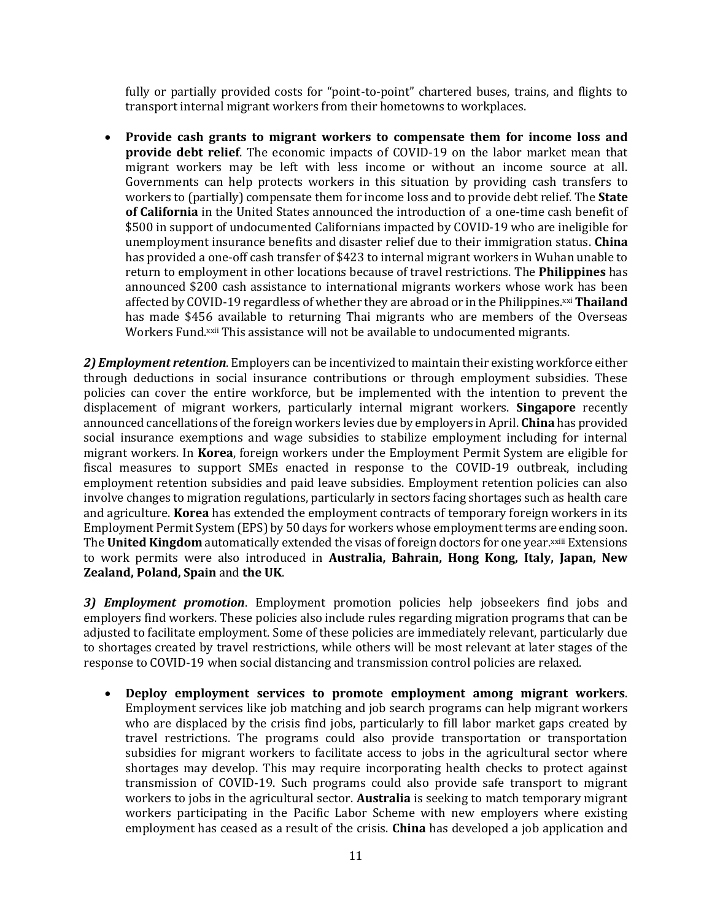fully or partially provided costs for "point-to-point" chartered buses, trains, and flights to transport internal migrant workers from their hometowns to workplaces.

• **Provide cash grants to migrant workers to compensate them for income loss and provide debt relief**. The economic impacts of COVID-19 on the labor market mean that migrant workers may be left with less income or without an income source at all. Governments can help protects workers in this situation by providing cash transfers to workers to (partially) compensate them for income loss and to provide debt relief. The **State of California** in the United States announced the introduction of a one-time cash benefit of \$500 in support of undocumented Californians impacted by COVID-19 who are ineligible for unemployment insurance benefits and disaster relief due to their immigration status. **China** has provided a one-off cash transfer of \$423 to internal migrant workers in Wuhan unable to return to employment in other locations because of travel restrictions. The **Philippines** has announced \$200 cash assistance to international migrants workers whose work has been affected by COVID-19 regardless of whether they are abroad or in the Philippines.xxi **Thailand** has made \$456 available to returning Thai migrants who are members of the Overseas Workers Fund.<sup>xxii</sup> This assistance will not be available to undocumented migrants.

*2) Employment retention*. Employers can be incentivized to maintain their existing workforce either through deductions in social insurance contributions or through employment subsidies. These policies can cover the entire workforce, but be implemented with the intention to prevent the displacement of migrant workers, particularly internal migrant workers. **Singapore** recently announced cancellations of the foreign workers levies due by employers in April. **China** has provided social insurance exemptions and wage subsidies to stabilize employment including for internal migrant workers. In **Korea**, foreign workers under the Employment Permit System are eligible for fiscal measures to support SMEs enacted in response to the COVID-19 outbreak, including employment retention subsidies and paid leave subsidies. Employment retention policies can also involve changes to migration regulations, particularly in sectors facing shortages such as health care and agriculture. **Korea** has extended the employment contracts of temporary foreign workers in its Employment Permit System (EPS) by 50 days for workers whose employment terms are ending soon. The **United Kingdom** automatically extended the visas of foreign doctors for one year.xxiii Extensions to work permits were also introduced in **Australia, Bahrain, Hong Kong, Italy, Japan, New Zealand, Poland, Spain** and **the UK**.

*3) Employment promotion*. Employment promotion policies help jobseekers find jobs and employers find workers. These policies also include rules regarding migration programs that can be adjusted to facilitate employment. Some of these policies are immediately relevant, particularly due to shortages created by travel restrictions, while others will be most relevant at later stages of the response to COVID-19 when social distancing and transmission control policies are relaxed.

• **Deploy employment services to promote employment among migrant workers**. Employment services like job matching and job search programs can help migrant workers who are displaced by the crisis find jobs, particularly to fill labor market gaps created by travel restrictions. The programs could also provide transportation or transportation subsidies for migrant workers to facilitate access to jobs in the agricultural sector where shortages may develop. This may require incorporating health checks to protect against transmission of COVID-19. Such programs could also provide safe transport to migrant workers to jobs in the agricultural sector. **Australia** is seeking to match temporary migrant workers participating in the Pacific Labor Scheme with new employers where existing employment has ceased as a result of the crisis. **China** has developed a job application and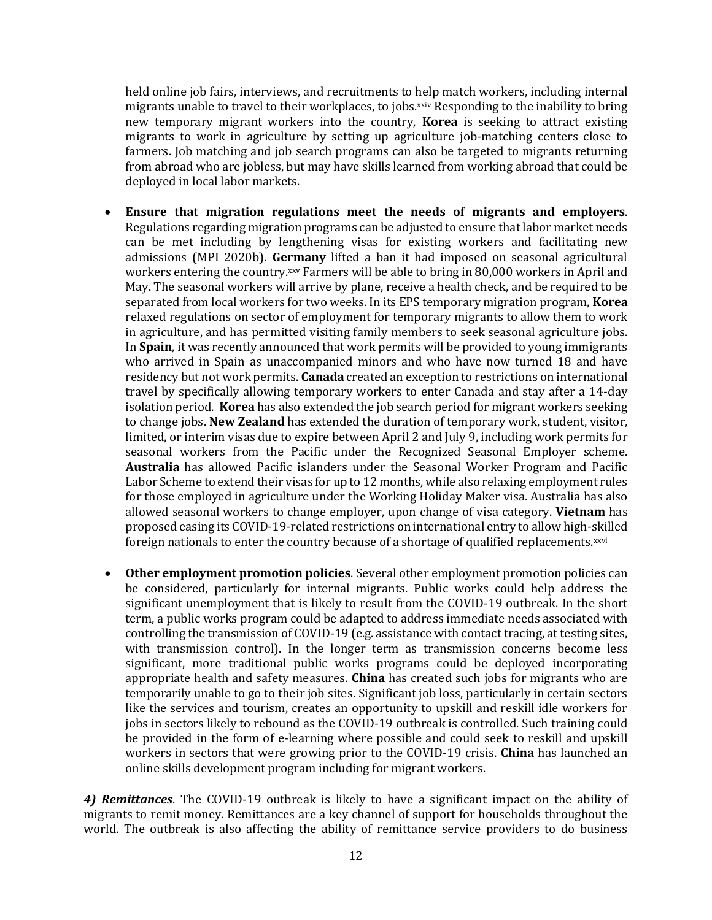held online job fairs, interviews, and recruitments to help match workers, including internal migrants unable to travel to their workplaces, to jobs.xxiv Responding to the inability to bring new temporary migrant workers into the country, **Korea** is seeking to attract existing migrants to work in agriculture by setting up agriculture job-matching centers close to farmers. Job matching and job search programs can also be targeted to migrants returning from abroad who are jobless, but may have skills learned from working abroad that could be deployed in local labor markets.

- **Ensure that migration regulations meet the needs of migrants and employers**. Regulations regarding migration programs can be adjusted to ensure that labor market needs can be met including by lengthening visas for existing workers and facilitating new admissions (MPI 2020b). **Germany** lifted a ban it had imposed on seasonal agricultural workers entering the country.xxv Farmers will be able to bring in 80,000 workers in April and May. The seasonal workers will arrive by plane, receive a health check, and be required to be separated from local workers for two weeks. In its EPS temporary migration program, **Korea** relaxed regulations on sector of employment for temporary migrants to allow them to work in agriculture, and has permitted visiting family members to seek seasonal agriculture jobs. In **Spain**, it was recently announced that work permits will be provided to young immigrants who arrived in Spain as unaccompanied minors and who have now turned 18 and have residency but not work permits. **Canada** created an exception to restrictions on international travel by specifically allowing temporary workers to enter Canada and stay after a 14-day isolation period. **Korea** has also extended the job search period for migrant workers seeking to change jobs. **New Zealand** has extended the duration of temporary work, student, visitor, limited, or interim visas due to expire between April 2 and July 9, including work permits for seasonal workers from the Pacific under the Recognized Seasonal Employer scheme. **Australia** has allowed Pacific islanders under the Seasonal Worker Program and Pacific Labor Scheme to extend their visas for up to 12 months, while also relaxing employment rules for those employed in agriculture under the Working Holiday Maker visa. Australia has also allowed seasonal workers to change employer, upon change of visa category. **Vietnam** has proposed easing its COVID-19-related restrictions on international entry to allow high-skilled foreign nationals to enter the country because of a shortage of qualified replacements.xxvi
- **Other employment promotion policies**. Several other employment promotion policies can be considered, particularly for internal migrants. Public works could help address the significant unemployment that is likely to result from the COVID-19 outbreak. In the short term, a public works program could be adapted to address immediate needs associated with controlling the transmission of COVID-19 (e.g. assistance with contact tracing, at testing sites, with transmission control). In the longer term as transmission concerns become less significant, more traditional public works programs could be deployed incorporating appropriate health and safety measures. **China** has created such jobs for migrants who are temporarily unable to go to their job sites. Significant job loss, particularly in certain sectors like the services and tourism, creates an opportunity to upskill and reskill idle workers for jobs in sectors likely to rebound as the COVID-19 outbreak is controlled. Such training could be provided in the form of e-learning where possible and could seek to reskill and upskill workers in sectors that were growing prior to the COVID-19 crisis. **China** has launched an online skills development program including for migrant workers.

*4) Remittances*. The COVID-19 outbreak is likely to have a significant impact on the ability of migrants to remit money. Remittances are a key channel of support for households throughout the world. The outbreak is also affecting the ability of remittance service providers to do business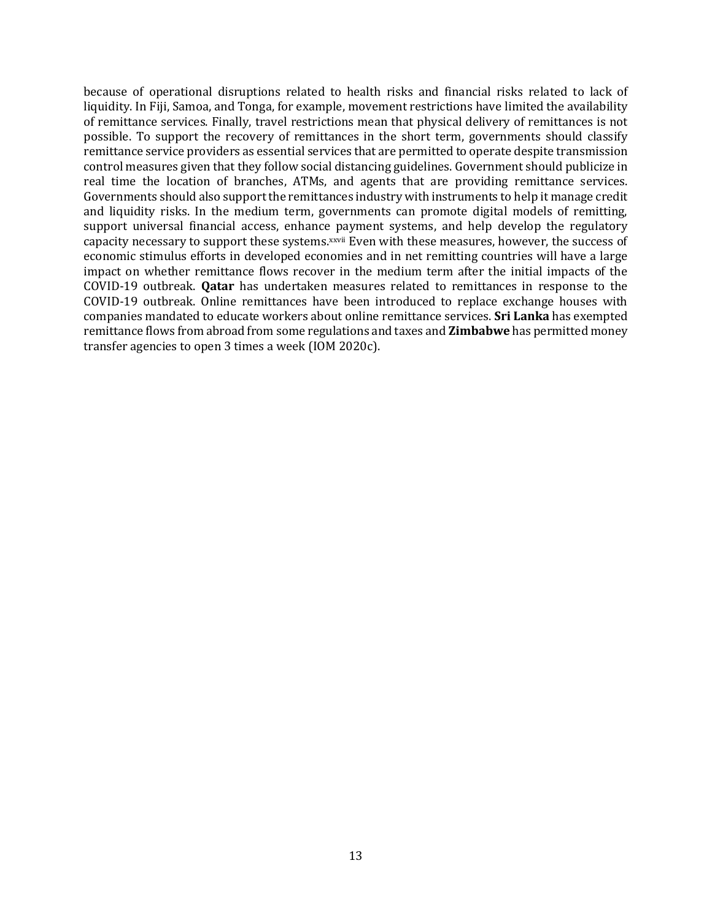because of operational disruptions related to health risks and financial risks related to lack of liquidity. In Fiji, Samoa, and Tonga, for example, movement restrictions have limited the availability of remittance services. Finally, travel restrictions mean that physical delivery of remittances is not possible. To support the recovery of remittances in the short term, governments should classify remittance service providers as essential services that are permitted to operate despite transmission control measures given that they follow social distancing guidelines. Government should publicize in real time the location of branches, ATMs, and agents that are providing remittance services. Governments should also support the remittances industry with instruments to help it manage credit and liquidity risks. In the medium term, governments can promote digital models of remitting, support universal financial access, enhance payment systems, and help develop the regulatory capacity necessary to support these systems.xxvii Even with these measures, however, the success of economic stimulus efforts in developed economies and in net remitting countries will have a large impact on whether remittance flows recover in the medium term after the initial impacts of the COVID-19 outbreak. **Qatar** has undertaken measures related to remittances in response to the COVID-19 outbreak. Online remittances have been introduced to replace exchange houses with companies mandated to educate workers about online remittance services. **Sri Lanka** has exempted remittance flows from abroad from some regulations and taxes and **Zimbabwe** has permitted money transfer agencies to open 3 times a week (IOM 2020c).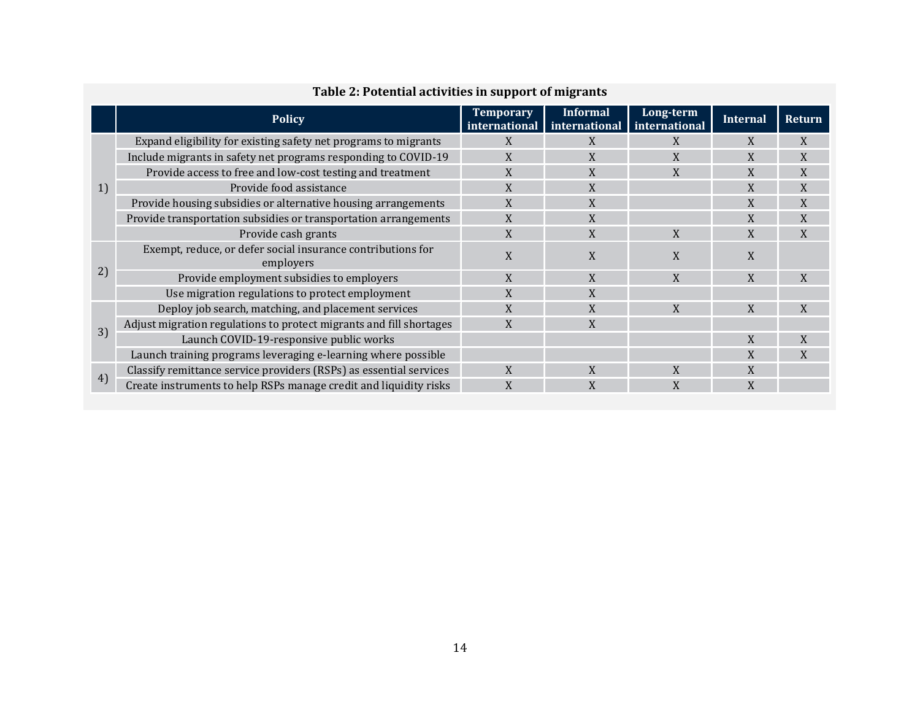|    | <b>Policy</b>                                                            | <b>Temporary</b><br>international | <b>Informal</b><br>international | Long-term<br>international | <b>Internal</b> | <b>Return</b> |
|----|--------------------------------------------------------------------------|-----------------------------------|----------------------------------|----------------------------|-----------------|---------------|
|    | Expand eligibility for existing safety net programs to migrants          | X                                 | X                                | X                          | X               | X             |
|    | Include migrants in safety net programs responding to COVID-19           | X                                 | X                                | X                          | X               | X             |
|    | Provide access to free and low-cost testing and treatment                | X                                 | X                                |                            | X               | X             |
| 1) | Provide food assistance                                                  | X                                 | X                                |                            | X               | X             |
|    | Provide housing subsidies or alternative housing arrangements            | X                                 | X                                |                            | X               | X             |
|    | Provide transportation subsidies or transportation arrangements          | X                                 | X                                |                            | X               | X             |
|    | Provide cash grants                                                      | X                                 | X                                | X                          | X               | X             |
|    | Exempt, reduce, or defer social insurance contributions for<br>employers | X                                 | X                                | X                          | X               |               |
| 2) | Provide employment subsidies to employers                                | X                                 | X                                | X                          | X               | X             |
|    | Use migration regulations to protect employment                          | X                                 | X                                |                            |                 |               |
|    | Deploy job search, matching, and placement services                      | X                                 | X                                | X                          | X               | X             |
| 3) | Adjust migration regulations to protect migrants and fill shortages      | X                                 | X                                |                            |                 |               |
|    | Launch COVID-19-responsive public works                                  |                                   |                                  |                            | X               | X             |
|    | Launch training programs leveraging e-learning where possible            |                                   |                                  |                            | X               | X             |
|    | Classify remittance service providers (RSPs) as essential services       | X                                 | X                                | X                          | X               |               |
| 4) | Create instruments to help RSPs manage credit and liquidity risks        | X                                 | X                                | X                          | X               |               |

# **Table 2: Potential activities in support of migrants**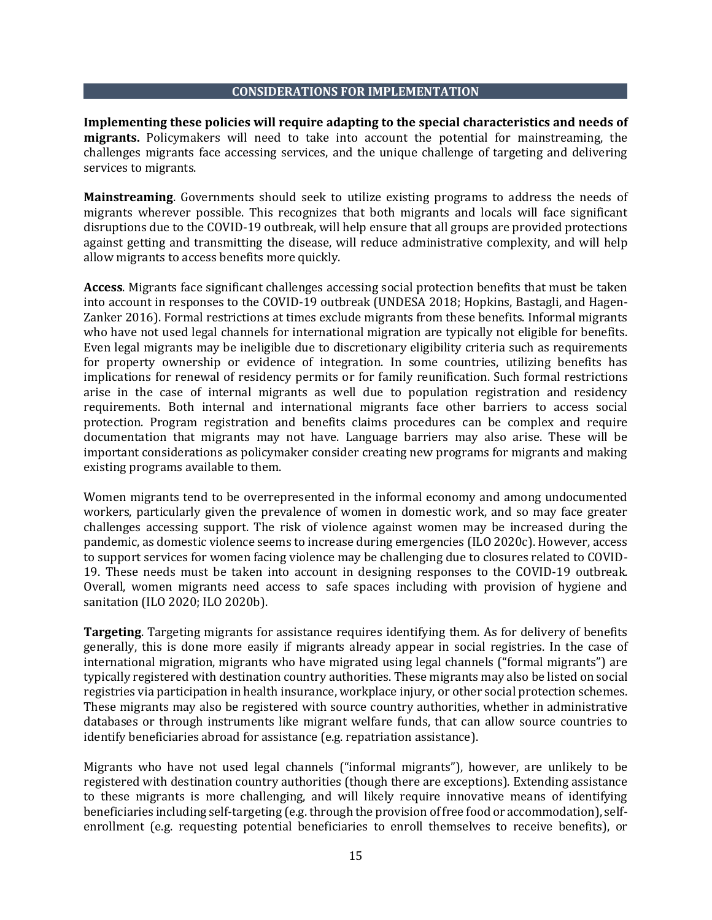### **CONSIDERATIONS FOR IMPLEMENTATION**

**Implementing these policies will require adapting to the special characteristics and needs of migrants.** Policymakers will need to take into account the potential for mainstreaming, the challenges migrants face accessing services, and the unique challenge of targeting and delivering services to migrants.

**Mainstreaming**. Governments should seek to utilize existing programs to address the needs of migrants wherever possible. This recognizes that both migrants and locals will face significant disruptions due to the COVID-19 outbreak, will help ensure that all groups are provided protections against getting and transmitting the disease, will reduce administrative complexity, and will help allow migrants to access benefits more quickly.

**Access**. Migrants face significant challenges accessing social protection benefits that must be taken into account in responses to the COVID-19 outbreak (UNDESA 2018; Hopkins, Bastagli, and Hagen-Zanker 2016). Formal restrictions at times exclude migrants from these benefits. Informal migrants who have not used legal channels for international migration are typically not eligible for benefits. Even legal migrants may be ineligible due to discretionary eligibility criteria such as requirements for property ownership or evidence of integration. In some countries, utilizing benefits has implications for renewal of residency permits or for family reunification. Such formal restrictions arise in the case of internal migrants as well due to population registration and residency requirements. Both internal and international migrants face other barriers to access social protection. Program registration and benefits claims procedures can be complex and require documentation that migrants may not have. Language barriers may also arise. These will be important considerations as policymaker consider creating new programs for migrants and making existing programs available to them.

Women migrants tend to be overrepresented in the informal economy and among undocumented workers, particularly given the prevalence of women in domestic work, and so may face greater challenges accessing support. The risk of violence against women may be increased during the pandemic, as domestic violence seems to increase during emergencies (ILO 2020c). However, access to support services for women facing violence may be challenging due to closures related to COVID-19. These needs must be taken into account in designing responses to the COVID-19 outbreak. Overall, women migrants need access to safe spaces including with provision of hygiene and sanitation (ILO 2020; ILO 2020b).

**Targeting**. Targeting migrants for assistance requires identifying them. As for delivery of benefits generally, this is done more easily if migrants already appear in social registries. In the case of international migration, migrants who have migrated using legal channels ("formal migrants") are typically registered with destination country authorities. These migrants may also be listed on social registries via participation in health insurance, workplace injury, or other social protection schemes. These migrants may also be registered with source country authorities, whether in administrative databases or through instruments like migrant welfare funds, that can allow source countries to identify beneficiaries abroad for assistance (e.g. repatriation assistance).

Migrants who have not used legal channels ("informal migrants"), however, are unlikely to be registered with destination country authorities (though there are exceptions). Extending assistance to these migrants is more challenging, and will likely require innovative means of identifying beneficiaries including self-targeting (e.g. through the provision of free food or accommodation), selfenrollment (e.g. requesting potential beneficiaries to enroll themselves to receive benefits), or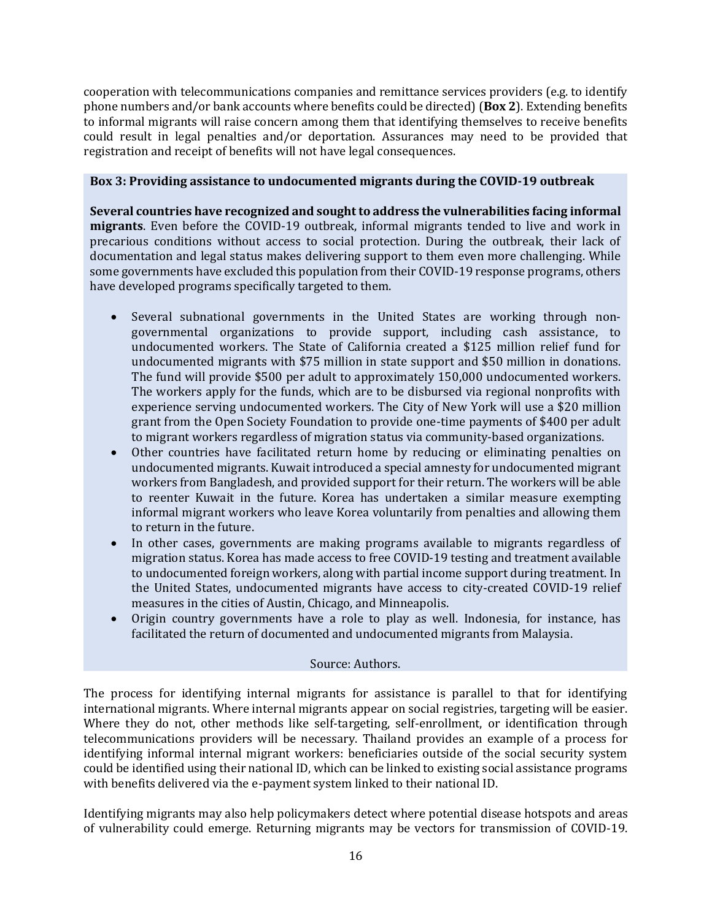cooperation with telecommunications companies and remittance services providers (e.g. to identify phone numbers and/or bank accounts where benefits could be directed) (**Box 2**). Extending benefits to informal migrants will raise concern among them that identifying themselves to receive benefits could result in legal penalties and/or deportation. Assurances may need to be provided that registration and receipt of benefits will not have legal consequences.

## **Box 3: Providing assistance to undocumented migrants during the COVID-19 outbreak**

**Several countries have recognized and sought to address the vulnerabilities facing informal migrants**. Even before the COVID-19 outbreak, informal migrants tended to live and work in precarious conditions without access to social protection. During the outbreak, their lack of documentation and legal status makes delivering support to them even more challenging. While some governments have excluded this population from their COVID-19 response programs, others have developed programs specifically targeted to them.

- Several subnational governments in the United States are working through nongovernmental organizations to provide support, including cash assistance, to undocumented workers. The State of California created a \$125 million relief fund for undocumented migrants with \$75 million in state support and \$50 million in donations. The fund will provide \$500 per adult to approximately 150,000 undocumented workers. The workers apply for the funds, which are to be disbursed via regional nonprofits with experience serving undocumented workers. The City of New York will use a \$20 million grant from the Open Society Foundation to provide one-time payments of \$400 per adult to migrant workers regardless of migration status via community-based organizations.
- Other countries have facilitated return home by reducing or eliminating penalties on undocumented migrants. Kuwait introduced a special amnesty for undocumented migrant workers from Bangladesh, and provided support for their return. The workers will be able to reenter Kuwait in the future. Korea has undertaken a similar measure exempting informal migrant workers who leave Korea voluntarily from penalties and allowing them to return in the future.
- In other cases, governments are making programs available to migrants regardless of migration status. Korea has made access to free COVID-19 testing and treatment available to undocumented foreign workers, along with partial income support during treatment. In the United States, undocumented migrants have access to city-created COVID-19 relief measures in the cities of Austin, Chicago, and Minneapolis.
- Origin country governments have a role to play as well. Indonesia, for instance, has facilitated the return of documented and undocumented migrants from Malaysia.

## Source: Authors.

The process for identifying internal migrants for assistance is parallel to that for identifying international migrants. Where internal migrants appear on social registries, targeting will be easier. Where they do not, other methods like self-targeting, self-enrollment, or identification through telecommunications providers will be necessary. Thailand provides an example of a process for identifying informal internal migrant workers: beneficiaries outside of the social security system could be identified using their national ID, which can be linked to existing social assistance programs with benefits delivered via the e-payment system linked to their national ID.

Identifying migrants may also help policymakers detect where potential disease hotspots and areas of vulnerability could emerge. Returning migrants may be vectors for transmission of COVID-19.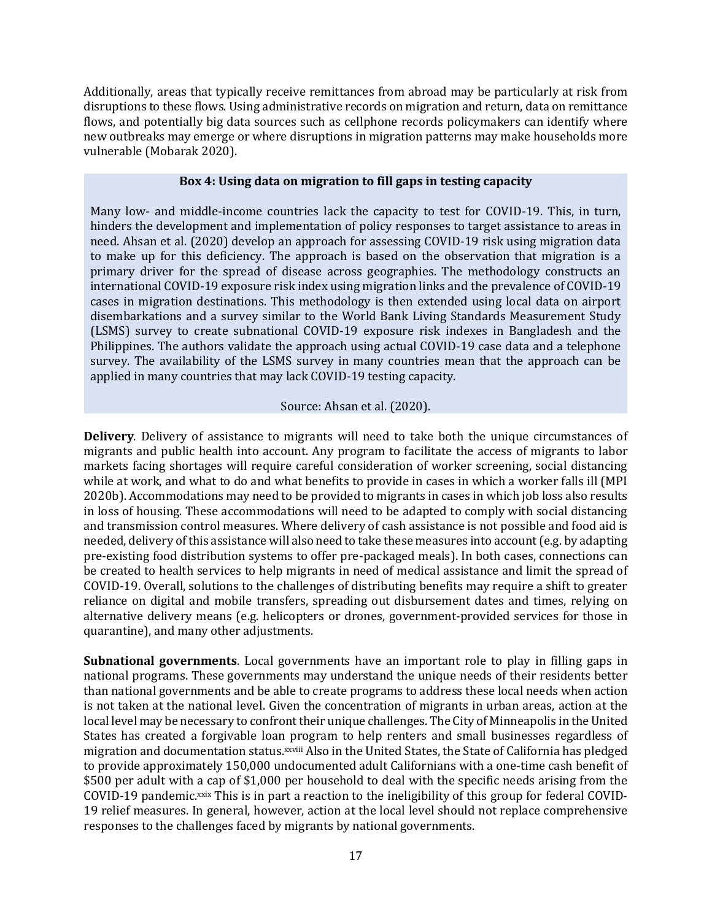Additionally, areas that typically receive remittances from abroad may be particularly at risk from disruptions to these flows. Using administrative records on migration and return, data on remittance flows, and potentially big data sources such as cellphone records policymakers can identify where new outbreaks may emerge or where disruptions in migration patterns may make households more vulnerable (Mobarak 2020).

### **Box 4: Using data on migration to fill gaps in testing capacity**

Many low- and middle-income countries lack the capacity to test for COVID-19. This, in turn, hinders the development and implementation of policy responses to target assistance to areas in need. Ahsan et al. (2020) develop an approach for assessing COVID-19 risk using migration data to make up for this deficiency. The approach is based on the observation that migration is a primary driver for the spread of disease across geographies. The methodology constructs an international COVID-19 exposure risk index using migration links and the prevalence of COVID-19 cases in migration destinations. This methodology is then extended using local data on airport disembarkations and a survey similar to the World Bank Living Standards Measurement Study (LSMS) survey to create subnational COVID-19 exposure risk indexes in Bangladesh and the Philippines. The authors validate the approach using actual COVID-19 case data and a telephone survey. The availability of the LSMS survey in many countries mean that the approach can be applied in many countries that may lack COVID-19 testing capacity.

## Source: Ahsan et al. (2020).

**Delivery**. Delivery of assistance to migrants will need to take both the unique circumstances of migrants and public health into account. Any program to facilitate the access of migrants to labor markets facing shortages will require careful consideration of worker screening, social distancing while at work, and what to do and what benefits to provide in cases in which a worker falls ill (MPI 2020b). Accommodations may need to be provided to migrants in cases in which job loss also results in loss of housing. These accommodations will need to be adapted to comply with social distancing and transmission control measures. Where delivery of cash assistance is not possible and food aid is needed, delivery of this assistance will also need to take these measures into account (e.g. by adapting pre-existing food distribution systems to offer pre-packaged meals). In both cases, connections can be created to health services to help migrants in need of medical assistance and limit the spread of COVID-19. Overall, solutions to the challenges of distributing benefits may require a shift to greater reliance on digital and mobile transfers, spreading out disbursement dates and times, relying on alternative delivery means (e.g. helicopters or drones, government-provided services for those in quarantine), and many other adjustments.

**Subnational governments**. Local governments have an important role to play in filling gaps in national programs. These governments may understand the unique needs of their residents better than national governments and be able to create programs to address these local needs when action is not taken at the national level. Given the concentration of migrants in urban areas, action at the local level may be necessary to confront their unique challenges. The City of Minneapolis in the United States has created a forgivable loan program to help renters and small businesses regardless of migration and documentation status.xxviii Also in the United States, the State of California has pledged to provide approximately 150,000 undocumented adult Californians with a one-time cash benefit of \$500 per adult with a cap of \$1,000 per household to deal with the specific needs arising from the COVID-19 pandemic.xxix This is in part a reaction to the ineligibility of this group for federal COVID-19 relief measures. In general, however, action at the local level should not replace comprehensive responses to the challenges faced by migrants by national governments.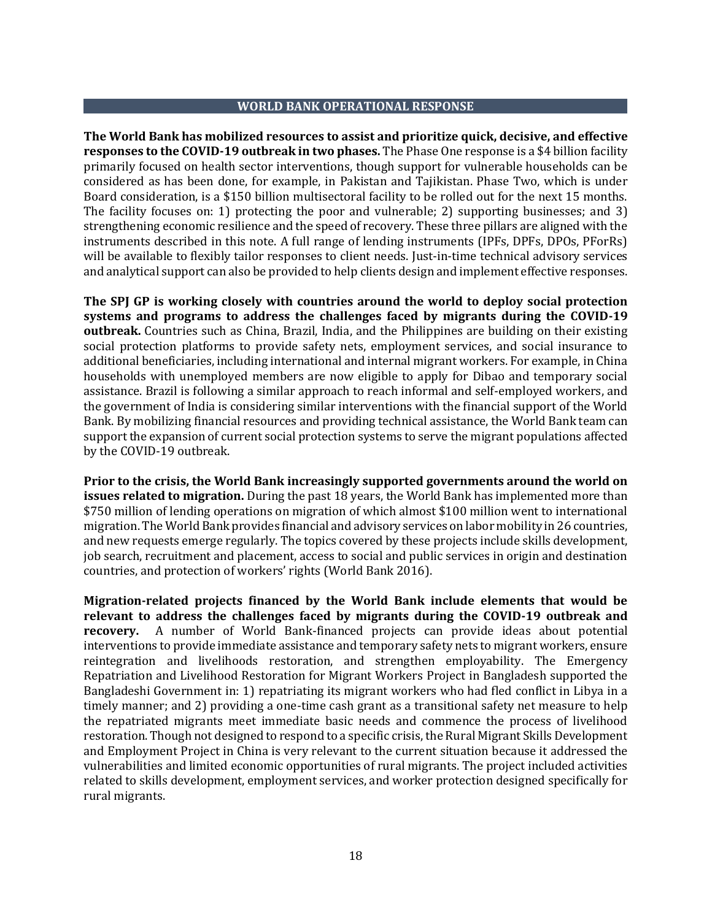### **WORLD BANK OPERATIONAL RESPONSE**

**The World Bank has mobilized resources to assist and prioritize quick, decisive, and effective responses to the COVID-19 outbreak in two phases.** The Phase One response is a \$4 billion facility primarily focused on health sector interventions, though support for vulnerable households can be considered as has been done, for example, in Pakistan and Tajikistan. Phase Two, which is under Board consideration, is a \$150 billion multisectoral facility to be rolled out for the next 15 months. The facility focuses on: 1) protecting the poor and vulnerable; 2) supporting businesses; and 3) strengthening economic resilience and the speed of recovery. These three pillars are aligned with the instruments described in this note. A full range of lending instruments (IPFs, DPFs, DPOs, PForRs) will be available to flexibly tailor responses to client needs. Just-in-time technical advisory services and analytical support can also be provided to help clients design and implement effective responses.

**The SPJ GP is working closely with countries around the world to deploy social protection systems and programs to address the challenges faced by migrants during the COVID-19 outbreak.** Countries such as China, Brazil, India, and the Philippines are building on their existing social protection platforms to provide safety nets, employment services, and social insurance to additional beneficiaries, including international and internal migrant workers. For example, in China households with unemployed members are now eligible to apply for Dibao and temporary social assistance. Brazil is following a similar approach to reach informal and self-employed workers, and the government of India is considering similar interventions with the financial support of the World Bank. By mobilizing financial resources and providing technical assistance, the World Bank team can support the expansion of current social protection systems to serve the migrant populations affected by the COVID-19 outbreak.

**Prior to the crisis, the World Bank increasingly supported governments around the world on issues related to migration.** During the past 18 years, the World Bank has implemented more than \$750 million of lending operations on migration of which almost \$100 million went to international migration. The World Bank provides financial and advisory services on labor mobility in 26 countries, and new requests emerge regularly. The topics covered by these projects include skills development, job search, recruitment and placement, access to social and public services in origin and destination countries, and protection of workers' rights (World Bank 2016).

**Migration-related projects financed by the World Bank include elements that would be relevant to address the challenges faced by migrants during the COVID-19 outbreak and recovery.** A number of World Bank-financed projects can provide ideas about potential interventions to provide immediate assistance and temporary safety nets to migrant workers, ensure reintegration and livelihoods restoration, and strengthen employability. The Emergency Repatriation and Livelihood Restoration for Migrant Workers Project in Bangladesh supported the Bangladeshi Government in: 1) repatriating its migrant workers who had fled conflict in Libya in a timely manner; and 2) providing a one-time cash grant as a transitional safety net measure to help the repatriated migrants meet immediate basic needs and commence the process of livelihood restoration. Though not designed to respond to a specific crisis, the Rural Migrant Skills Development and Employment Project in China is very relevant to the current situation because it addressed the vulnerabilities and limited economic opportunities of rural migrants. The project included activities related to skills development, employment services, and worker protection designed specifically for rural migrants.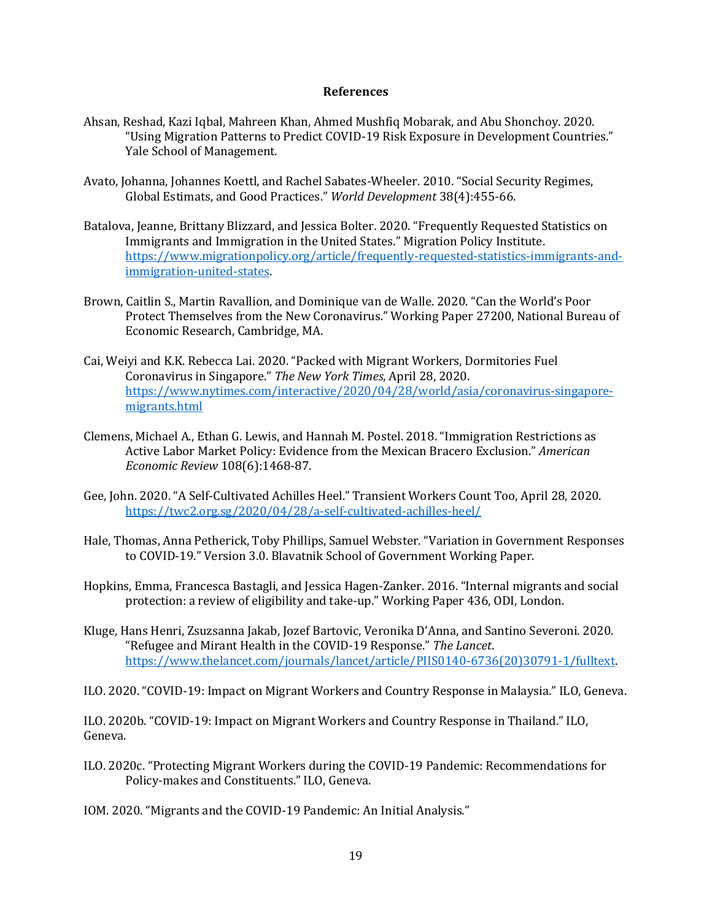### **References**

- Ahsan, Reshad, Kazi Iqbal, Mahreen Khan, Ahmed Mushfiq Mobarak, and Abu Shonchoy. 2020. "Using Migration Patterns to Predict COVID-19 Risk Exposure in Development Countries." Yale School of Management.
- Avato, Johanna, Johannes Koettl, and Rachel Sabates-Wheeler. 2010. "Social Security Regimes, Global Estimats, and Good Practices." *World Development* 38(4):455-66.
- Batalova, Jeanne, Brittany Blizzard, and Jessica Bolter. 2020. "Frequently Requested Statistics on Immigrants and Immigration in the United States." Migration Policy Institute. [https://www.migrationpolicy.org/article/frequently-requested-statistics-immigrants-and](https://www.migrationpolicy.org/article/frequently-requested-statistics-immigrants-and-immigration-united-states)[immigration-united-states.](https://www.migrationpolicy.org/article/frequently-requested-statistics-immigrants-and-immigration-united-states)
- Brown, Caitlin S., Martin Ravallion, and Dominique van de Walle. 2020. "Can the World's Poor Protect Themselves from the New Coronavirus." Working Paper 27200, National Bureau of Economic Research, Cambridge, MA.
- Cai, Weiyi and K.K. Rebecca Lai. 2020. "Packed with Migrant Workers, Dormitories Fuel Coronavirus in Singapore." *The New York Times*, April 28, 2020. [https://www.nytimes.com/interactive/2020/04/28/world/asia/coronavirus-singapore](https://www.nytimes.com/interactive/2020/04/28/world/asia/coronavirus-singapore-migrants.html)[migrants.html](https://www.nytimes.com/interactive/2020/04/28/world/asia/coronavirus-singapore-migrants.html)
- Clemens, Michael A., Ethan G. Lewis, and Hannah M. Postel. 2018. "Immigration Restrictions as Active Labor Market Policy: Evidence from the Mexican Bracero Exclusion." *American Economic Review* 108(6):1468-87.
- Gee, John. 2020. "A Self-Cultivated Achilles Heel." Transient Workers Count Too, April 28, 2020. <https://twc2.org.sg/2020/04/28/a-self-cultivated-achilles-heel/>
- Hale, Thomas, Anna Petherick, Toby Phillips, Samuel Webster. "Variation in Government Responses to COVID-19." Version 3.0. Blavatnik School of Government Working Paper.
- Hopkins, Emma, Francesca Bastagli, and Jessica Hagen-Zanker. 2016. "Internal migrants and social protection: a review of eligibility and take-up." Working Paper 436, ODI, London.
- Kluge, Hans Henri, Zsuzsanna Jakab, Jozef Bartovic, Veronika D'Anna, and Santino Severoni. 2020. "Refugee and Mirant Health in the COVID-19 Response." *The Lancet*. [https://www.thelancet.com/journals/lancet/article/PIIS0140-6736\(20\)30791-1/fulltext.](https://www.thelancet.com/journals/lancet/article/PIIS0140-6736(20)30791-1/fulltext)

ILO. 2020. "COVID-19: Impact on Migrant Workers and Country Response in Malaysia." ILO, Geneva.

ILO. 2020b. "COVID-19: Impact on Migrant Workers and Country Response in Thailand." ILO, Geneva.

ILO. 2020c. "Protecting Migrant Workers during the COVID-19 Pandemic: Recommendations for Policy-makes and Constituents." ILO, Geneva.

IOM. 2020. "Migrants and the COVID-19 Pandemic: An Initial Analysis."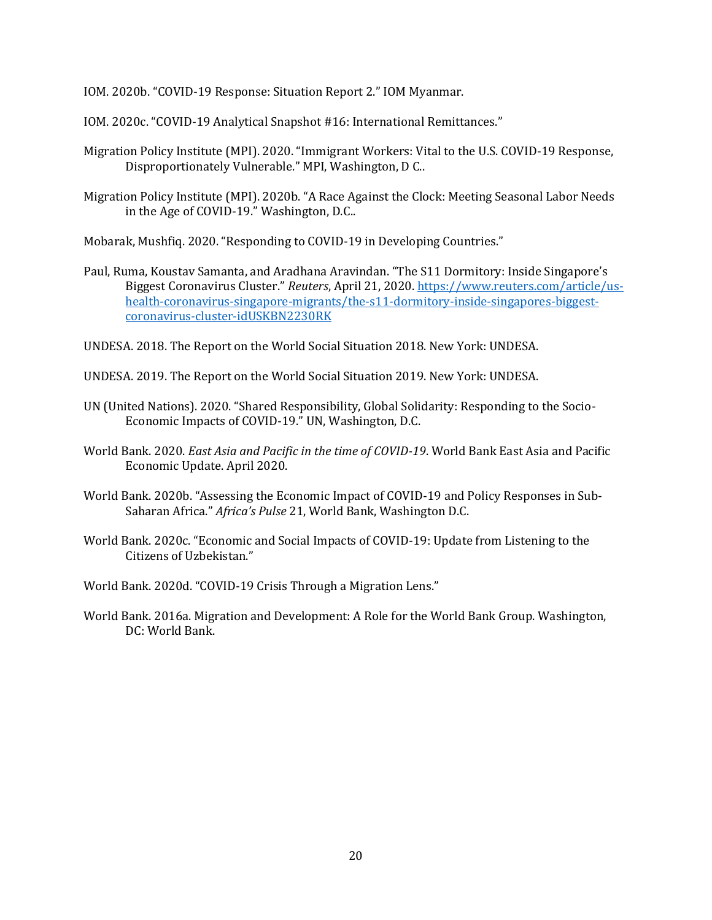IOM. 2020b. "COVID-19 Response: Situation Report 2." IOM Myanmar.

IOM. 2020c. "COVID-19 Analytical Snapshot #16: International Remittances."

- Migration Policy Institute (MPI). 2020. "Immigrant Workers: Vital to the U.S. COVID-19 Response, Disproportionately Vulnerable." MPI, Washington, D C..
- Migration Policy Institute (MPI). 2020b. "A Race Against the Clock: Meeting Seasonal Labor Needs in the Age of COVID-19." Washington, D.C..

Mobarak, Mushfiq. 2020. "Responding to COVID-19 in Developing Countries."

- Paul, Ruma, Koustav Samanta, and Aradhana Aravindan. "The S11 Dormitory: Inside Singapore's Biggest Coronavirus Cluster." *Reuters*, April 21, 2020. [https://www.reuters.com/article/us](https://www.reuters.com/article/us-health-coronavirus-singapore-migrants/the-s11-dormitory-inside-singapores-biggest-coronavirus-cluster-idUSKBN2230RK)[health-coronavirus-singapore-migrants/the-s11-dormitory-inside-singapores-biggest](https://www.reuters.com/article/us-health-coronavirus-singapore-migrants/the-s11-dormitory-inside-singapores-biggest-coronavirus-cluster-idUSKBN2230RK)[coronavirus-cluster-idUSKBN2230RK](https://www.reuters.com/article/us-health-coronavirus-singapore-migrants/the-s11-dormitory-inside-singapores-biggest-coronavirus-cluster-idUSKBN2230RK)
- UNDESA. 2018. The Report on the World Social Situation 2018. New York: UNDESA.
- UNDESA. 2019. The Report on the World Social Situation 2019. New York: UNDESA.
- UN (United Nations). 2020. "Shared Responsibility, Global Solidarity: Responding to the Socio-Economic Impacts of COVID-19." UN, Washington, D.C.
- World Bank. 2020. *East Asia and Pacific in the time of COVID-19*. World Bank East Asia and Pacific Economic Update. April 2020.
- World Bank. 2020b. "Assessing the Economic Impact of COVID-19 and Policy Responses in Sub-Saharan Africa." *Africa's Pulse* 21, World Bank, Washington D.C.
- World Bank. 2020c. "Economic and Social Impacts of COVID-19: Update from Listening to the Citizens of Uzbekistan."
- World Bank. 2020d. "COVID-19 Crisis Through a Migration Lens."
- World Bank. 2016a. Migration and Development: A Role for the World Bank Group. Washington, DC: World Bank.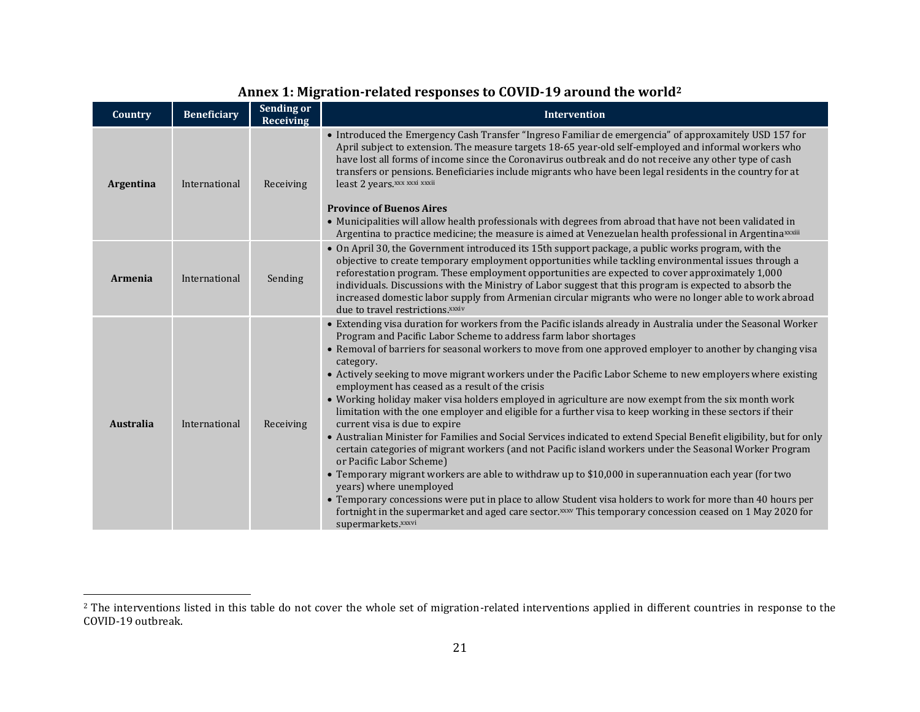| Country        | <b>Beneficiary</b> | Sending or<br><b>Receiving</b> | <b>Intervention</b>                                                                                                                                                                                                                                                                                                                                                                                                                                                                                                                                                                                                                                                                                                                                                                                                                                                                                                                                                                                                                                                                                                                                                                                                                                                                                                                                                                   |
|----------------|--------------------|--------------------------------|---------------------------------------------------------------------------------------------------------------------------------------------------------------------------------------------------------------------------------------------------------------------------------------------------------------------------------------------------------------------------------------------------------------------------------------------------------------------------------------------------------------------------------------------------------------------------------------------------------------------------------------------------------------------------------------------------------------------------------------------------------------------------------------------------------------------------------------------------------------------------------------------------------------------------------------------------------------------------------------------------------------------------------------------------------------------------------------------------------------------------------------------------------------------------------------------------------------------------------------------------------------------------------------------------------------------------------------------------------------------------------------|
| Argentina      | International      | Receiving                      | • Introduced the Emergency Cash Transfer "Ingreso Familiar de emergencia" of approxamitely USD 157 for<br>April subject to extension. The measure targets 18-65 year-old self-employed and informal workers who<br>have lost all forms of income since the Coronavirus outbreak and do not receive any other type of cash<br>transfers or pensions. Beneficiaries include migrants who have been legal residents in the country for at<br>least 2 years.xxx xxxi xxxii<br><b>Province of Buenos Aires</b><br>• Municipalities will allow health professionals with degrees from abroad that have not been validated in<br>Argentina to practice medicine; the measure is aimed at Venezuelan health professional in Argentina <sup>xxiii</sup>                                                                                                                                                                                                                                                                                                                                                                                                                                                                                                                                                                                                                                        |
| <b>Armenia</b> | International      | Sending                        | • On April 30, the Government introduced its 15th support package, a public works program, with the<br>objective to create temporary employment opportunities while tackling environmental issues through a<br>reforestation program. These employment opportunities are expected to cover approximately 1,000<br>individuals. Discussions with the Ministry of Labor suggest that this program is expected to absorb the<br>increased domestic labor supply from Armenian circular migrants who were no longer able to work abroad<br>due to travel restrictions.xxxiv                                                                                                                                                                                                                                                                                                                                                                                                                                                                                                                                                                                                                                                                                                                                                                                                               |
| Australia      | International      | Receiving                      | • Extending visa duration for workers from the Pacific islands already in Australia under the Seasonal Worker<br>Program and Pacific Labor Scheme to address farm labor shortages<br>• Removal of barriers for seasonal workers to move from one approved employer to another by changing visa<br>category.<br>• Actively seeking to move migrant workers under the Pacific Labor Scheme to new employers where existing<br>employment has ceased as a result of the crisis<br>• Working holiday maker visa holders employed in agriculture are now exempt from the six month work<br>limitation with the one employer and eligible for a further visa to keep working in these sectors if their<br>current visa is due to expire<br>· Australian Minister for Families and Social Services indicated to extend Special Benefit eligibility, but for only<br>certain categories of migrant workers (and not Pacific island workers under the Seasonal Worker Program<br>or Pacific Labor Scheme)<br>• Temporary migrant workers are able to withdraw up to \$10,000 in superannuation each year (for two<br>years) where unemployed<br>• Temporary concessions were put in place to allow Student visa holders to work for more than 40 hours per<br>fortnight in the supermarket and aged care sector. XXXV This temporary concession ceased on 1 May 2020 for<br>supermarkets.xxxvi |

# **Annex 1: Migration-related responses to COVID-19 around the world<sup>2</sup>**

<sup>&</sup>lt;sup>2</sup> The interventions listed in this table do not cover the whole set of migration-related interventions applied in different countries in response to the COVID-19 outbreak.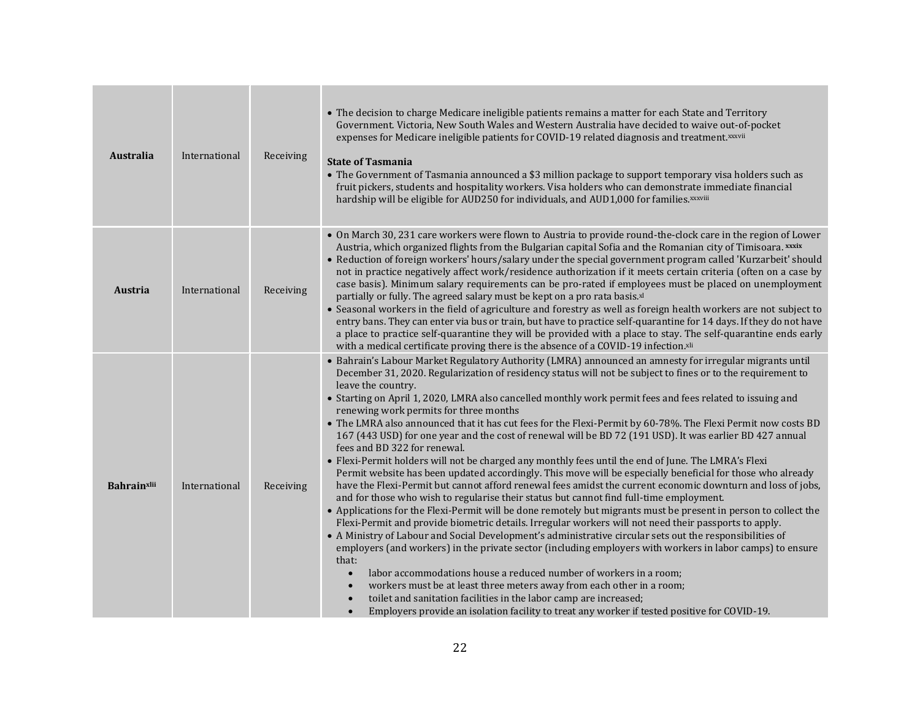| <b>Australia</b>   | International | Receiving | • The decision to charge Medicare ineligible patients remains a matter for each State and Territory<br>Government. Victoria, New South Wales and Western Australia have decided to waive out-of-pocket<br>expenses for Medicare ineligible patients for COVID-19 related diagnosis and treatment.xxxvii<br><b>State of Tasmania</b><br>• The Government of Tasmania announced a \$3 million package to support temporary visa holders such as<br>fruit pickers, students and hospitality workers. Visa holders who can demonstrate immediate financial<br>hardship will be eligible for AUD250 for individuals, and AUD1,000 for families. xxxviii                                                                                                                                                                                                                                                                                                                                                                                                                                                                                                                                                                                                                                                                                                                                                                                                                                                                                                                                                                                                                                                                                                                                                                                                                              |
|--------------------|---------------|-----------|---------------------------------------------------------------------------------------------------------------------------------------------------------------------------------------------------------------------------------------------------------------------------------------------------------------------------------------------------------------------------------------------------------------------------------------------------------------------------------------------------------------------------------------------------------------------------------------------------------------------------------------------------------------------------------------------------------------------------------------------------------------------------------------------------------------------------------------------------------------------------------------------------------------------------------------------------------------------------------------------------------------------------------------------------------------------------------------------------------------------------------------------------------------------------------------------------------------------------------------------------------------------------------------------------------------------------------------------------------------------------------------------------------------------------------------------------------------------------------------------------------------------------------------------------------------------------------------------------------------------------------------------------------------------------------------------------------------------------------------------------------------------------------------------------------------------------------------------------------------------------------|
| <b>Austria</b>     | International | Receiving | . On March 30, 231 care workers were flown to Austria to provide round-the-clock care in the region of Lower<br>Austria, which organized flights from the Bulgarian capital Sofia and the Romanian city of Timisoara. xxxix<br>• Reduction of foreign workers' hours/salary under the special government program called 'Kurzarbeit' should<br>not in practice negatively affect work/residence authorization if it meets certain criteria (often on a case by<br>case basis). Minimum salary requirements can be pro-rated if employees must be placed on unemployment<br>partially or fully. The agreed salary must be kept on a pro rata basis.xl<br>• Seasonal workers in the field of agriculture and forestry as well as foreign health workers are not subject to<br>entry bans. They can enter via bus or train, but have to practice self-quarantine for 14 days. If they do not have<br>a place to practice self-quarantine they will be provided with a place to stay. The self-quarantine ends early<br>with a medical certificate proving there is the absence of a COVID-19 infection.xli                                                                                                                                                                                                                                                                                                                                                                                                                                                                                                                                                                                                                                                                                                                                                                         |
| <b>Bahrainxlii</b> | International | Receiving | • Bahrain's Labour Market Regulatory Authority (LMRA) announced an amnesty for irregular migrants until<br>December 31, 2020. Regularization of residency status will not be subject to fines or to the requirement to<br>leave the country.<br>• Starting on April 1, 2020, LMRA also cancelled monthly work permit fees and fees related to issuing and<br>renewing work permits for three months<br>. The LMRA also announced that it has cut fees for the Flexi-Permit by 60-78%. The Flexi Permit now costs BD<br>167 (443 USD) for one year and the cost of renewal will be BD 72 (191 USD). It was earlier BD 427 annual<br>fees and BD 322 for renewal.<br>• Flexi-Permit holders will not be charged any monthly fees until the end of June. The LMRA's Flexi<br>Permit website has been updated accordingly. This move will be especially beneficial for those who already<br>have the Flexi-Permit but cannot afford renewal fees amidst the current economic downturn and loss of jobs,<br>and for those who wish to regularise their status but cannot find full-time employment.<br>• Applications for the Flexi-Permit will be done remotely but migrants must be present in person to collect the<br>Flexi-Permit and provide biometric details. Irregular workers will not need their passports to apply.<br>• A Ministry of Labour and Social Development's administrative circular sets out the responsibilities of<br>employers (and workers) in the private sector (including employers with workers in labor camps) to ensure<br>that:<br>labor accommodations house a reduced number of workers in a room;<br>workers must be at least three meters away from each other in a room;<br>toilet and sanitation facilities in the labor camp are increased;<br>Employers provide an isolation facility to treat any worker if tested positive for COVID-19. |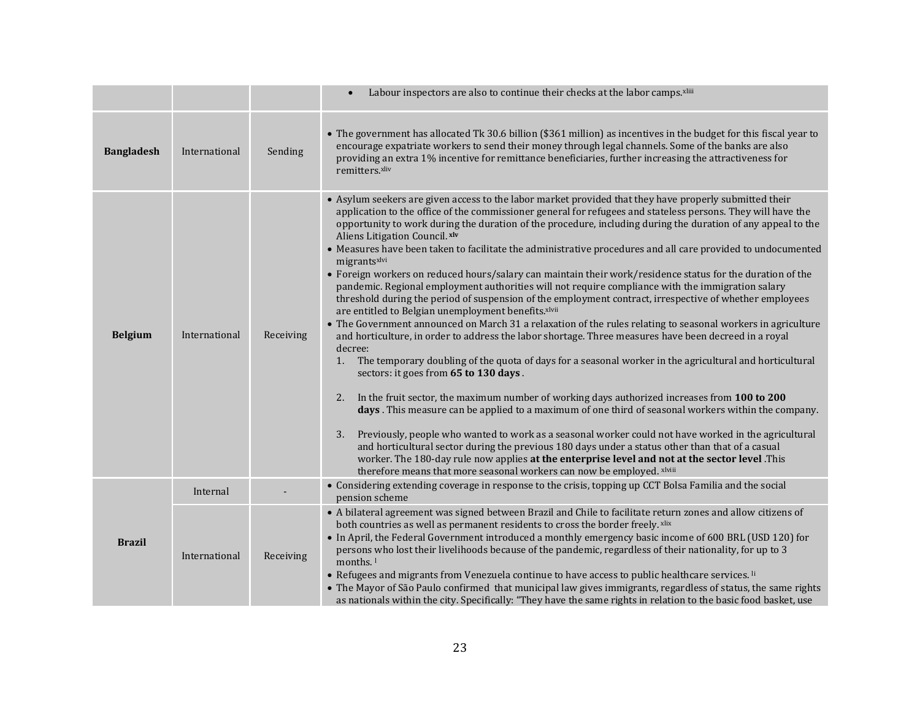|                   |               |           | Labour inspectors are also to continue their checks at the labor camps.xliii                                                                                                                                                                                                                                                                                                                                                                                                                                                                                                                                                                                                                                                                                                                                                                                                                                                                                                                                                                                                                                                                                                                                                                                                                                                                                                                                                                                                                                                                                                                                                                                                                                                                                                                                                                                                                        |
|-------------------|---------------|-----------|-----------------------------------------------------------------------------------------------------------------------------------------------------------------------------------------------------------------------------------------------------------------------------------------------------------------------------------------------------------------------------------------------------------------------------------------------------------------------------------------------------------------------------------------------------------------------------------------------------------------------------------------------------------------------------------------------------------------------------------------------------------------------------------------------------------------------------------------------------------------------------------------------------------------------------------------------------------------------------------------------------------------------------------------------------------------------------------------------------------------------------------------------------------------------------------------------------------------------------------------------------------------------------------------------------------------------------------------------------------------------------------------------------------------------------------------------------------------------------------------------------------------------------------------------------------------------------------------------------------------------------------------------------------------------------------------------------------------------------------------------------------------------------------------------------------------------------------------------------------------------------------------------------|
| <b>Bangladesh</b> | International | Sending   | • The government has allocated Tk 30.6 billion (\$361 million) as incentives in the budget for this fiscal year to<br>encourage expatriate workers to send their money through legal channels. Some of the banks are also<br>providing an extra 1% incentive for remittance beneficiaries, further increasing the attractiveness for<br>remitters.xliv                                                                                                                                                                                                                                                                                                                                                                                                                                                                                                                                                                                                                                                                                                                                                                                                                                                                                                                                                                                                                                                                                                                                                                                                                                                                                                                                                                                                                                                                                                                                              |
| <b>Belgium</b>    | International | Receiving | • Asylum seekers are given access to the labor market provided that they have properly submitted their<br>application to the office of the commissioner general for refugees and stateless persons. They will have the<br>opportunity to work during the duration of the procedure, including during the duration of any appeal to the<br>Aliens Litigation Council. xlv<br>• Measures have been taken to facilitate the administrative procedures and all care provided to undocumented<br>migrantsxlvi<br>• Foreign workers on reduced hours/salary can maintain their work/residence status for the duration of the<br>pandemic. Regional employment authorities will not require compliance with the immigration salary<br>threshold during the period of suspension of the employment contract, irrespective of whether employees<br>are entitled to Belgian unemployment benefits.xlvii<br>• The Government announced on March 31 a relaxation of the rules relating to seasonal workers in agriculture<br>and horticulture, in order to address the labor shortage. Three measures have been decreed in a royal<br>decree:<br>The temporary doubling of the quota of days for a seasonal worker in the agricultural and horticultural<br>1.<br>sectors: it goes from 65 to 130 days.<br>In the fruit sector, the maximum number of working days authorized increases from 100 to 200<br>2.<br>days. This measure can be applied to a maximum of one third of seasonal workers within the company.<br>3. Previously, people who wanted to work as a seasonal worker could not have worked in the agricultural<br>and horticultural sector during the previous 180 days under a status other than that of a casual<br>worker. The 180-day rule now applies at the enterprise level and not at the sector level .This<br>therefore means that more seasonal workers can now be employed. xlviii |
|                   | Internal      |           | • Considering extending coverage in response to the crisis, topping up CCT Bolsa Familia and the social<br>pension scheme                                                                                                                                                                                                                                                                                                                                                                                                                                                                                                                                                                                                                                                                                                                                                                                                                                                                                                                                                                                                                                                                                                                                                                                                                                                                                                                                                                                                                                                                                                                                                                                                                                                                                                                                                                           |
| <b>Brazil</b>     | International | Receiving | • A bilateral agreement was signed between Brazil and Chile to facilitate return zones and allow citizens of<br>both countries as well as permanent residents to cross the border freely. xlix<br>• In April, the Federal Government introduced a monthly emergency basic income of 600 BRL (USD 120) for<br>persons who lost their livelihoods because of the pandemic, regardless of their nationality, for up to 3<br>months. <sup>1</sup><br>• Refugees and migrants from Venezuela continue to have access to public healthcare services. Ii<br>• The Mayor of São Paulo confirmed that municipal law gives immigrants, regardless of status, the same rights<br>as nationals within the city. Specifically: "They have the same rights in relation to the basic food basket, use                                                                                                                                                                                                                                                                                                                                                                                                                                                                                                                                                                                                                                                                                                                                                                                                                                                                                                                                                                                                                                                                                                              |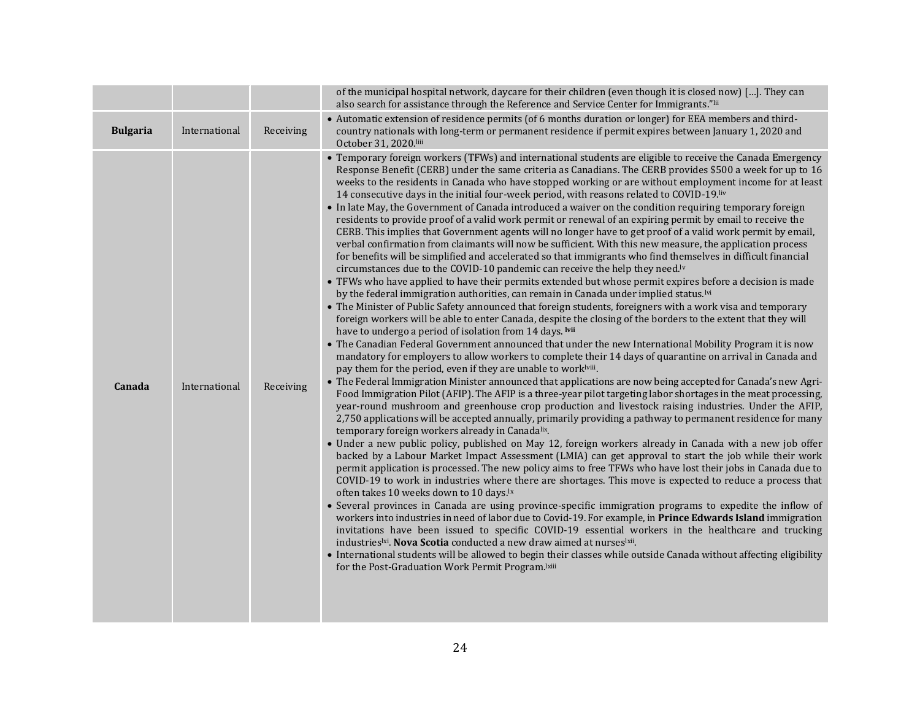|                 |               |           | of the municipal hospital network, daycare for their children (even though it is closed now) []. They can<br>also search for assistance through the Reference and Service Center for Immigrants."lii                                                                                                                                                                                                                                                                                                                                                                                                                                                                                                                                                                                                                                                                                                                                                                                                                                                                                                                                                                                                                                                                                                                                                                                                                                                                                                                                                                                                                                                                                                                                                                                                                                                                                                                                                                                                                                                                                                                                                                                                                                                                                                                                                                                                                                                                                                                                                                                                                                                                                                                                                                                                                                                                                                                                                                                                                                                                                                                                                                                                                                                                                                                                                                                                                                                                                                                                        |
|-----------------|---------------|-----------|---------------------------------------------------------------------------------------------------------------------------------------------------------------------------------------------------------------------------------------------------------------------------------------------------------------------------------------------------------------------------------------------------------------------------------------------------------------------------------------------------------------------------------------------------------------------------------------------------------------------------------------------------------------------------------------------------------------------------------------------------------------------------------------------------------------------------------------------------------------------------------------------------------------------------------------------------------------------------------------------------------------------------------------------------------------------------------------------------------------------------------------------------------------------------------------------------------------------------------------------------------------------------------------------------------------------------------------------------------------------------------------------------------------------------------------------------------------------------------------------------------------------------------------------------------------------------------------------------------------------------------------------------------------------------------------------------------------------------------------------------------------------------------------------------------------------------------------------------------------------------------------------------------------------------------------------------------------------------------------------------------------------------------------------------------------------------------------------------------------------------------------------------------------------------------------------------------------------------------------------------------------------------------------------------------------------------------------------------------------------------------------------------------------------------------------------------------------------------------------------------------------------------------------------------------------------------------------------------------------------------------------------------------------------------------------------------------------------------------------------------------------------------------------------------------------------------------------------------------------------------------------------------------------------------------------------------------------------------------------------------------------------------------------------------------------------------------------------------------------------------------------------------------------------------------------------------------------------------------------------------------------------------------------------------------------------------------------------------------------------------------------------------------------------------------------------------------------------------------------------------------------------------------------------|
| <b>Bulgaria</b> | International | Receiving | • Automatic extension of residence permits (of 6 months duration or longer) for EEA members and third-<br>country nationals with long-term or permanent residence if permit expires between January 1, 2020 and<br>October 31, 2020.liii                                                                                                                                                                                                                                                                                                                                                                                                                                                                                                                                                                                                                                                                                                                                                                                                                                                                                                                                                                                                                                                                                                                                                                                                                                                                                                                                                                                                                                                                                                                                                                                                                                                                                                                                                                                                                                                                                                                                                                                                                                                                                                                                                                                                                                                                                                                                                                                                                                                                                                                                                                                                                                                                                                                                                                                                                                                                                                                                                                                                                                                                                                                                                                                                                                                                                                    |
| Canada          | International | Receiving | • Temporary foreign workers (TFWs) and international students are eligible to receive the Canada Emergency<br>Response Benefit (CERB) under the same criteria as Canadians. The CERB provides \$500 a week for up to 16<br>weeks to the residents in Canada who have stopped working or are without employment income for at least<br>14 consecutive days in the initial four-week period, with reasons related to COVID-19.liv<br>• In late May, the Government of Canada introduced a waiver on the condition requiring temporary foreign<br>residents to provide proof of a valid work permit or renewal of an expiring permit by email to receive the<br>CERB. This implies that Government agents will no longer have to get proof of a valid work permit by email,<br>verbal confirmation from claimants will now be sufficient. With this new measure, the application process<br>for benefits will be simplified and accelerated so that immigrants who find themselves in difficult financial<br>circumstances due to the COVID-10 pandemic can receive the help they need. <sup>1v</sup><br>• TFWs who have applied to have their permits extended but whose permit expires before a decision is made<br>by the federal immigration authorities, can remain in Canada under implied status. <sup>Ivi</sup><br>• The Minister of Public Safety announced that foreign students, foreigners with a work visa and temporary<br>foreign workers will be able to enter Canada, despite the closing of the borders to the extent that they will<br>have to undergo a period of isolation from 14 days. Ivii<br>• The Canadian Federal Government announced that under the new International Mobility Program it is now<br>mandatory for employers to allow workers to complete their 14 days of quarantine on arrival in Canada and<br>pay them for the period, even if they are unable to worklyiii.<br>• The Federal Immigration Minister announced that applications are now being accepted for Canada's new Agri-<br>Food Immigration Pilot (AFIP). The AFIP is a three-year pilot targeting labor shortages in the meat processing,<br>year-round mushroom and greenhouse crop production and livestock raising industries. Under the AFIP,<br>2,750 applications will be accepted annually, primarily providing a pathway to permanent residence for many<br>temporary foreign workers already in Canadalix.<br>• Under a new public policy, published on May 12, foreign workers already in Canada with a new job offer<br>backed by a Labour Market Impact Assessment (LMIA) can get approval to start the job while their work<br>permit application is processed. The new policy aims to free TFWs who have lost their jobs in Canada due to<br>COVID-19 to work in industries where there are shortages. This move is expected to reduce a process that<br>often takes 10 weeks down to 10 days. <sup>1x</sup><br>• Several provinces in Canada are using province-specific immigration programs to expedite the inflow of<br>workers into industries in need of labor due to Covid-19. For example, in Prince Edwards Island immigration<br>invitations have been issued to specific COVID-19 essential workers in the healthcare and trucking<br>industries <sup>1xi</sup> . Nova Scotia conducted a new draw aimed at nurses <sup>1xii</sup> .<br>• International students will be allowed to begin their classes while outside Canada without affecting eligibility<br>for the Post-Graduation Work Permit Program.lxiii |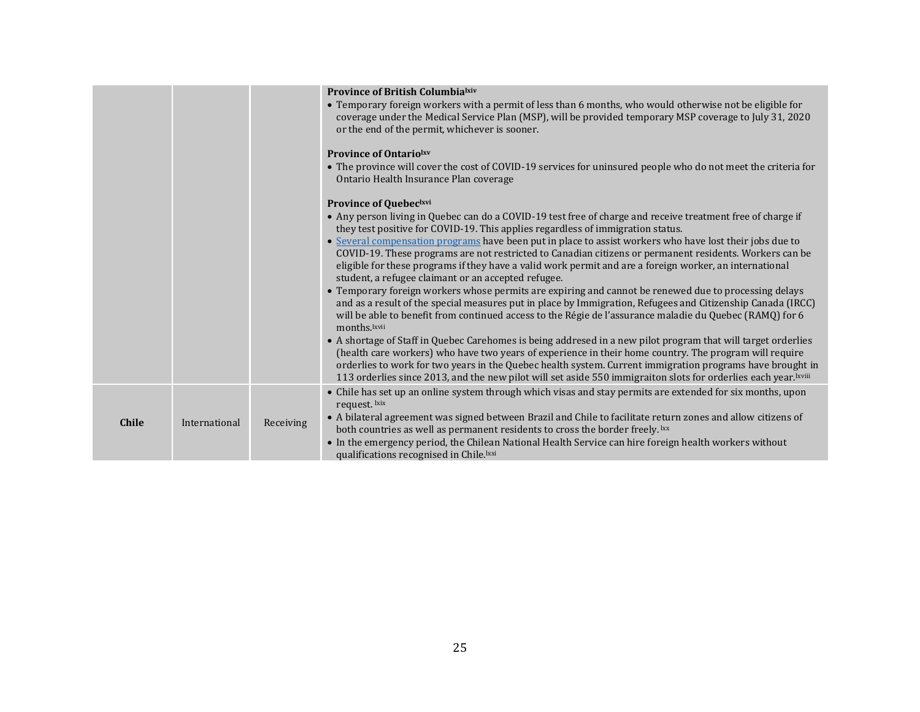|              |               |           | <b>Province of British Columbialxiv</b><br>• Temporary foreign workers with a permit of less than 6 months, who would otherwise not be eligible for<br>coverage under the Medical Service Plan (MSP), will be provided temporary MSP coverage to July 31, 2020<br>or the end of the permit, whichever is sooner.                                                                                                                                        |
|--------------|---------------|-----------|---------------------------------------------------------------------------------------------------------------------------------------------------------------------------------------------------------------------------------------------------------------------------------------------------------------------------------------------------------------------------------------------------------------------------------------------------------|
|              |               |           | <b>Province of Ontariolxy</b><br>• The province will cover the cost of COVID-19 services for uninsured people who do not meet the criteria for<br>Ontario Health Insurance Plan coverage                                                                                                                                                                                                                                                                |
|              |               |           | <b>Province of Quebeclxvi</b>                                                                                                                                                                                                                                                                                                                                                                                                                           |
|              |               |           | • Any person living in Quebec can do a COVID-19 test free of charge and receive treatment free of charge if<br>they test positive for COVID-19. This applies regardless of immigration status.                                                                                                                                                                                                                                                          |
|              |               |           | • Several compensation programs have been put in place to assist workers who have lost their jobs due to<br>COVID-19. These programs are not restricted to Canadian citizens or permanent residents. Workers can be<br>eligible for these programs if they have a valid work permit and are a foreign worker, an international<br>student, a refugee claimant or an accepted refugee.                                                                   |
|              |               |           | • Temporary foreign workers whose permits are expiring and cannot be renewed due to processing delays<br>and as a result of the special measures put in place by Immigration, Refugees and Citizenship Canada (IRCC)<br>will be able to benefit from continued access to the Régie de l'assurance maladie du Quebec (RAMQ) for 6<br>months.lxvii                                                                                                        |
|              |               |           | • A shortage of Staff in Quebec Carehomes is being addresed in a new pilot program that will target orderlies<br>(health care workers) who have two years of experience in their home country. The program will require<br>orderlies to work for two years in the Quebec health system. Current immigration programs have brought in<br>113 orderlies since 2013, and the new pilot will set aside 550 immigraiton slots for orderlies each year.lxviii |
| <b>Chile</b> | International | Receiving | • Chile has set up an online system through which visas and stay permits are extended for six months, upon<br>request. lxix<br>• A bilateral agreement was signed between Brazil and Chile to facilitate return zones and allow citizens of<br>both countries as well as permanent residents to cross the border freely. Ixx                                                                                                                            |
|              |               |           | • In the emergency period, the Chilean National Health Service can hire foreign health workers without<br>qualifications recognised in Chile. Ixxi                                                                                                                                                                                                                                                                                                      |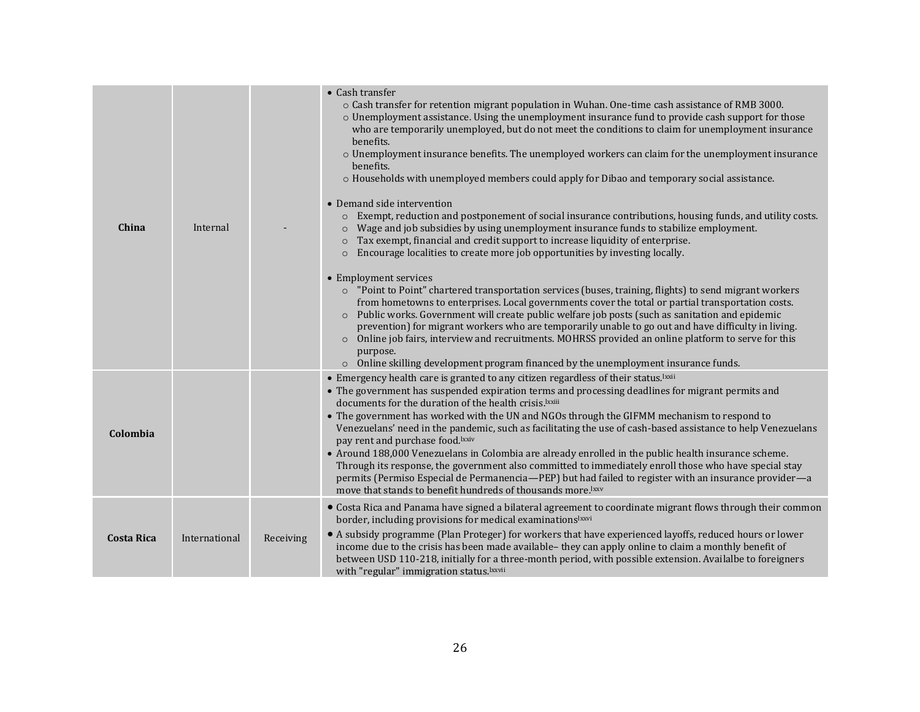| China             | Internal      |           | • Cash transfer<br>o Cash transfer for retention migrant population in Wuhan. One-time cash assistance of RMB 3000.<br>$\circ$ Unemployment assistance. Using the unemployment insurance fund to provide cash support for those<br>who are temporarily unemployed, but do not meet the conditions to claim for unemployment insurance<br>benefits.<br>$\circ$ Unemployment insurance benefits. The unemployed workers can claim for the unemployment insurance<br>benefits.<br>$\circ$ Households with unemployed members could apply for Dibao and temporary social assistance.<br>• Demand side intervention<br>Exempt, reduction and postponement of social insurance contributions, housing funds, and utility costs.<br>$\circ$<br>Wage and job subsidies by using unemployment insurance funds to stabilize employment.<br>$\circ$<br>Tax exempt, financial and credit support to increase liquidity of enterprise.<br>$\circ$<br>Encourage localities to create more job opportunities by investing locally.<br>$\circ$<br>• Employment services<br>○ "Point to Point" chartered transportation services (buses, training, flights) to send migrant workers<br>from hometowns to enterprises. Local governments cover the total or partial transportation costs.<br>Public works. Government will create public welfare job posts (such as sanitation and epidemic<br>$\circ$<br>prevention) for migrant workers who are temporarily unable to go out and have difficulty in living.<br>Online job fairs, interview and recruitments. MOHRSS provided an online platform to serve for this<br>$\circ$<br>purpose.<br>$\circ$ Online skilling development program financed by the unemployment insurance funds. |
|-------------------|---------------|-----------|-----------------------------------------------------------------------------------------------------------------------------------------------------------------------------------------------------------------------------------------------------------------------------------------------------------------------------------------------------------------------------------------------------------------------------------------------------------------------------------------------------------------------------------------------------------------------------------------------------------------------------------------------------------------------------------------------------------------------------------------------------------------------------------------------------------------------------------------------------------------------------------------------------------------------------------------------------------------------------------------------------------------------------------------------------------------------------------------------------------------------------------------------------------------------------------------------------------------------------------------------------------------------------------------------------------------------------------------------------------------------------------------------------------------------------------------------------------------------------------------------------------------------------------------------------------------------------------------------------------------------------------------------------------------------------------------------------------------------|
| Colombia          |               |           | • Emergency health care is granted to any citizen regardless of their status. Ixxii<br>• The government has suspended expiration terms and processing deadlines for migrant permits and<br>documents for the duration of the health crisis. Ixxiii<br>• The government has worked with the UN and NGOs through the GIFMM mechanism to respond to<br>Venezuelans' need in the pandemic, such as facilitating the use of cash-based assistance to help Venezuelans<br>pay rent and purchase food. Ixxiv<br>• Around 188,000 Venezuelans in Colombia are already enrolled in the public health insurance scheme.<br>Through its response, the government also committed to immediately enroll those who have special stay<br>permits (Permiso Especial de Permanencia—PEP) but had failed to register with an insurance provider—a<br>move that stands to benefit hundreds of thousands more. <sup>1xxv</sup>                                                                                                                                                                                                                                                                                                                                                                                                                                                                                                                                                                                                                                                                                                                                                                                                            |
| <b>Costa Rica</b> | International | Receiving | • Costa Rica and Panama have signed a bilateral agreement to coordinate migrant flows through their common<br>border, including provisions for medical examinationslxxvi<br>• A subsidy programme (Plan Proteger) for workers that have experienced layoffs, reduced hours or lower<br>income due to the crisis has been made available-they can apply online to claim a monthly benefit of<br>between USD 110-218, initially for a three-month period, with possible extension. Availalbe to foreigners<br>with "regular" immigration status. Ixxvii                                                                                                                                                                                                                                                                                                                                                                                                                                                                                                                                                                                                                                                                                                                                                                                                                                                                                                                                                                                                                                                                                                                                                                 |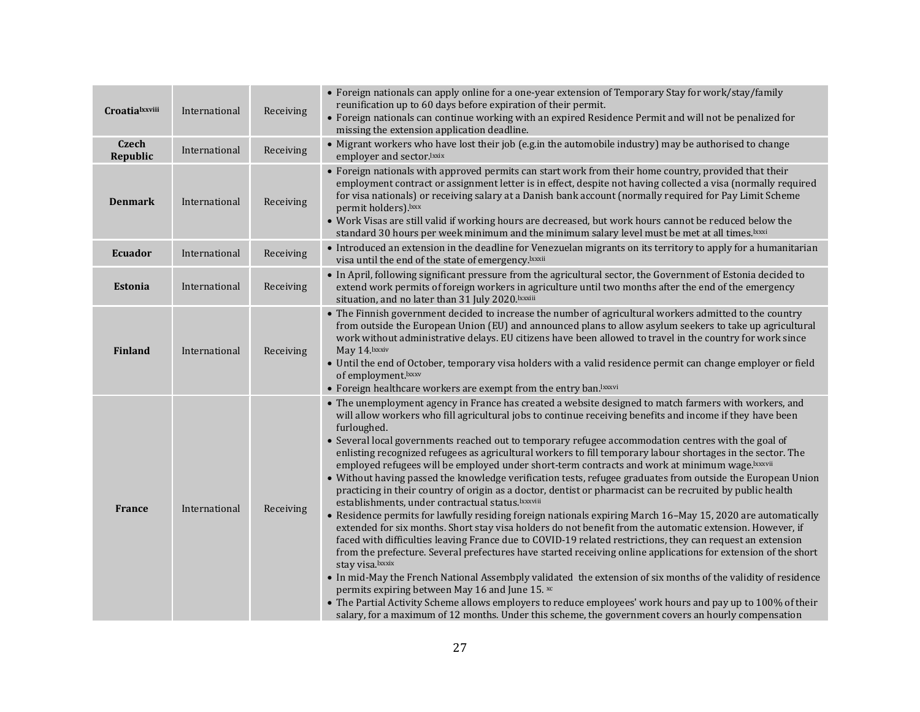| <b>Croatialxxviii</b>    | International | Receiving | • Foreign nationals can apply online for a one-year extension of Temporary Stay for work/stay/family<br>reunification up to 60 days before expiration of their permit.<br>• Foreign nationals can continue working with an expired Residence Permit and will not be penalized for<br>missing the extension application deadline.                                                                                                                                                                                                                                                                                                                                                                                                                                                                                                                                                                                                                                                                                                                                                                                                                                                                                                                                                                                                                                                                                                                                                                                                                                                                                                                                                                                       |
|--------------------------|---------------|-----------|------------------------------------------------------------------------------------------------------------------------------------------------------------------------------------------------------------------------------------------------------------------------------------------------------------------------------------------------------------------------------------------------------------------------------------------------------------------------------------------------------------------------------------------------------------------------------------------------------------------------------------------------------------------------------------------------------------------------------------------------------------------------------------------------------------------------------------------------------------------------------------------------------------------------------------------------------------------------------------------------------------------------------------------------------------------------------------------------------------------------------------------------------------------------------------------------------------------------------------------------------------------------------------------------------------------------------------------------------------------------------------------------------------------------------------------------------------------------------------------------------------------------------------------------------------------------------------------------------------------------------------------------------------------------------------------------------------------------|
| <b>Czech</b><br>Republic | International | Receiving | • Migrant workers who have lost their job (e.g.in the automobile industry) may be authorised to change<br>employer and sector.lxxix                                                                                                                                                                                                                                                                                                                                                                                                                                                                                                                                                                                                                                                                                                                                                                                                                                                                                                                                                                                                                                                                                                                                                                                                                                                                                                                                                                                                                                                                                                                                                                                    |
| <b>Denmark</b>           | International | Receiving | • Foreign nationals with approved permits can start work from their home country, provided that their<br>employment contract or assignment letter is in effect, despite not having collected a visa (normally required<br>for visa nationals) or receiving salary at a Danish bank account (normally required for Pay Limit Scheme<br>permit holders).lxxx<br>. Work Visas are still valid if working hours are decreased, but work hours cannot be reduced below the<br>standard 30 hours per week minimum and the minimum salary level must be met at all times. Ixxxi                                                                                                                                                                                                                                                                                                                                                                                                                                                                                                                                                                                                                                                                                                                                                                                                                                                                                                                                                                                                                                                                                                                                               |
| <b>Ecuador</b>           | International | Receiving | • Introduced an extension in the deadline for Venezuelan migrants on its territory to apply for a humanitarian<br>visa until the end of the state of emergency. Ixxxii                                                                                                                                                                                                                                                                                                                                                                                                                                                                                                                                                                                                                                                                                                                                                                                                                                                                                                                                                                                                                                                                                                                                                                                                                                                                                                                                                                                                                                                                                                                                                 |
| <b>Estonia</b>           | International | Receiving | • In April, following significant pressure from the agricultural sector, the Government of Estonia decided to<br>extend work permits of foreign workers in agriculture until two months after the end of the emergency<br>situation, and no later than 31 July 2020. Ixxxiii                                                                                                                                                                                                                                                                                                                                                                                                                                                                                                                                                                                                                                                                                                                                                                                                                                                                                                                                                                                                                                                                                                                                                                                                                                                                                                                                                                                                                                           |
| <b>Finland</b>           | International | Receiving | • The Finnish government decided to increase the number of agricultural workers admitted to the country<br>from outside the European Union (EU) and announced plans to allow asylum seekers to take up agricultural<br>work without administrative delays. EU citizens have been allowed to travel in the country for work since<br>May 14. Ixxxiv<br>• Until the end of October, temporary visa holders with a valid residence permit can change employer or field<br>of employment.lxxxv<br>• Foreign healthcare workers are exempt from the entry ban. Ixxxvi                                                                                                                                                                                                                                                                                                                                                                                                                                                                                                                                                                                                                                                                                                                                                                                                                                                                                                                                                                                                                                                                                                                                                       |
| <b>France</b>            | International | Receiving | • The unemployment agency in France has created a website designed to match farmers with workers, and<br>will allow workers who fill agricultural jobs to continue receiving benefits and income if they have been<br>furloughed.<br>• Several local governments reached out to temporary refugee accommodation centres with the goal of<br>enlisting recognized refugees as agricultural workers to fill temporary labour shortages in the sector. The<br>employed refugees will be employed under short-term contracts and work at minimum wage.lxxxvii<br>• Without having passed the knowledge verification tests, refugee graduates from outside the European Union<br>practicing in their country of origin as a doctor, dentist or pharmacist can be recruited by public health<br>establishments, under contractual status. Ixxxviii<br>• Residence permits for lawfully residing foreign nationals expiring March 16-May 15, 2020 are automatically<br>extended for six months. Short stay visa holders do not benefit from the automatic extension. However, if<br>faced with difficulties leaving France due to COVID-19 related restrictions, they can request an extension<br>from the prefecture. Several prefectures have started receiving online applications for extension of the short<br>stay visa.lxxxix<br>• In mid-May the French National Assembply validated the extension of six months of the validity of residence<br>permits expiring between May 16 and June 15. xc<br>• The Partial Activity Scheme allows employers to reduce employees' work hours and pay up to 100% of their<br>salary, for a maximum of 12 months. Under this scheme, the government covers an hourly compensation |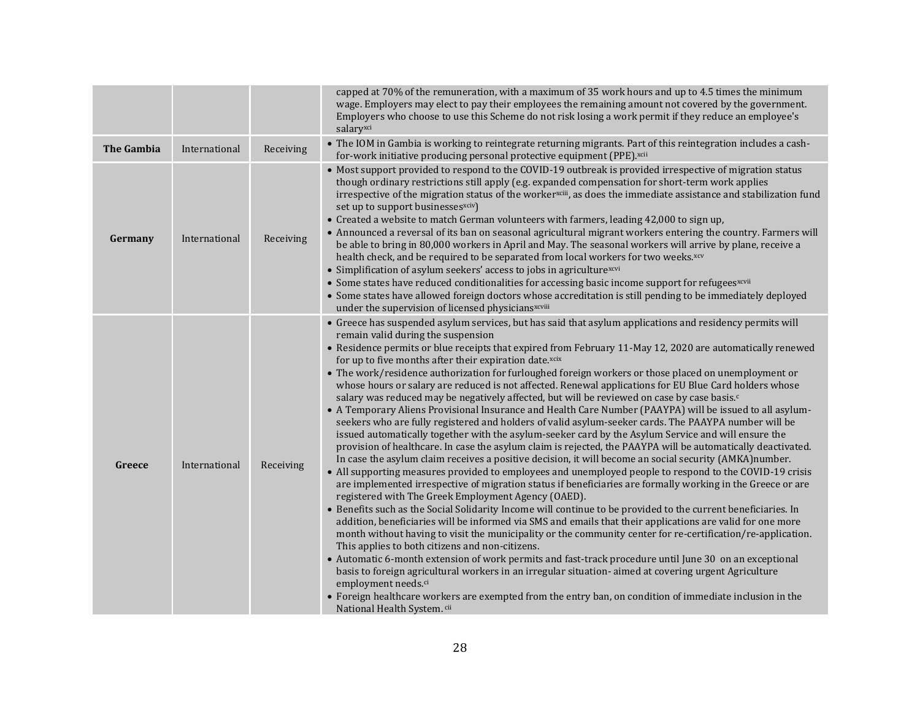|                   |               |           | capped at 70% of the remuneration, with a maximum of 35 work hours and up to 4.5 times the minimum<br>wage. Employers may elect to pay their employees the remaining amount not covered by the government.                                                                                                                                                                                                                                                                                                                                                                                                                                                                                                                                                                                                                                                                                                                                                                                                                                                                                                                                                                                                                                                                                                                                                                                                                                                                                                                                                                                                                                                                                                                                                                                                                                                                                                                                                                                                                                                                                                                                                                                                                                                                                |
|-------------------|---------------|-----------|-------------------------------------------------------------------------------------------------------------------------------------------------------------------------------------------------------------------------------------------------------------------------------------------------------------------------------------------------------------------------------------------------------------------------------------------------------------------------------------------------------------------------------------------------------------------------------------------------------------------------------------------------------------------------------------------------------------------------------------------------------------------------------------------------------------------------------------------------------------------------------------------------------------------------------------------------------------------------------------------------------------------------------------------------------------------------------------------------------------------------------------------------------------------------------------------------------------------------------------------------------------------------------------------------------------------------------------------------------------------------------------------------------------------------------------------------------------------------------------------------------------------------------------------------------------------------------------------------------------------------------------------------------------------------------------------------------------------------------------------------------------------------------------------------------------------------------------------------------------------------------------------------------------------------------------------------------------------------------------------------------------------------------------------------------------------------------------------------------------------------------------------------------------------------------------------------------------------------------------------------------------------------------------------|
|                   |               |           | Employers who choose to use this Scheme do not risk losing a work permit if they reduce an employee's<br>salaryxci                                                                                                                                                                                                                                                                                                                                                                                                                                                                                                                                                                                                                                                                                                                                                                                                                                                                                                                                                                                                                                                                                                                                                                                                                                                                                                                                                                                                                                                                                                                                                                                                                                                                                                                                                                                                                                                                                                                                                                                                                                                                                                                                                                        |
| <b>The Gambia</b> | International | Receiving | • The IOM in Gambia is working to reintegrate returning migrants. Part of this reintegration includes a cash-<br>for-work initiative producing personal protective equipment (PPE).xcii                                                                                                                                                                                                                                                                                                                                                                                                                                                                                                                                                                                                                                                                                                                                                                                                                                                                                                                                                                                                                                                                                                                                                                                                                                                                                                                                                                                                                                                                                                                                                                                                                                                                                                                                                                                                                                                                                                                                                                                                                                                                                                   |
| Germany           | International | Receiving | • Most support provided to respond to the COVID-19 outbreak is provided irrespective of migration status<br>though ordinary restrictions still apply (e.g. expanded compensation for short-term work applies<br>irrespective of the migration status of the worker <sup>xciii</sup> , as does the immediate assistance and stabilization fund<br>set up to support businesses <sup>xciv</sup> )<br>• Created a website to match German volunteers with farmers, leading 42,000 to sign up,<br>• Announced a reversal of its ban on seasonal agricultural migrant workers entering the country. Farmers will<br>be able to bring in 80,000 workers in April and May. The seasonal workers will arrive by plane, receive a<br>health check, and be required to be separated from local workers for two weeks.xcv<br>• Simplification of asylum seekers' access to jobs in agriculturexcvi<br>• Some states have reduced conditionalities for accessing basic income support for refugees <sup>xcvii</sup><br>• Some states have allowed foreign doctors whose accreditation is still pending to be immediately deployed<br>under the supervision of licensed physiciansxcviii                                                                                                                                                                                                                                                                                                                                                                                                                                                                                                                                                                                                                                                                                                                                                                                                                                                                                                                                                                                                                                                                                                               |
| Greece            | International | Receiving | • Greece has suspended asylum services, but has said that asylum applications and residency permits will<br>remain valid during the suspension<br>• Residence permits or blue receipts that expired from February 11-May 12, 2020 are automatically renewed<br>for up to five months after their expiration date.xcix<br>• The work/residence authorization for furloughed foreign workers or those placed on unemployment or<br>whose hours or salary are reduced is not affected. Renewal applications for EU Blue Card holders whose<br>salary was reduced may be negatively affected, but will be reviewed on case by case basis. <sup>c</sup><br>• A Temporary Aliens Provisional Insurance and Health Care Number (PAAYPA) will be issued to all asylum-<br>seekers who are fully registered and holders of valid asylum-seeker cards. The PAAYPA number will be<br>issued automatically together with the asylum-seeker card by the Asylum Service and will ensure the<br>provision of healthcare. In case the asylum claim is rejected, the PAAYPA will be automatically deactivated.<br>In case the asylum claim receives a positive decision, it will become an social security (AMKA)number.<br>• All supporting measures provided to employees and unemployed people to respond to the COVID-19 crisis<br>are implemented irrespective of migration status if beneficiaries are formally working in the Greece or are<br>registered with The Greek Employment Agency (OAED).<br>• Benefits such as the Social Solidarity Income will continue to be provided to the current beneficiaries. In<br>addition, beneficiaries will be informed via SMS and emails that their applications are valid for one more<br>month without having to visit the municipality or the community center for re-certification/re-application.<br>This applies to both citizens and non-citizens.<br>• Automatic 6-month extension of work permits and fast-track procedure until June 30 on an exceptional<br>basis to foreign agricultural workers in an irregular situation-aimed at covering urgent Agriculture<br>employment needs. <sup>ci</sup><br>• Foreign healthcare workers are exempted from the entry ban, on condition of immediate inclusion in the<br>National Health System. cii |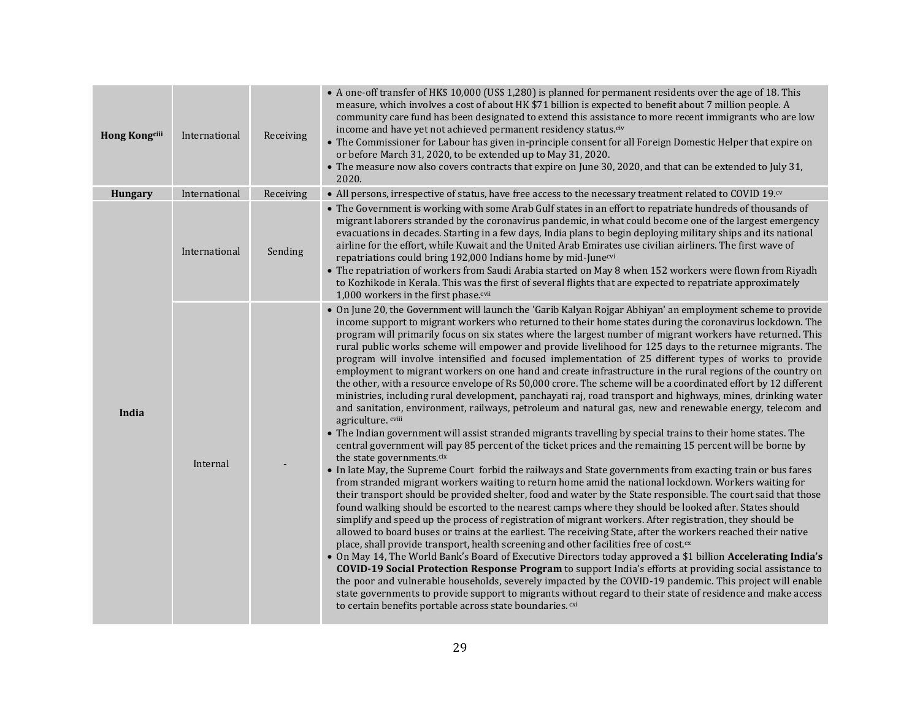| <b>Hong Kongcill</b> | International | Receiving | • A one-off transfer of HK\$ 10,000 (US\$ 1,280) is planned for permanent residents over the age of 18. This<br>measure, which involves a cost of about HK \$71 billion is expected to benefit about 7 million people. A<br>community care fund has been designated to extend this assistance to more recent immigrants who are low<br>income and have yet not achieved permanent residency status.civ<br>• The Commissioner for Labour has given in-principle consent for all Foreign Domestic Helper that expire on<br>or before March 31, 2020, to be extended up to May 31, 2020.<br>• The measure now also covers contracts that expire on June 30, 2020, and that can be extended to July 31,<br>2020.                                                                                                                                                                                                                                                                                                                                                                                                                                                                                                                                                                                                                                                                                                                                                                                                                                                                                                                                                                                                                                                                                                                                                                                                                                                                                                                                                                                                                                                                                                                                                                                                                                                                                                                                                                                                                                                                                                  |
|----------------------|---------------|-----------|---------------------------------------------------------------------------------------------------------------------------------------------------------------------------------------------------------------------------------------------------------------------------------------------------------------------------------------------------------------------------------------------------------------------------------------------------------------------------------------------------------------------------------------------------------------------------------------------------------------------------------------------------------------------------------------------------------------------------------------------------------------------------------------------------------------------------------------------------------------------------------------------------------------------------------------------------------------------------------------------------------------------------------------------------------------------------------------------------------------------------------------------------------------------------------------------------------------------------------------------------------------------------------------------------------------------------------------------------------------------------------------------------------------------------------------------------------------------------------------------------------------------------------------------------------------------------------------------------------------------------------------------------------------------------------------------------------------------------------------------------------------------------------------------------------------------------------------------------------------------------------------------------------------------------------------------------------------------------------------------------------------------------------------------------------------------------------------------------------------------------------------------------------------------------------------------------------------------------------------------------------------------------------------------------------------------------------------------------------------------------------------------------------------------------------------------------------------------------------------------------------------------------------------------------------------------------------------------------------------|
| <b>Hungary</b>       | International | Receiving | • All persons, irrespective of status, have free access to the necessary treatment related to COVID 19. <sup>ov</sup>                                                                                                                                                                                                                                                                                                                                                                                                                                                                                                                                                                                                                                                                                                                                                                                                                                                                                                                                                                                                                                                                                                                                                                                                                                                                                                                                                                                                                                                                                                                                                                                                                                                                                                                                                                                                                                                                                                                                                                                                                                                                                                                                                                                                                                                                                                                                                                                                                                                                                         |
|                      | International | Sending   | • The Government is working with some Arab Gulf states in an effort to repatriate hundreds of thousands of<br>migrant laborers stranded by the coronavirus pandemic, in what could become one of the largest emergency<br>evacuations in decades. Starting in a few days, India plans to begin deploying military ships and its national<br>airline for the effort, while Kuwait and the United Arab Emirates use civilian airliners. The first wave of<br>repatriations could bring 192,000 Indians home by mid-Junecvi<br>• The repatriation of workers from Saudi Arabia started on May 8 when 152 workers were flown from Riyadh<br>to Kozhikode in Kerala. This was the first of several flights that are expected to repatriate approximately<br>1,000 workers in the first phase.cvii                                                                                                                                                                                                                                                                                                                                                                                                                                                                                                                                                                                                                                                                                                                                                                                                                                                                                                                                                                                                                                                                                                                                                                                                                                                                                                                                                                                                                                                                                                                                                                                                                                                                                                                                                                                                                  |
| India                | Internal      |           | • On June 20, the Government will launch the 'Garib Kalyan Rojgar Abhiyan' an employment scheme to provide<br>income support to migrant workers who returned to their home states during the coronavirus lockdown. The<br>program will primarily focus on six states where the largest number of migrant workers have returned. This<br>rural public works scheme will empower and provide livelihood for 125 days to the returnee migrants. The<br>program will involve intensified and focused implementation of 25 different types of works to provide<br>employment to migrant workers on one hand and create infrastructure in the rural regions of the country on<br>the other, with a resource envelope of Rs 50,000 crore. The scheme will be a coordinated effort by 12 different<br>ministries, including rural development, panchayati raj, road transport and highways, mines, drinking water<br>and sanitation, environment, railways, petroleum and natural gas, new and renewable energy, telecom and<br>agriculture. cviii<br>• The Indian government will assist stranded migrants travelling by special trains to their home states. The<br>central government will pay 85 percent of the ticket prices and the remaining 15 percent will be borne by<br>the state governments.cix<br>• In late May, the Supreme Court forbid the railways and State governments from exacting train or bus fares<br>from stranded migrant workers waiting to return home amid the national lockdown. Workers waiting for<br>their transport should be provided shelter, food and water by the State responsible. The court said that those<br>found walking should be escorted to the nearest camps where they should be looked after. States should<br>simplify and speed up the process of registration of migrant workers. After registration, they should be<br>allowed to board buses or trains at the earliest. The receiving State, after the workers reached their native<br>place, shall provide transport, health screening and other facilities free of cost. <sup>cx</sup><br>. On May 14, The World Bank's Board of Executive Directors today approved a \$1 billion Accelerating India's<br>COVID-19 Social Protection Response Program to support India's efforts at providing social assistance to<br>the poor and vulnerable households, severely impacted by the COVID-19 pandemic. This project will enable<br>state governments to provide support to migrants without regard to their state of residence and make access<br>to certain benefits portable across state boundaries. CXi |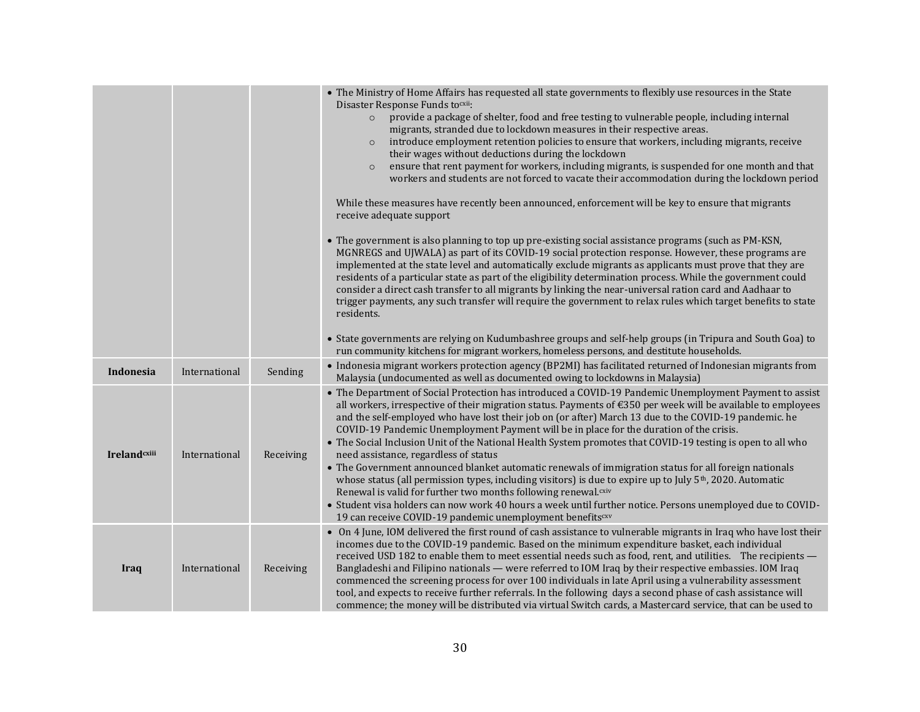|                      |               |           | • The Ministry of Home Affairs has requested all state governments to flexibly use resources in the State<br>Disaster Response Funds tocxii:<br>provide a package of shelter, food and free testing to vulnerable people, including internal<br>$\circ$<br>migrants, stranded due to lockdown measures in their respective areas.<br>introduce employment retention policies to ensure that workers, including migrants, receive<br>$\circ$<br>their wages without deductions during the lockdown<br>ensure that rent payment for workers, including migrants, is suspended for one month and that<br>$\circ$<br>workers and students are not forced to vacate their accommodation during the lockdown period<br>While these measures have recently been announced, enforcement will be key to ensure that migrants<br>receive adequate support<br>• The government is also planning to top up pre-existing social assistance programs (such as PM-KSN,<br>MGNREGS and UJWALA) as part of its COVID-19 social protection response. However, these programs are<br>implemented at the state level and automatically exclude migrants as applicants must prove that they are<br>residents of a particular state as part of the eligibility determination process. While the government could<br>consider a direct cash transfer to all migrants by linking the near-universal ration card and Aadhaar to<br>trigger payments, any such transfer will require the government to relax rules which target benefits to state<br>residents.<br>• State governments are relying on Kudumbashree groups and self-help groups (in Tripura and South Goa) to |
|----------------------|---------------|-----------|----------------------------------------------------------------------------------------------------------------------------------------------------------------------------------------------------------------------------------------------------------------------------------------------------------------------------------------------------------------------------------------------------------------------------------------------------------------------------------------------------------------------------------------------------------------------------------------------------------------------------------------------------------------------------------------------------------------------------------------------------------------------------------------------------------------------------------------------------------------------------------------------------------------------------------------------------------------------------------------------------------------------------------------------------------------------------------------------------------------------------------------------------------------------------------------------------------------------------------------------------------------------------------------------------------------------------------------------------------------------------------------------------------------------------------------------------------------------------------------------------------------------------------------------------------------------------------------------------------------------------------------------------|
| Indonesia            | International | Sending   | run community kitchens for migrant workers, homeless persons, and destitute households.<br>• Indonesia migrant workers protection agency (BP2MI) has facilitated returned of Indonesian migrants from<br>Malaysia (undocumented as well as documented owing to lockdowns in Malaysia)                                                                                                                                                                                                                                                                                                                                                                                                                                                                                                                                                                                                                                                                                                                                                                                                                                                                                                                                                                                                                                                                                                                                                                                                                                                                                                                                                              |
| <b>Ireland</b> cxiii | International | Receiving | • The Department of Social Protection has introduced a COVID-19 Pandemic Unemployment Payment to assist<br>all workers, irrespective of their migration status. Payments of $\epsilon$ 350 per week will be available to employees<br>and the self-employed who have lost their job on (or after) March 13 due to the COVID-19 pandemic. he<br>COVID-19 Pandemic Unemployment Payment will be in place for the duration of the crisis.<br>• The Social Inclusion Unit of the National Health System promotes that COVID-19 testing is open to all who<br>need assistance, regardless of status<br>• The Government announced blanket automatic renewals of immigration status for all foreign nationals<br>whose status (all permission types, including visitors) is due to expire up to July 5 <sup>th</sup> , 2020. Automatic<br>Renewal is valid for further two months following renewal.cxiv<br>· Student visa holders can now work 40 hours a week until further notice. Persons unemployed due to COVID-<br>19 can receive COVID-19 pandemic unemployment benefitscxv                                                                                                                                                                                                                                                                                                                                                                                                                                                                                                                                                                      |
| Iraq                 | International | Receiving | • On 4 June, IOM delivered the first round of cash assistance to vulnerable migrants in Iraq who have lost their<br>incomes due to the COVID-19 pandemic. Based on the minimum expenditure basket, each individual<br>received USD 182 to enable them to meet essential needs such as food, rent, and utilities. The recipients -<br>Bangladeshi and Filipino nationals - were referred to IOM Iraq by their respective embassies. IOM Iraq<br>commenced the screening process for over 100 individuals in late April using a vulnerability assessment<br>tool, and expects to receive further referrals. In the following days a second phase of cash assistance will<br>commence; the money will be distributed via virtual Switch cards, a Mastercard service, that can be used to                                                                                                                                                                                                                                                                                                                                                                                                                                                                                                                                                                                                                                                                                                                                                                                                                                                              |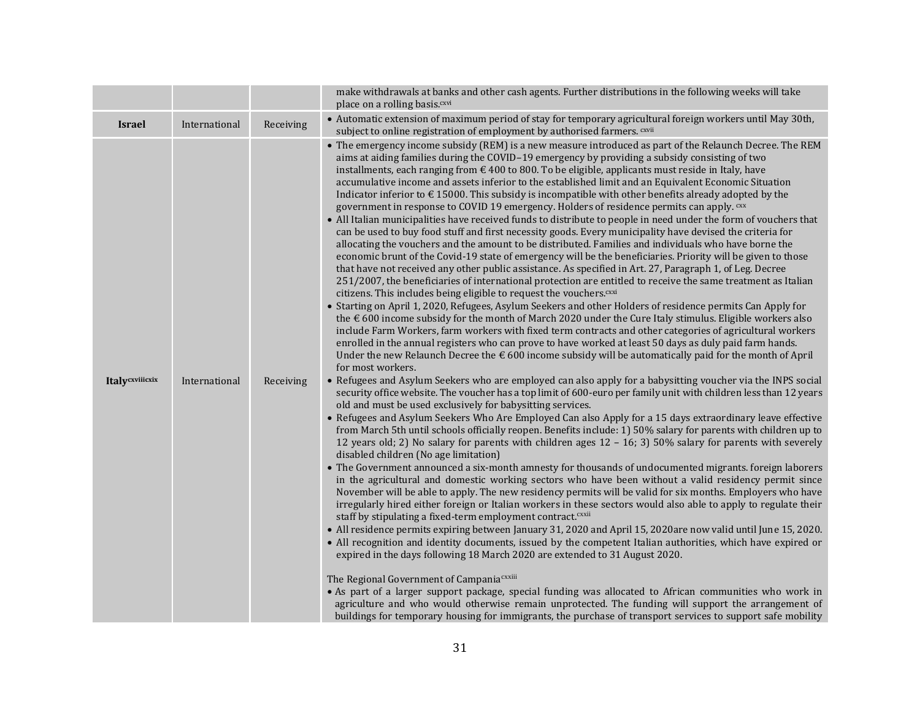|                 |               |           | make withdrawals at banks and other cash agents. Further distributions in the following weeks will take<br>place on a rolling basis. <sup>cxvi</sup>                                                                                                                                                                                                                                                                                                                                                                                                                                                                                                                                                                                                                                                                                                                                                                                                                                                                                                                                                                                                                                                                                                                                                                                                                                                                                                                                                                                                                                                                                                                                                                                                                                                                                                                                                                                                                                                                                                                                                                                                                                                                                                                                                                                                                                                                                                                                                                                                                                                                                                                                                                                                                                                                                                                                                                                                                                                                                                                                                                                                                                                                                                                                                                                                                                                                                                                                                                                                                                                                                                                                                                                                                                                                                                                                                                                                       |
|-----------------|---------------|-----------|------------------------------------------------------------------------------------------------------------------------------------------------------------------------------------------------------------------------------------------------------------------------------------------------------------------------------------------------------------------------------------------------------------------------------------------------------------------------------------------------------------------------------------------------------------------------------------------------------------------------------------------------------------------------------------------------------------------------------------------------------------------------------------------------------------------------------------------------------------------------------------------------------------------------------------------------------------------------------------------------------------------------------------------------------------------------------------------------------------------------------------------------------------------------------------------------------------------------------------------------------------------------------------------------------------------------------------------------------------------------------------------------------------------------------------------------------------------------------------------------------------------------------------------------------------------------------------------------------------------------------------------------------------------------------------------------------------------------------------------------------------------------------------------------------------------------------------------------------------------------------------------------------------------------------------------------------------------------------------------------------------------------------------------------------------------------------------------------------------------------------------------------------------------------------------------------------------------------------------------------------------------------------------------------------------------------------------------------------------------------------------------------------------------------------------------------------------------------------------------------------------------------------------------------------------------------------------------------------------------------------------------------------------------------------------------------------------------------------------------------------------------------------------------------------------------------------------------------------------------------------------------------------------------------------------------------------------------------------------------------------------------------------------------------------------------------------------------------------------------------------------------------------------------------------------------------------------------------------------------------------------------------------------------------------------------------------------------------------------------------------------------------------------------------------------------------------------------------------------------------------------------------------------------------------------------------------------------------------------------------------------------------------------------------------------------------------------------------------------------------------------------------------------------------------------------------------------------------------------------------------------------------------------------------------------------------------------|
| <b>Israel</b>   | International | Receiving | • Automatic extension of maximum period of stay for temporary agricultural foreign workers until May 30th,<br>subject to online registration of employment by authorised farmers. CXVII                                                                                                                                                                                                                                                                                                                                                                                                                                                                                                                                                                                                                                                                                                                                                                                                                                                                                                                                                                                                                                                                                                                                                                                                                                                                                                                                                                                                                                                                                                                                                                                                                                                                                                                                                                                                                                                                                                                                                                                                                                                                                                                                                                                                                                                                                                                                                                                                                                                                                                                                                                                                                                                                                                                                                                                                                                                                                                                                                                                                                                                                                                                                                                                                                                                                                                                                                                                                                                                                                                                                                                                                                                                                                                                                                                    |
| Italycxviiicxix | International | Receiving | • The emergency income subsidy (REM) is a new measure introduced as part of the Relaunch Decree. The REM<br>aims at aiding families during the COVID-19 emergency by providing a subsidy consisting of two<br>installments, each ranging from $\in$ 400 to 800. To be eligible, applicants must reside in Italy, have<br>accumulative income and assets inferior to the established limit and an Equivalent Economic Situation<br>Indicator inferior to $\epsilon$ 15000. This subsidy is incompatible with other benefits already adopted by the<br>government in response to COVID 19 emergency. Holders of residence permits can apply. CXX<br>• All Italian municipalities have received funds to distribute to people in need under the form of vouchers that<br>can be used to buy food stuff and first necessity goods. Every municipality have devised the criteria for<br>allocating the vouchers and the amount to be distributed. Families and individuals who have borne the<br>economic brunt of the Covid-19 state of emergency will be the beneficiaries. Priority will be given to those<br>that have not received any other public assistance. As specified in Art. 27, Paragraph 1, of Leg. Decree<br>251/2007, the beneficiaries of international protection are entitled to receive the same treatment as Italian<br>citizens. This includes being eligible to request the vouchers. CXXi<br>• Starting on April 1, 2020, Refugees, Asylum Seekers and other Holders of residence permits Can Apply for<br>the $\epsilon$ 600 income subsidy for the month of March 2020 under the Cure Italy stimulus. Eligible workers also<br>include Farm Workers, farm workers with fixed term contracts and other categories of agricultural workers<br>enrolled in the annual registers who can prove to have worked at least 50 days as duly paid farm hands.<br>Under the new Relaunch Decree the $\epsilon$ 600 income subsidy will be automatically paid for the month of April<br>for most workers.<br>• Refugees and Asylum Seekers who are employed can also apply for a babysitting voucher via the INPS social<br>security office website. The voucher has a top limit of 600-euro per family unit with children less than 12 years<br>old and must be used exclusively for babysitting services.<br>• Refugees and Asylum Seekers Who Are Employed Can also Apply for a 15 days extraordinary leave effective<br>from March 5th until schools officially reopen. Benefits include: 1) 50% salary for parents with children up to<br>12 years old; 2) No salary for parents with children ages $12 - 16$ ; 3) 50% salary for parents with severely<br>disabled children (No age limitation)<br>• The Government announced a six-month amnesty for thousands of undocumented migrants. foreign laborers<br>in the agricultural and domestic working sectors who have been without a valid residency permit since<br>November will be able to apply. The new residency permits will be valid for six months. Employers who have<br>irregularly hired either foreign or Italian workers in these sectors would also able to apply to regulate their<br>staff by stipulating a fixed-term employment contract. <sup>cxxii</sup><br>• All residence permits expiring between January 31, 2020 and April 15, 2020are now valid until June 15, 2020.<br>• All recognition and identity documents, issued by the competent Italian authorities, which have expired or<br>expired in the days following 18 March 2020 are extended to 31 August 2020.<br>The Regional Government of Campania <sup>cxxiii</sup><br>• As part of a larger support package, special funding was allocated to African communities who work in<br>agriculture and who would otherwise remain unprotected. The funding will support the arrangement of<br>buildings for temporary housing for immigrants, the purchase of transport services to support safe mobility |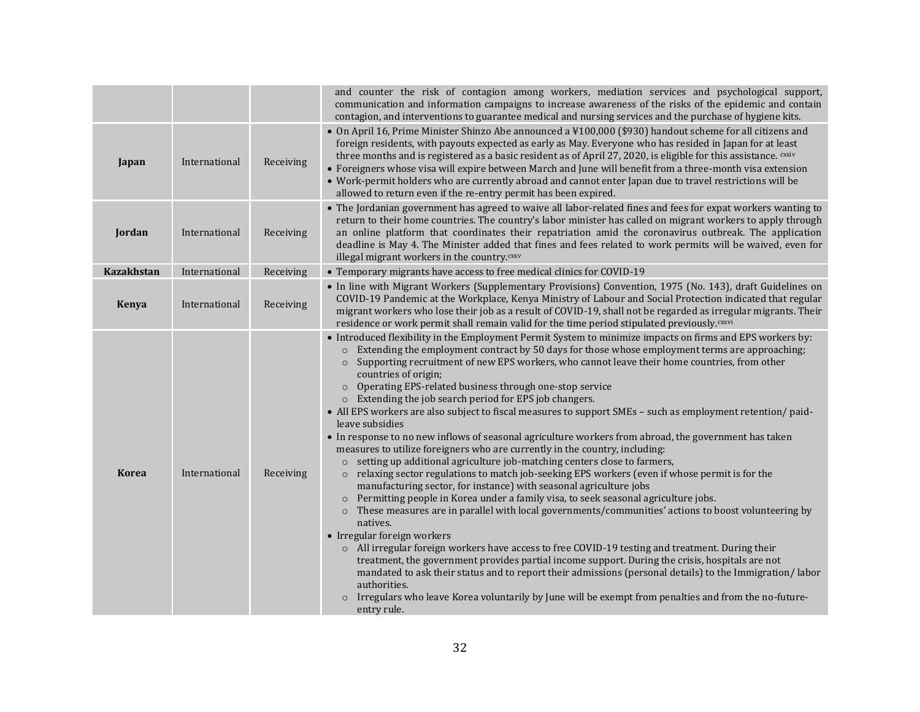|                   |               |           | and counter the risk of contagion among workers, mediation services and psychological support,<br>communication and information campaigns to increase awareness of the risks of the epidemic and contain<br>contagion, and interventions to guarantee medical and nursing services and the purchase of hygiene kits.                                                                                                                                                                                                                                                                                                                                                                                                                                                                                                                                                                                                                                                                                                                                                                                                                                                                                                                                                                                                                                                                                                                                                                                                                                                                                                                                                                                                                                                                                                          |
|-------------------|---------------|-----------|-------------------------------------------------------------------------------------------------------------------------------------------------------------------------------------------------------------------------------------------------------------------------------------------------------------------------------------------------------------------------------------------------------------------------------------------------------------------------------------------------------------------------------------------------------------------------------------------------------------------------------------------------------------------------------------------------------------------------------------------------------------------------------------------------------------------------------------------------------------------------------------------------------------------------------------------------------------------------------------------------------------------------------------------------------------------------------------------------------------------------------------------------------------------------------------------------------------------------------------------------------------------------------------------------------------------------------------------------------------------------------------------------------------------------------------------------------------------------------------------------------------------------------------------------------------------------------------------------------------------------------------------------------------------------------------------------------------------------------------------------------------------------------------------------------------------------------|
| Japan             | International | Receiving | • On April 16, Prime Minister Shinzo Abe announced a ¥100,000 (\$930) handout scheme for all citizens and<br>foreign residents, with payouts expected as early as May. Everyone who has resided in Japan for at least<br>three months and is registered as a basic resident as of April 27, 2020, is eligible for this assistance. CXXIV<br>• Foreigners whose visa will expire between March and June will benefit from a three-month visa extension<br>• Work-permit holders who are currently abroad and cannot enter Japan due to travel restrictions will be<br>allowed to return even if the re-entry permit has been expired.                                                                                                                                                                                                                                                                                                                                                                                                                                                                                                                                                                                                                                                                                                                                                                                                                                                                                                                                                                                                                                                                                                                                                                                          |
| Jordan            | International | Receiving | • The Jordanian government has agreed to waive all labor-related fines and fees for expat workers wanting to<br>return to their home countries. The country's labor minister has called on migrant workers to apply through<br>an online platform that coordinates their repatriation amid the coronavirus outbreak. The application<br>deadline is May 4. The Minister added that fines and fees related to work permits will be waived, even for<br>illegal migrant workers in the country. <sup>cxxv</sup>                                                                                                                                                                                                                                                                                                                                                                                                                                                                                                                                                                                                                                                                                                                                                                                                                                                                                                                                                                                                                                                                                                                                                                                                                                                                                                                 |
| <b>Kazakhstan</b> | International | Receiving | • Temporary migrants have access to free medical clinics for COVID-19                                                                                                                                                                                                                                                                                                                                                                                                                                                                                                                                                                                                                                                                                                                                                                                                                                                                                                                                                                                                                                                                                                                                                                                                                                                                                                                                                                                                                                                                                                                                                                                                                                                                                                                                                         |
| Kenya             | International | Receiving | • In line with Migrant Workers (Supplementary Provisions) Convention, 1975 (No. 143), draft Guidelines on<br>COVID-19 Pandemic at the Workplace, Kenya Ministry of Labour and Social Protection indicated that regular<br>migrant workers who lose their job as a result of COVID-19, shall not be regarded as irregular migrants. Their<br>residence or work permit shall remain valid for the time period stipulated previously. <sup>cxxvi</sup>                                                                                                                                                                                                                                                                                                                                                                                                                                                                                                                                                                                                                                                                                                                                                                                                                                                                                                                                                                                                                                                                                                                                                                                                                                                                                                                                                                           |
| <b>Korea</b>      | International | Receiving | • Introduced flexibility in the Employment Permit System to minimize impacts on firms and EPS workers by:<br>Extending the employment contract by 50 days for those whose employment terms are approaching;<br>$\circ$<br>Supporting recruitment of new EPS workers, who cannot leave their home countries, from other<br>$\circ$<br>countries of origin;<br>Operating EPS-related business through one-stop service<br>$\circ$<br>Extending the job search period for EPS job changers.<br>$\circ$<br>• All EPS workers are also subject to fiscal measures to support SMEs - such as employment retention/ paid-<br>leave subsidies<br>• In response to no new inflows of seasonal agriculture workers from abroad, the government has taken<br>measures to utilize foreigners who are currently in the country, including:<br>setting up additional agriculture job-matching centers close to farmers,<br>$\circ$<br>relaxing sector regulations to match job-seeking EPS workers (even if whose permit is for the<br>$\circ$<br>manufacturing sector, for instance) with seasonal agriculture jobs<br>Permitting people in Korea under a family visa, to seek seasonal agriculture jobs.<br>$\circ$<br>These measures are in parallel with local governments/communities' actions to boost volunteering by<br>$\circ$<br>natives.<br>• Irregular foreign workers<br>o All irregular foreign workers have access to free COVID-19 testing and treatment. During their<br>treatment, the government provides partial income support. During the crisis, hospitals are not<br>mandated to ask their status and to report their admissions (personal details) to the Immigration/labor<br>authorities.<br>Irregulars who leave Korea voluntarily by June will be exempt from penalties and from the no-future-<br>entry rule. |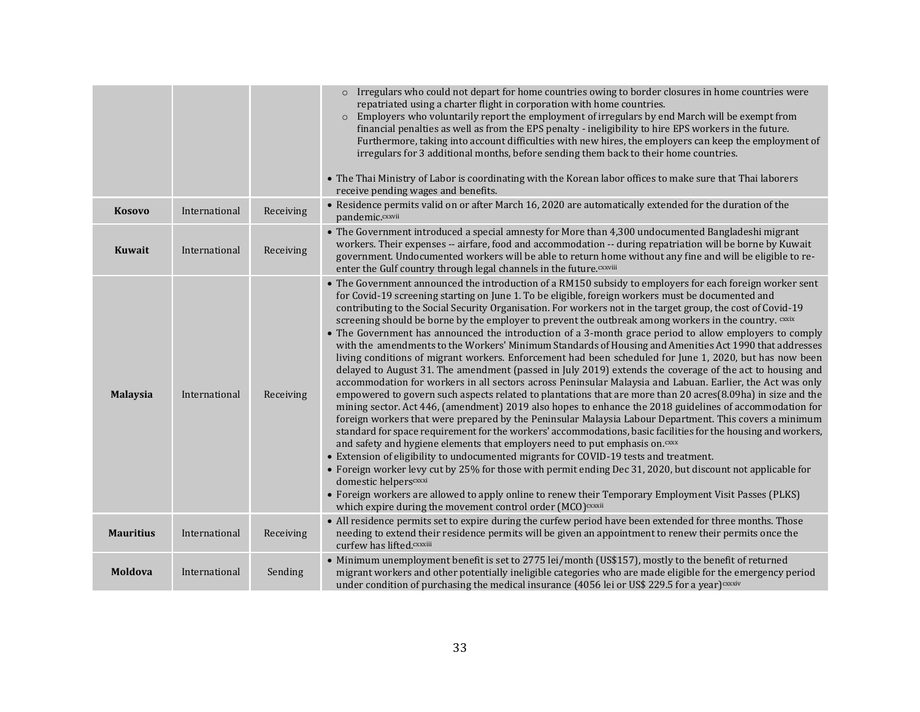|                  |               |           | Irregulars who could not depart for home countries owing to border closures in home countries were<br>$\circ$<br>repatriated using a charter flight in corporation with home countries.<br>Employers who voluntarily report the employment of irregulars by end March will be exempt from<br>$\circ$<br>financial penalties as well as from the EPS penalty - ineligibility to hire EPS workers in the future.<br>Furthermore, taking into account difficulties with new hires, the employers can keep the employment of<br>irregulars for 3 additional months, before sending them back to their home countries.<br>• The Thai Ministry of Labor is coordinating with the Korean labor offices to make sure that Thai laborers<br>receive pending wages and benefits.                                                                                                                                                                                                                                                                                                                                                                                                                                                                                                                                                                                                                                                                                                                                                                                                                                                                                                                                                                                                                                                                                                                                                                      |
|------------------|---------------|-----------|---------------------------------------------------------------------------------------------------------------------------------------------------------------------------------------------------------------------------------------------------------------------------------------------------------------------------------------------------------------------------------------------------------------------------------------------------------------------------------------------------------------------------------------------------------------------------------------------------------------------------------------------------------------------------------------------------------------------------------------------------------------------------------------------------------------------------------------------------------------------------------------------------------------------------------------------------------------------------------------------------------------------------------------------------------------------------------------------------------------------------------------------------------------------------------------------------------------------------------------------------------------------------------------------------------------------------------------------------------------------------------------------------------------------------------------------------------------------------------------------------------------------------------------------------------------------------------------------------------------------------------------------------------------------------------------------------------------------------------------------------------------------------------------------------------------------------------------------------------------------------------------------------------------------------------------------|
| <b>Kosovo</b>    | International | Receiving | • Residence permits valid on or after March 16, 2020 are automatically extended for the duration of the<br>pandemic.cxxvii                                                                                                                                                                                                                                                                                                                                                                                                                                                                                                                                                                                                                                                                                                                                                                                                                                                                                                                                                                                                                                                                                                                                                                                                                                                                                                                                                                                                                                                                                                                                                                                                                                                                                                                                                                                                                  |
| Kuwait           | International | Receiving | • The Government introduced a special amnesty for More than 4,300 undocumented Bangladeshi migrant<br>workers. Their expenses -- airfare, food and accommodation -- during repatriation will be borne by Kuwait<br>government. Undocumented workers will be able to return home without any fine and will be eligible to re-<br>enter the Gulf country through legal channels in the future. CXXViii                                                                                                                                                                                                                                                                                                                                                                                                                                                                                                                                                                                                                                                                                                                                                                                                                                                                                                                                                                                                                                                                                                                                                                                                                                                                                                                                                                                                                                                                                                                                        |
| <b>Malaysia</b>  | International | Receiving | • The Government announced the introduction of a RM150 subsidy to employers for each foreign worker sent<br>for Covid-19 screening starting on June 1. To be eligible, foreign workers must be documented and<br>contributing to the Social Security Organisation. For workers not in the target group, the cost of Covid-19<br>screening should be borne by the employer to prevent the outbreak among workers in the country. CXXIX<br>• The Government has announced the introduction of a 3-month grace period to allow employers to comply<br>with the amendments to the Workers' Minimum Standards of Housing and Amenities Act 1990 that addresses<br>living conditions of migrant workers. Enforcement had been scheduled for June 1, 2020, but has now been<br>delayed to August 31. The amendment (passed in July 2019) extends the coverage of the act to housing and<br>accommodation for workers in all sectors across Peninsular Malaysia and Labuan. Earlier, the Act was only<br>empowered to govern such aspects related to plantations that are more than 20 acres(8.09ha) in size and the<br>mining sector. Act 446, (amendment) 2019 also hopes to enhance the 2018 guidelines of accommodation for<br>foreign workers that were prepared by the Peninsular Malaysia Labour Department. This covers a minimum<br>standard for space requirement for the workers' accommodations, basic facilities for the housing and workers,<br>and safety and hygiene elements that employers need to put emphasis on. CXXX<br>• Extension of eligibility to undocumented migrants for COVID-19 tests and treatment.<br>• Foreign worker levy cut by 25% for those with permit ending Dec 31, 2020, but discount not applicable for<br>domestic helperscxxxi<br>• Foreign workers are allowed to apply online to renew their Temporary Employment Visit Passes (PLKS)<br>which expire during the movement control order (MCO) cxxxii |
| <b>Mauritius</b> | International | Receiving | • All residence permits set to expire during the curfew period have been extended for three months. Those<br>needing to extend their residence permits will be given an appointment to renew their permits once the<br>curfew has lifted.cxxxiii                                                                                                                                                                                                                                                                                                                                                                                                                                                                                                                                                                                                                                                                                                                                                                                                                                                                                                                                                                                                                                                                                                                                                                                                                                                                                                                                                                                                                                                                                                                                                                                                                                                                                            |
| Moldova          | International | Sending   | • Minimum unemployment benefit is set to 2775 lei/month (US\$157), mostly to the benefit of returned<br>migrant workers and other potentially ineligible categories who are made eligible for the emergency period<br>under condition of purchasing the medical insurance $(4056$ lei or US\$ 229.5 for a year) $\alpha x$ is                                                                                                                                                                                                                                                                                                                                                                                                                                                                                                                                                                                                                                                                                                                                                                                                                                                                                                                                                                                                                                                                                                                                                                                                                                                                                                                                                                                                                                                                                                                                                                                                               |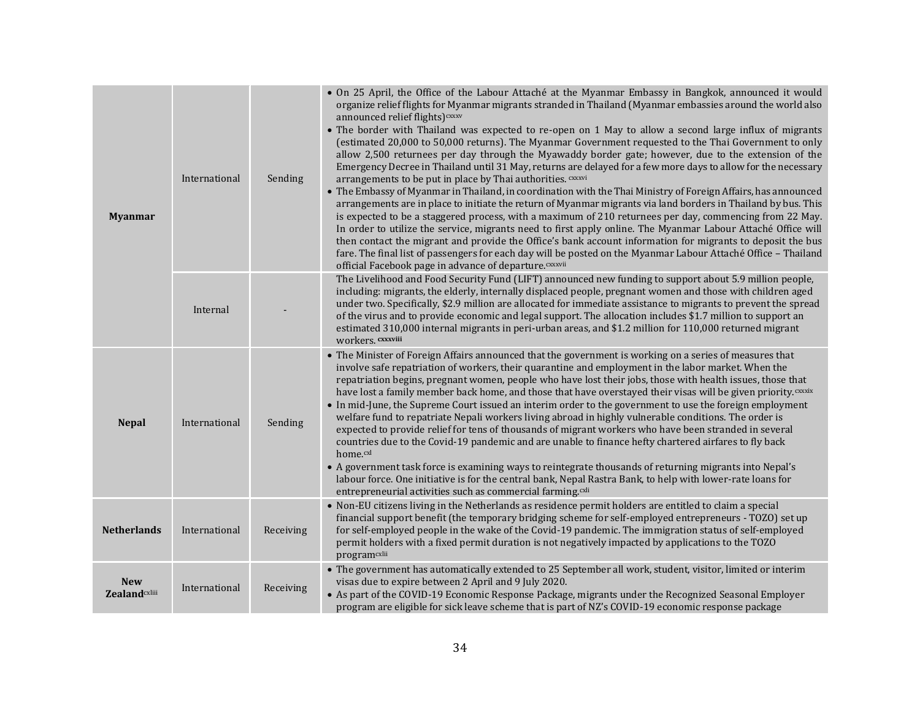| <b>Myanmar</b>                                 | International | Sending   | • On 25 April, the Office of the Labour Attaché at the Myanmar Embassy in Bangkok, announced it would<br>organize relief flights for Myanmar migrants stranded in Thailand (Myanmar embassies around the world also<br>announced relief flights) cxxxv<br>• The border with Thailand was expected to re-open on 1 May to allow a second large influx of migrants<br>(estimated 20,000 to 50,000 returns). The Myanmar Government requested to the Thai Government to only<br>allow 2,500 returnees per day through the Myawaddy border gate; however, due to the extension of the<br>Emergency Decree in Thailand until 31 May, returns are delayed for a few more days to allow for the necessary<br>arrangements to be put in place by Thai authorities. CXXXVi<br>• The Embassy of Myanmar in Thailand, in coordination with the Thai Ministry of Foreign Affairs, has announced<br>arrangements are in place to initiate the return of Myanmar migrants via land borders in Thailand by bus. This<br>is expected to be a staggered process, with a maximum of 210 returnees per day, commencing from 22 May.<br>In order to utilize the service, migrants need to first apply online. The Myanmar Labour Attaché Office will<br>then contact the migrant and provide the Office's bank account information for migrants to deposit the bus<br>fare. The final list of passengers for each day will be posted on the Myanmar Labour Attaché Office - Thailand<br>official Facebook page in advance of departure. CXXXVii |
|------------------------------------------------|---------------|-----------|-----------------------------------------------------------------------------------------------------------------------------------------------------------------------------------------------------------------------------------------------------------------------------------------------------------------------------------------------------------------------------------------------------------------------------------------------------------------------------------------------------------------------------------------------------------------------------------------------------------------------------------------------------------------------------------------------------------------------------------------------------------------------------------------------------------------------------------------------------------------------------------------------------------------------------------------------------------------------------------------------------------------------------------------------------------------------------------------------------------------------------------------------------------------------------------------------------------------------------------------------------------------------------------------------------------------------------------------------------------------------------------------------------------------------------------------------------------------------------------------------------------------------------|
|                                                | Internal      |           | The Livelihood and Food Security Fund (LIFT) announced new funding to support about 5.9 million people,<br>including: migrants, the elderly, internally displaced people, pregnant women and those with children aged<br>under two. Specifically, \$2.9 million are allocated for immediate assistance to migrants to prevent the spread<br>of the virus and to provide economic and legal support. The allocation includes \$1.7 million to support an<br>estimated 310,000 internal migrants in peri-urban areas, and \$1.2 million for 110,000 returned migrant<br>workers. cxxxviii                                                                                                                                                                                                                                                                                                                                                                                                                                                                                                                                                                                                                                                                                                                                                                                                                                                                                                                                     |
| <b>Nepal</b>                                   | International | Sending   | • The Minister of Foreign Affairs announced that the government is working on a series of measures that<br>involve safe repatriation of workers, their quarantine and employment in the labor market. When the<br>repatriation begins, pregnant women, people who have lost their jobs, those with health issues, those that<br>have lost a family member back home, and those that have overstayed their visas will be given priority. CXXXIX<br>• In mid-June, the Supreme Court issued an interim order to the government to use the foreign employment<br>welfare fund to repatriate Nepali workers living abroad in highly vulnerable conditions. The order is<br>expected to provide relief for tens of thousands of migrant workers who have been stranded in several<br>countries due to the Covid-19 pandemic and are unable to finance hefty chartered airfares to fly back<br>home.cxl<br>• A government task force is examining ways to reintegrate thousands of returning migrants into Nepal's<br>labour force. One initiative is for the central bank, Nepal Rastra Bank, to help with lower-rate loans for<br>entrepreneurial activities such as commercial farming. <sup>cxli</sup>                                                                                                                                                                                                                                                                                                                        |
| <b>Netherlands</b>                             | International | Receiving | • Non-EU citizens living in the Netherlands as residence permit holders are entitled to claim a special<br>financial support benefit (the temporary bridging scheme for self-employed entrepreneurs - TOZO) set up<br>for self-employed people in the wake of the Covid-19 pandemic. The immigration status of self-employed<br>permit holders with a fixed permit duration is not negatively impacted by applications to the TOZO<br>programcxlii                                                                                                                                                                                                                                                                                                                                                                                                                                                                                                                                                                                                                                                                                                                                                                                                                                                                                                                                                                                                                                                                          |
| <b>New</b><br><b>Zealand</b> <sub>cxliii</sub> | International | Receiving | • The government has automatically extended to 25 September all work, student, visitor, limited or interim<br>visas due to expire between 2 April and 9 July 2020.<br>• As part of the COVID-19 Economic Response Package, migrants under the Recognized Seasonal Employer<br>program are eligible for sick leave scheme that is part of NZ's COVID-19 economic response package                                                                                                                                                                                                                                                                                                                                                                                                                                                                                                                                                                                                                                                                                                                                                                                                                                                                                                                                                                                                                                                                                                                                            |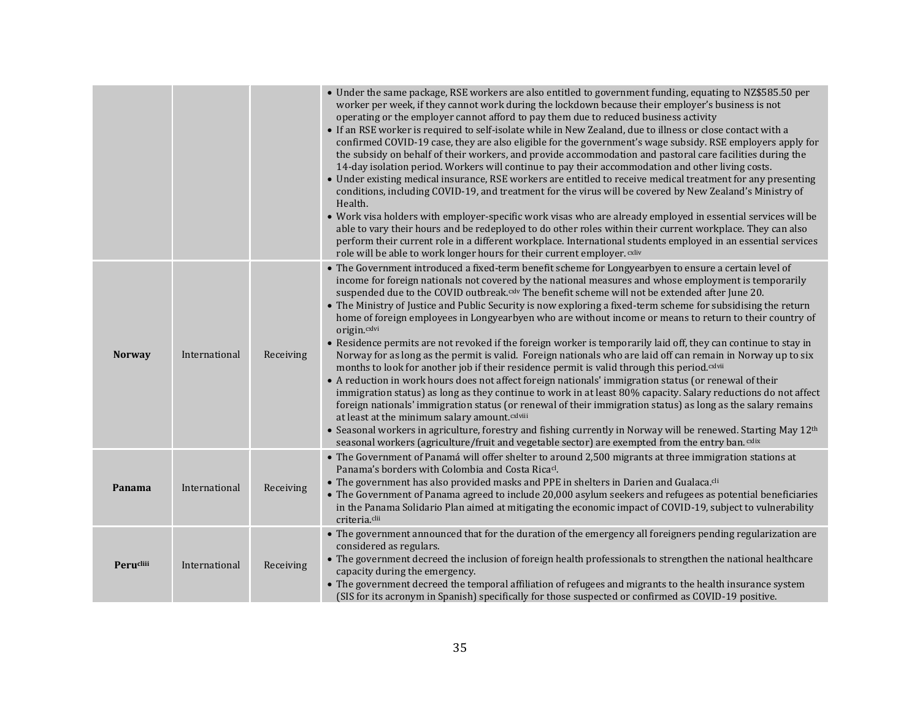|               |               |           | • Under the same package, RSE workers are also entitled to government funding, equating to NZ\$585.50 per<br>worker per week, if they cannot work during the lockdown because their employer's business is not<br>operating or the employer cannot afford to pay them due to reduced business activity<br>• If an RSE worker is required to self-isolate while in New Zealand, due to illness or close contact with a<br>confirmed COVID-19 case, they are also eligible for the government's wage subsidy. RSE employers apply for<br>the subsidy on behalf of their workers, and provide accommodation and pastoral care facilities during the<br>14-day isolation period. Workers will continue to pay their accommodation and other living costs.<br>• Under existing medical insurance, RSE workers are entitled to receive medical treatment for any presenting<br>conditions, including COVID-19, and treatment for the virus will be covered by New Zealand's Ministry of<br>Health.<br>• Work visa holders with employer-specific work visas who are already employed in essential services will be<br>able to vary their hours and be redeployed to do other roles within their current workplace. They can also<br>perform their current role in a different workplace. International students employed in an essential services<br>role will be able to work longer hours for their current employer. CXliv                                                                                                                                 |
|---------------|---------------|-----------|---------------------------------------------------------------------------------------------------------------------------------------------------------------------------------------------------------------------------------------------------------------------------------------------------------------------------------------------------------------------------------------------------------------------------------------------------------------------------------------------------------------------------------------------------------------------------------------------------------------------------------------------------------------------------------------------------------------------------------------------------------------------------------------------------------------------------------------------------------------------------------------------------------------------------------------------------------------------------------------------------------------------------------------------------------------------------------------------------------------------------------------------------------------------------------------------------------------------------------------------------------------------------------------------------------------------------------------------------------------------------------------------------------------------------------------------------------------------------------------------------------------------------------------------------------|
| <b>Norway</b> | International | Receiving | • The Government introduced a fixed-term benefit scheme for Longyearbyen to ensure a certain level of<br>income for foreign nationals not covered by the national measures and whose employment is temporarily<br>suspended due to the COVID outbreak. <sup>cxlv</sup> The benefit scheme will not be extended after June 20.<br>• The Ministry of Justice and Public Security is now exploring a fixed-term scheme for subsidising the return<br>home of foreign employees in Longyearbyen who are without income or means to return to their country of<br>origin.cxlvi<br>• Residence permits are not revoked if the foreign worker is temporarily laid off, they can continue to stay in<br>Norway for as long as the permit is valid. Foreign nationals who are laid off can remain in Norway up to six<br>months to look for another job if their residence permit is valid through this period. <sup>cxlvii</sup><br>• A reduction in work hours does not affect foreign nationals' immigration status (or renewal of their<br>immigration status) as long as they continue to work in at least 80% capacity. Salary reductions do not affect<br>foreign nationals' immigration status (or renewal of their immigration status) as long as the salary remains<br>at least at the minimum salary amount.cxlviii<br>• Seasonal workers in agriculture, forestry and fishing currently in Norway will be renewed. Starting May 12 <sup>th</sup><br>seasonal workers (agriculture/fruit and vegetable sector) are exempted from the entry ban. Cxlix |
| Panama        | International | Receiving | • The Government of Panamá will offer shelter to around 2,500 migrants at three immigration stations at<br>Panama's borders with Colombia and Costa Rica <sup>cl</sup> .<br>• The government has also provided masks and PPE in shelters in Darien and Gualaca. <sup>cli</sup><br>• The Government of Panama agreed to include 20,000 asylum seekers and refugees as potential beneficiaries<br>in the Panama Solidario Plan aimed at mitigating the economic impact of COVID-19, subject to vulnerability<br>criteria.clii                                                                                                                                                                                                                                                                                                                                                                                                                                                                                                                                                                                                                                                                                                                                                                                                                                                                                                                                                                                                                             |
| Perucliii     | International | Receiving | • The government announced that for the duration of the emergency all foreigners pending regularization are<br>considered as regulars.<br>• The government decreed the inclusion of foreign health professionals to strengthen the national healthcare<br>capacity during the emergency.<br>• The government decreed the temporal affiliation of refugees and migrants to the health insurance system<br>(SIS for its acronym in Spanish) specifically for those suspected or confirmed as COVID-19 positive.                                                                                                                                                                                                                                                                                                                                                                                                                                                                                                                                                                                                                                                                                                                                                                                                                                                                                                                                                                                                                                           |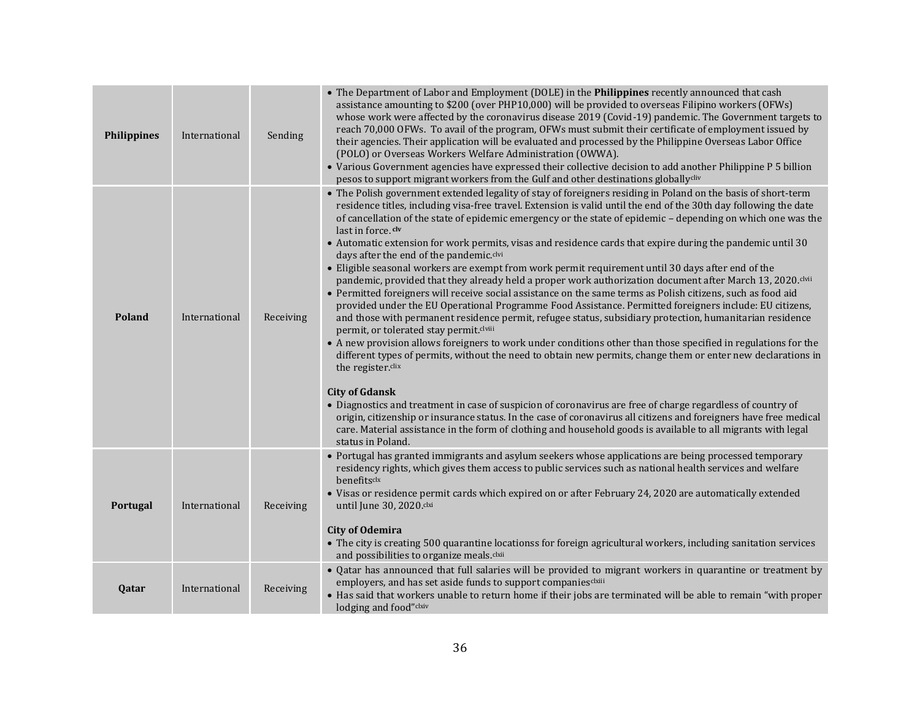| <b>Philippines</b> | International | Sending   | • The Department of Labor and Employment (DOLE) in the Philippines recently announced that cash<br>assistance amounting to \$200 (over PHP10,000) will be provided to overseas Filipino workers (OFWs)<br>whose work were affected by the coronavirus disease 2019 (Covid-19) pandemic. The Government targets to<br>reach 70,000 OFWs. To avail of the program, OFWs must submit their certificate of employment issued by<br>their agencies. Their application will be evaluated and processed by the Philippine Overseas Labor Office<br>(POLO) or Overseas Workers Welfare Administration (OWWA).<br>• Various Government agencies have expressed their collective decision to add another Philippine P 5 billion<br>pesos to support migrant workers from the Gulf and other destinations globallycliv                                                                                                                                                                                                                                                                                                                                                                                                                                                                                                                                                                                                                                                                                                                                                                                                                                                                                                                                                                                      |
|--------------------|---------------|-----------|--------------------------------------------------------------------------------------------------------------------------------------------------------------------------------------------------------------------------------------------------------------------------------------------------------------------------------------------------------------------------------------------------------------------------------------------------------------------------------------------------------------------------------------------------------------------------------------------------------------------------------------------------------------------------------------------------------------------------------------------------------------------------------------------------------------------------------------------------------------------------------------------------------------------------------------------------------------------------------------------------------------------------------------------------------------------------------------------------------------------------------------------------------------------------------------------------------------------------------------------------------------------------------------------------------------------------------------------------------------------------------------------------------------------------------------------------------------------------------------------------------------------------------------------------------------------------------------------------------------------------------------------------------------------------------------------------------------------------------------------------------------------------------------------------|
| <b>Poland</b>      | International | Receiving | • The Polish government extended legality of stay of foreigners residing in Poland on the basis of short-term<br>residence titles, including visa-free travel. Extension is valid until the end of the 30th day following the date<br>of cancellation of the state of epidemic emergency or the state of epidemic - depending on which one was the<br>last in force.clv<br>• Automatic extension for work permits, visas and residence cards that expire during the pandemic until 30<br>days after the end of the pandemic.clvi<br>• Eligible seasonal workers are exempt from work permit requirement until 30 days after end of the<br>pandemic, provided that they already held a proper work authorization document after March 13, 2020. clvii<br>• Permitted foreigners will receive social assistance on the same terms as Polish citizens, such as food aid<br>provided under the EU Operational Programme Food Assistance. Permitted foreigners include: EU citizens,<br>and those with permanent residence permit, refugee status, subsidiary protection, humanitarian residence<br>permit, or tolerated stay permit.clviii<br>• A new provision allows foreigners to work under conditions other than those specified in regulations for the<br>different types of permits, without the need to obtain new permits, change them or enter new declarations in<br>the register.clix<br><b>City of Gdansk</b><br>• Diagnostics and treatment in case of suspicion of coronavirus are free of charge regardless of country of<br>origin, citizenship or insurance status. In the case of coronavirus all citizens and foreigners have free medical<br>care. Material assistance in the form of clothing and household goods is available to all migrants with legal<br>status in Poland. |
| Portugal           | International | Receiving | • Portugal has granted immigrants and asylum seekers whose applications are being processed temporary<br>residency rights, which gives them access to public services such as national health services and welfare<br>benefitsclx<br>• Visas or residence permit cards which expired on or after February 24, 2020 are automatically extended<br>until June 30, 2020.clxi<br><b>City of Odemira</b><br>• The city is creating 500 quarantine locationss for foreign agricultural workers, including sanitation services<br>and possibilities to organize meals.clxii                                                                                                                                                                                                                                                                                                                                                                                                                                                                                                                                                                                                                                                                                                                                                                                                                                                                                                                                                                                                                                                                                                                                                                                                                             |
| Qatar              | International | Receiving | • Qatar has announced that full salaries will be provided to migrant workers in quarantine or treatment by<br>employers, and has set aside funds to support companiesclxiii<br>• Has said that workers unable to return home if their jobs are terminated will be able to remain "with proper<br>lodging and food"clxiv                                                                                                                                                                                                                                                                                                                                                                                                                                                                                                                                                                                                                                                                                                                                                                                                                                                                                                                                                                                                                                                                                                                                                                                                                                                                                                                                                                                                                                                                          |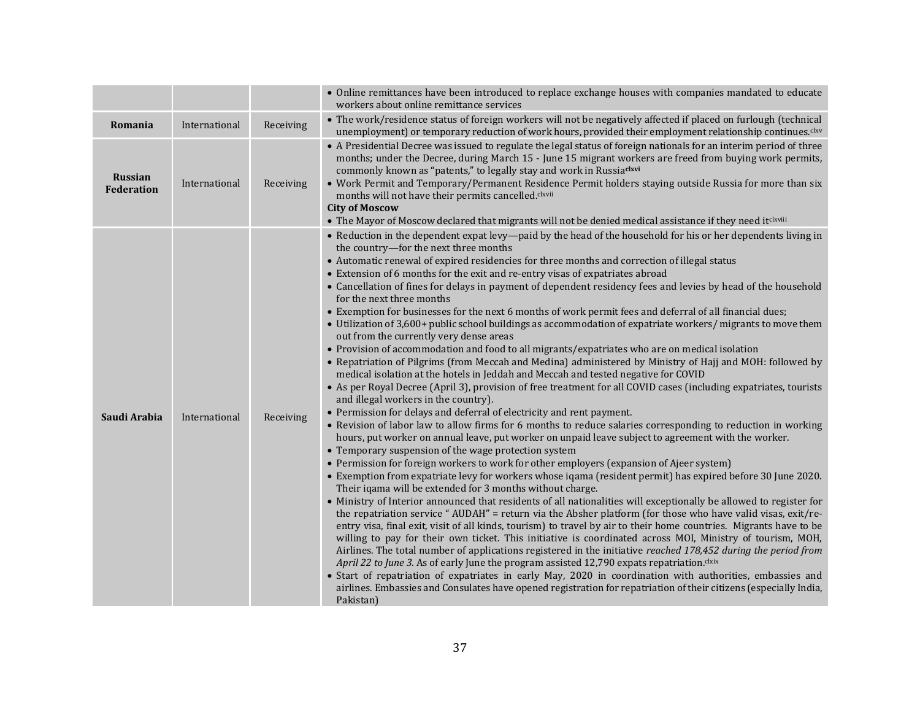|                                     |               |           | • Online remittances have been introduced to replace exchange houses with companies mandated to educate<br>workers about online remittance services                                                                                                                                                                                                                                                                                                                                                                                                                                                                                                                                                                                                                                                                                                                                                                                                                                                                                                                                                                                                                                                                                                                                                                                                                                                                                                                                                                                                                                                                                                                                                                                                                                                                                                                                                                                                                                                                                                                                                                                                                                                                                                                                                                                                                                                                                                                                                                                                                                                                                                                                                                                                                                                    |
|-------------------------------------|---------------|-----------|--------------------------------------------------------------------------------------------------------------------------------------------------------------------------------------------------------------------------------------------------------------------------------------------------------------------------------------------------------------------------------------------------------------------------------------------------------------------------------------------------------------------------------------------------------------------------------------------------------------------------------------------------------------------------------------------------------------------------------------------------------------------------------------------------------------------------------------------------------------------------------------------------------------------------------------------------------------------------------------------------------------------------------------------------------------------------------------------------------------------------------------------------------------------------------------------------------------------------------------------------------------------------------------------------------------------------------------------------------------------------------------------------------------------------------------------------------------------------------------------------------------------------------------------------------------------------------------------------------------------------------------------------------------------------------------------------------------------------------------------------------------------------------------------------------------------------------------------------------------------------------------------------------------------------------------------------------------------------------------------------------------------------------------------------------------------------------------------------------------------------------------------------------------------------------------------------------------------------------------------------------------------------------------------------------------------------------------------------------------------------------------------------------------------------------------------------------------------------------------------------------------------------------------------------------------------------------------------------------------------------------------------------------------------------------------------------------------------------------------------------------------------------------------------------------|
| Romania                             | International | Receiving | • The work/residence status of foreign workers will not be negatively affected if placed on furlough (technical<br>unemployment) or temporary reduction of work hours, provided their employment relationship continues. <sup>ckv</sup>                                                                                                                                                                                                                                                                                                                                                                                                                                                                                                                                                                                                                                                                                                                                                                                                                                                                                                                                                                                                                                                                                                                                                                                                                                                                                                                                                                                                                                                                                                                                                                                                                                                                                                                                                                                                                                                                                                                                                                                                                                                                                                                                                                                                                                                                                                                                                                                                                                                                                                                                                                |
| <b>Russian</b><br><b>Federation</b> | International | Receiving | • A Presidential Decree was issued to regulate the legal status of foreign nationals for an interim period of three<br>months; under the Decree, during March 15 - June 15 migrant workers are freed from buying work permits,<br>commonly known as "patents," to legally stay and work in Russiackvi<br>• Work Permit and Temporary/Permanent Residence Permit holders staying outside Russia for more than six<br>months will not have their permits cancelled.clxvii<br><b>City of Moscow</b><br>• The Mayor of Moscow declared that migrants will not be denied medical assistance if they need itclxviii                                                                                                                                                                                                                                                                                                                                                                                                                                                                                                                                                                                                                                                                                                                                                                                                                                                                                                                                                                                                                                                                                                                                                                                                                                                                                                                                                                                                                                                                                                                                                                                                                                                                                                                                                                                                                                                                                                                                                                                                                                                                                                                                                                                          |
| Saudi Arabia                        | International | Receiving | • Reduction in the dependent expat levy—paid by the head of the household for his or her dependents living in<br>the country-for the next three months<br>• Automatic renewal of expired residencies for three months and correction of illegal status<br>• Extension of 6 months for the exit and re-entry visas of expatriates abroad<br>• Cancellation of fines for delays in payment of dependent residency fees and levies by head of the household<br>for the next three months<br>• Exemption for businesses for the next 6 months of work permit fees and deferral of all financial dues;<br>• Utilization of 3,600+ public school buildings as accommodation of expatriate workers/ migrants to move them<br>out from the currently very dense areas<br>• Provision of accommodation and food to all migrants/expatriates who are on medical isolation<br>• Repatriation of Pilgrims (from Meccah and Medina) administered by Ministry of Hajj and MOH: followed by<br>medical isolation at the hotels in Jeddah and Meccah and tested negative for COVID<br>• As per Royal Decree (April 3), provision of free treatment for all COVID cases (including expatriates, tourists<br>and illegal workers in the country).<br>• Permission for delays and deferral of electricity and rent payment.<br>• Revision of labor law to allow firms for 6 months to reduce salaries corresponding to reduction in working<br>hours, put worker on annual leave, put worker on unpaid leave subject to agreement with the worker.<br>• Temporary suspension of the wage protection system<br>• Permission for foreign workers to work for other employers (expansion of Ajeer system)<br>• Exemption from expatriate levy for workers whose igama (resident permit) has expired before 30 June 2020.<br>Their iqama will be extended for 3 months without charge.<br>• Ministry of Interior announced that residents of all nationalities will exceptionally be allowed to register for<br>the repatriation service "AUDAH" = return via the Absher platform (for those who have valid visas, exit/re-<br>entry visa, final exit, visit of all kinds, tourism) to travel by air to their home countries. Migrants have to be<br>willing to pay for their own ticket. This initiative is coordinated across MOI, Ministry of tourism, MOH,<br>Airlines. The total number of applications registered in the initiative reached 178,452 during the period from<br>April 22 to June 3. As of early June the program assisted 12,790 expats repatriation.clxix<br>• Start of repatriation of expatriates in early May, 2020 in coordination with authorities, embassies and<br>airlines. Embassies and Consulates have opened registration for repatriation of their citizens (especially India,<br>Pakistan) |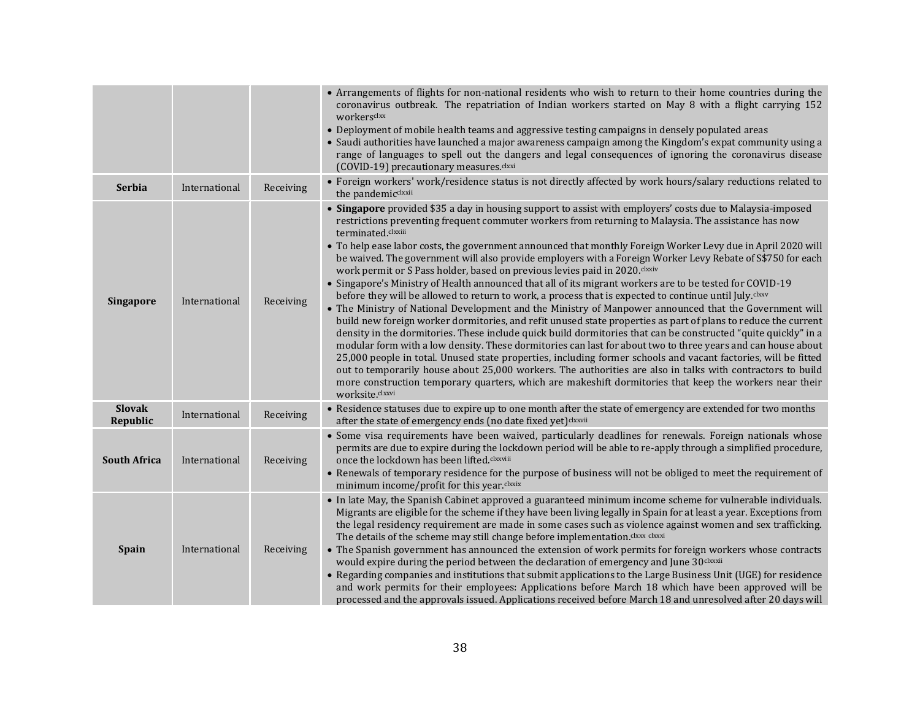|                           |               |           | • Arrangements of flights for non-national residents who wish to return to their home countries during the<br>coronavirus outbreak. The repatriation of Indian workers started on May 8 with a flight carrying 152<br>workersckx<br>• Deployment of mobile health teams and aggressive testing campaigns in densely populated areas<br>• Saudi authorities have launched a major awareness campaign among the Kingdom's expat community using a<br>range of languages to spell out the dangers and legal consequences of ignoring the coronavirus disease<br>(COVID-19) precautionary measures.clxxi                                                                                                                                                                                                                                                                                                                                                                                                                                                                                                                                                                                                                                                                                                                                                                                                                                                                                                                                                                                                  |
|---------------------------|---------------|-----------|-------------------------------------------------------------------------------------------------------------------------------------------------------------------------------------------------------------------------------------------------------------------------------------------------------------------------------------------------------------------------------------------------------------------------------------------------------------------------------------------------------------------------------------------------------------------------------------------------------------------------------------------------------------------------------------------------------------------------------------------------------------------------------------------------------------------------------------------------------------------------------------------------------------------------------------------------------------------------------------------------------------------------------------------------------------------------------------------------------------------------------------------------------------------------------------------------------------------------------------------------------------------------------------------------------------------------------------------------------------------------------------------------------------------------------------------------------------------------------------------------------------------------------------------------------------------------------------------------------|
| <b>Serbia</b>             | International | Receiving | • Foreign workers' work/residence status is not directly affected by work hours/salary reductions related to<br>the pandemicclxxii                                                                                                                                                                                                                                                                                                                                                                                                                                                                                                                                                                                                                                                                                                                                                                                                                                                                                                                                                                                                                                                                                                                                                                                                                                                                                                                                                                                                                                                                    |
| <b>Singapore</b>          | International | Receiving | • Singapore provided \$35 a day in housing support to assist with employers' costs due to Malaysia-imposed<br>restrictions preventing frequent commuter workers from returning to Malaysia. The assistance has now<br>terminated.clxxiii<br>. To help ease labor costs, the government announced that monthly Foreign Worker Levy due in April 2020 will<br>be waived. The government will also provide employers with a Foreign Worker Levy Rebate of S\$750 for each<br>work permit or S Pass holder, based on previous levies paid in 2020.clxxiv<br>• Singapore's Ministry of Health announced that all of its migrant workers are to be tested for COVID-19<br>before they will be allowed to return to work, a process that is expected to continue until July.clxxv<br>• The Ministry of National Development and the Ministry of Manpower announced that the Government will<br>build new foreign worker dormitories, and refit unused state properties as part of plans to reduce the current<br>density in the dormitories. These include quick build dormitories that can be constructed "quite quickly" in a<br>modular form with a low density. These dormitories can last for about two to three years and can house about<br>25,000 people in total. Unused state properties, including former schools and vacant factories, will be fitted<br>out to temporarily house about 25,000 workers. The authorities are also in talks with contractors to build<br>more construction temporary quarters, which are makeshift dormitories that keep the workers near their<br>worksite.clxxvi |
| <b>Slovak</b><br>Republic | International | Receiving | • Residence statuses due to expire up to one month after the state of emergency are extended for two months<br>after the state of emergency ends (no date fixed yet) clxxvii                                                                                                                                                                                                                                                                                                                                                                                                                                                                                                                                                                                                                                                                                                                                                                                                                                                                                                                                                                                                                                                                                                                                                                                                                                                                                                                                                                                                                          |
| <b>South Africa</b>       | International | Receiving | • Some visa requirements have been waived, particularly deadlines for renewals. Foreign nationals whose<br>permits are due to expire during the lockdown period will be able to re-apply through a simplified procedure,<br>once the lockdown has been lifted.clxxviii<br>• Renewals of temporary residence for the purpose of business will not be obliged to meet the requirement of<br>minimum income/profit for this year.clxxix                                                                                                                                                                                                                                                                                                                                                                                                                                                                                                                                                                                                                                                                                                                                                                                                                                                                                                                                                                                                                                                                                                                                                                  |
| <b>Spain</b>              | International | Receiving | • In late May, the Spanish Cabinet approved a guaranteed minimum income scheme for vulnerable individuals.<br>Migrants are eligible for the scheme if they have been living legally in Spain for at least a year. Exceptions from<br>the legal residency requirement are made in some cases such as violence against women and sex trafficking.<br>The details of the scheme may still change before implementation. Clxxx clxxxi<br>• The Spanish government has announced the extension of work permits for foreign workers whose contracts<br>would expire during the period between the declaration of emergency and June 30clxxxii<br>• Regarding companies and institutions that submit applications to the Large Business Unit (UGE) for residence<br>and work permits for their employees: Applications before March 18 which have been approved will be<br>processed and the approvals issued. Applications received before March 18 and unresolved after 20 days will                                                                                                                                                                                                                                                                                                                                                                                                                                                                                                                                                                                                                       |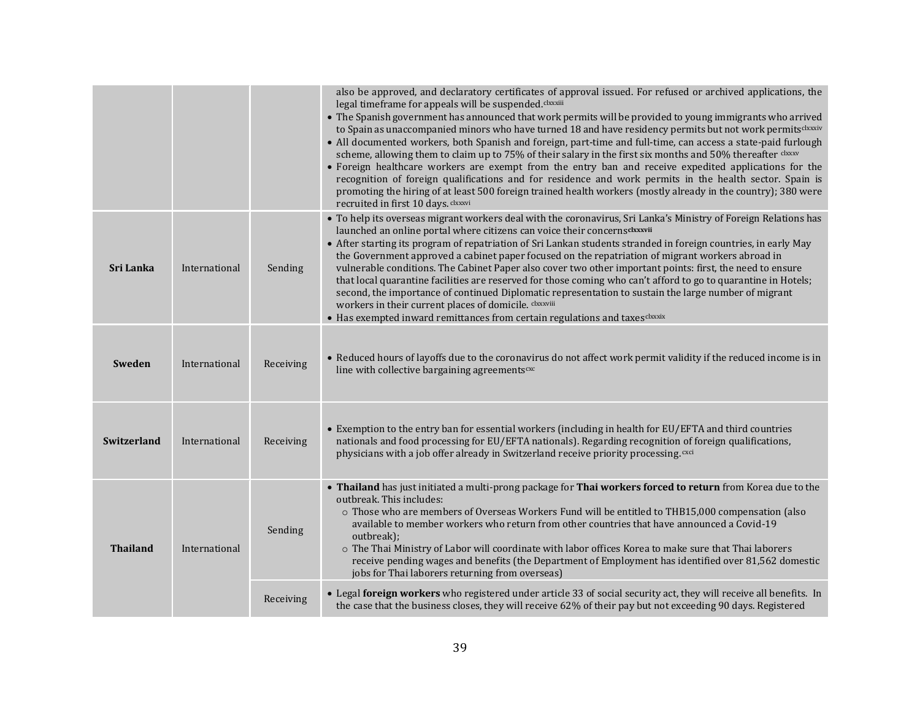|                 |               |           | also be approved, and declaratory certificates of approval issued. For refused or archived applications, the<br>legal timeframe for appeals will be suspended.clxxxiii<br>• The Spanish government has announced that work permits will be provided to young immigrants who arrived<br>to Spain as unaccompanied minors who have turned 18 and have residency permits but not work permitsclxxxiv<br>• All documented workers, both Spanish and foreign, part-time and full-time, can access a state-paid furlough<br>scheme, allowing them to claim up to 75% of their salary in the first six months and 50% thereafter clxxxv<br>• Foreign healthcare workers are exempt from the entry ban and receive expedited applications for the<br>recognition of foreign qualifications and for residence and work permits in the health sector. Spain is<br>promoting the hiring of at least 500 foreign trained health workers (mostly already in the country); 380 were<br>recruited in first 10 days. Clxxxvi |
|-----------------|---------------|-----------|--------------------------------------------------------------------------------------------------------------------------------------------------------------------------------------------------------------------------------------------------------------------------------------------------------------------------------------------------------------------------------------------------------------------------------------------------------------------------------------------------------------------------------------------------------------------------------------------------------------------------------------------------------------------------------------------------------------------------------------------------------------------------------------------------------------------------------------------------------------------------------------------------------------------------------------------------------------------------------------------------------------|
| Sri Lanka       | International | Sending   | • To help its overseas migrant workers deal with the coronavirus, Sri Lanka's Ministry of Foreign Relations has<br>launched an online portal where citizens can voice their concernsdxxxvii<br>• After starting its program of repatriation of Sri Lankan students stranded in foreign countries, in early May<br>the Government approved a cabinet paper focused on the repatriation of migrant workers abroad in<br>vulnerable conditions. The Cabinet Paper also cover two other important points: first, the need to ensure<br>that local quarantine facilities are reserved for those coming who can't afford to go to quarantine in Hotels;<br>second, the importance of continued Diplomatic representation to sustain the large number of migrant<br>workers in their current places of domicile. Clxxxviii<br>• Has exempted inward remittances from certain regulations and taxes clxxxix                                                                                                          |
| <b>Sweden</b>   | International | Receiving | • Reduced hours of layoffs due to the coronavirus do not affect work permit validity if the reduced income is in<br>line with collective bargaining agreements <sup>cxc</sup>                                                                                                                                                                                                                                                                                                                                                                                                                                                                                                                                                                                                                                                                                                                                                                                                                                |
| Switzerland     | International | Receiving | • Exemption to the entry ban for essential workers (including in health for EU/EFTA and third countries<br>nationals and food processing for EU/EFTA nationals). Regarding recognition of foreign qualifications,<br>physicians with a job offer already in Switzerland receive priority processing. CXCI                                                                                                                                                                                                                                                                                                                                                                                                                                                                                                                                                                                                                                                                                                    |
| <b>Thailand</b> | International | Sending   | • Thailand has just initiated a multi-prong package for Thai workers forced to return from Korea due to the<br>outbreak. This includes:<br>o Those who are members of Overseas Workers Fund will be entitled to THB15,000 compensation (also<br>available to member workers who return from other countries that have announced a Covid-19<br>outbreak);<br>o The Thai Ministry of Labor will coordinate with labor offices Korea to make sure that Thai laborers<br>receive pending wages and benefits (the Department of Employment has identified over 81,562 domestic<br>jobs for Thai laborers returning from overseas)<br>• Legal foreign workers who registered under article 33 of social security act, they will receive all benefits. In                                                                                                                                                                                                                                                           |
|                 |               | Receiving | the case that the business closes, they will receive 62% of their pay but not exceeding 90 days. Registered                                                                                                                                                                                                                                                                                                                                                                                                                                                                                                                                                                                                                                                                                                                                                                                                                                                                                                  |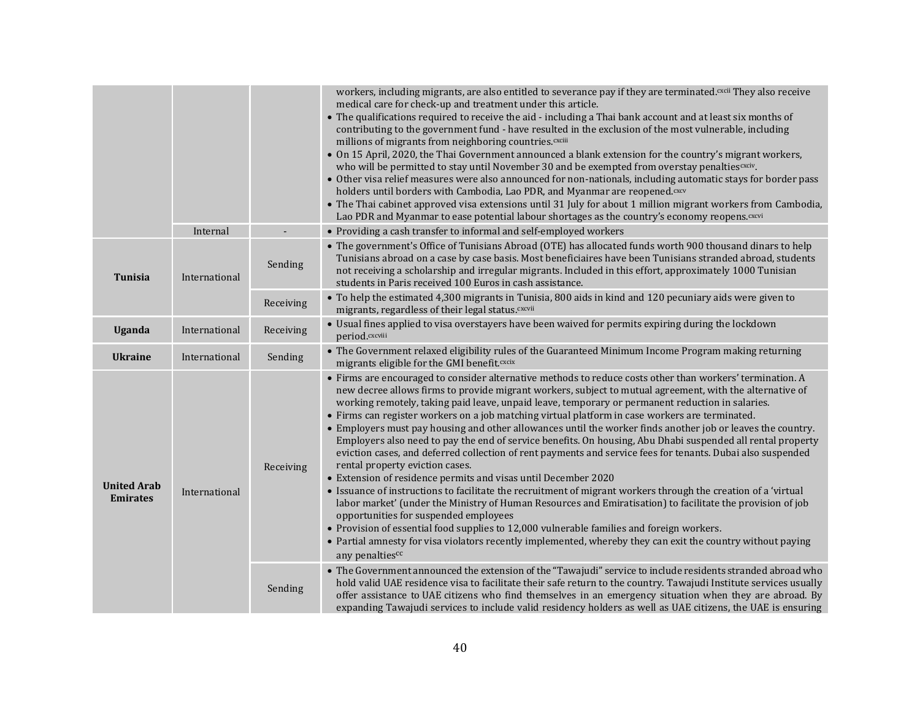|                                       | Internal      |                      | workers, including migrants, are also entitled to severance pay if they are terminated. CXCII They also receive<br>medical care for check-up and treatment under this article.<br>• The qualifications required to receive the aid - including a Thai bank account and at least six months of<br>contributing to the government fund - have resulted in the exclusion of the most vulnerable, including<br>millions of migrants from neighboring countries. CXCIII<br>• On 15 April, 2020, the Thai Government announced a blank extension for the country's migrant workers,<br>who will be permitted to stay until November 30 and be exempted from overstay penalties cxciv.<br>• Other visa relief measures were also announced for non-nationals, including automatic stays for border pass<br>holders until borders with Cambodia, Lao PDR, and Myanmar are reopened. <sup>cxcv</sup><br>• The Thai cabinet approved visa extensions until 31 July for about 1 million migrant workers from Cambodia,<br>Lao PDR and Myanmar to ease potential labour shortages as the country's economy reopens. CXCVi<br>• Providing a cash transfer to informal and self-employed workers                                                                                                                                                                                                                                                                                                                                                                                                                                                                                                                                                    |
|---------------------------------------|---------------|----------------------|---------------------------------------------------------------------------------------------------------------------------------------------------------------------------------------------------------------------------------------------------------------------------------------------------------------------------------------------------------------------------------------------------------------------------------------------------------------------------------------------------------------------------------------------------------------------------------------------------------------------------------------------------------------------------------------------------------------------------------------------------------------------------------------------------------------------------------------------------------------------------------------------------------------------------------------------------------------------------------------------------------------------------------------------------------------------------------------------------------------------------------------------------------------------------------------------------------------------------------------------------------------------------------------------------------------------------------------------------------------------------------------------------------------------------------------------------------------------------------------------------------------------------------------------------------------------------------------------------------------------------------------------------------------------------------------------------------------------------------------|
| <b>Tunisia</b>                        | International | Sending              | • The government's Office of Tunisians Abroad (OTE) has allocated funds worth 900 thousand dinars to help<br>Tunisians abroad on a case by case basis. Most beneficiaires have been Tunisians stranded abroad, students<br>not receiving a scholarship and irregular migrants. Included in this effort, approximately 1000 Tunisian<br>students in Paris received 100 Euros in cash assistance.                                                                                                                                                                                                                                                                                                                                                                                                                                                                                                                                                                                                                                                                                                                                                                                                                                                                                                                                                                                                                                                                                                                                                                                                                                                                                                                                       |
|                                       |               | Receiving            | • To help the estimated 4,300 migrants in Tunisia, 800 aids in kind and 120 pecuniary aids were given to<br>migrants, regardless of their legal status. CXCVII                                                                                                                                                                                                                                                                                                                                                                                                                                                                                                                                                                                                                                                                                                                                                                                                                                                                                                                                                                                                                                                                                                                                                                                                                                                                                                                                                                                                                                                                                                                                                                        |
| <b>Uganda</b>                         | International | Receiving            | • Usual fines applied to visa overstayers have been waived for permits expiring during the lockdown<br>period.cxcviii                                                                                                                                                                                                                                                                                                                                                                                                                                                                                                                                                                                                                                                                                                                                                                                                                                                                                                                                                                                                                                                                                                                                                                                                                                                                                                                                                                                                                                                                                                                                                                                                                 |
| <b>Ukraine</b>                        | International | Sending              | • The Government relaxed eligibility rules of the Guaranteed Minimum Income Program making returning<br>migrants eligible for the GMI benefit.cxcix                                                                                                                                                                                                                                                                                                                                                                                                                                                                                                                                                                                                                                                                                                                                                                                                                                                                                                                                                                                                                                                                                                                                                                                                                                                                                                                                                                                                                                                                                                                                                                                   |
| <b>United Arab</b><br><b>Emirates</b> | International | Receiving<br>Sending | • Firms are encouraged to consider alternative methods to reduce costs other than workers' termination. A<br>new decree allows firms to provide migrant workers, subject to mutual agreement, with the alternative of<br>working remotely, taking paid leave, unpaid leave, temporary or permanent reduction in salaries.<br>• Firms can register workers on a job matching virtual platform in case workers are terminated.<br>• Employers must pay housing and other allowances until the worker finds another job or leaves the country.<br>Employers also need to pay the end of service benefits. On housing, Abu Dhabi suspended all rental property<br>eviction cases, and deferred collection of rent payments and service fees for tenants. Dubai also suspended<br>rental property eviction cases.<br>• Extension of residence permits and visas until December 2020<br>• Issuance of instructions to facilitate the recruitment of migrant workers through the creation of a 'virtual<br>labor market' (under the Ministry of Human Resources and Emiratisation) to facilitate the provision of job<br>opportunities for suspended employees<br>• Provision of essential food supplies to 12,000 vulnerable families and foreign workers.<br>• Partial amnesty for visa violators recently implemented, whereby they can exit the country without paying<br>any penaltiescc<br>• The Government announced the extension of the "Tawajudi" service to include residents stranded abroad who<br>hold valid UAE residence visa to facilitate their safe return to the country. Tawajudi Institute services usually<br>offer assistance to UAE citizens who find themselves in an emergency situation when they are abroad. By |
|                                       |               |                      | expanding Tawajudi services to include valid residency holders as well as UAE citizens, the UAE is ensuring                                                                                                                                                                                                                                                                                                                                                                                                                                                                                                                                                                                                                                                                                                                                                                                                                                                                                                                                                                                                                                                                                                                                                                                                                                                                                                                                                                                                                                                                                                                                                                                                                           |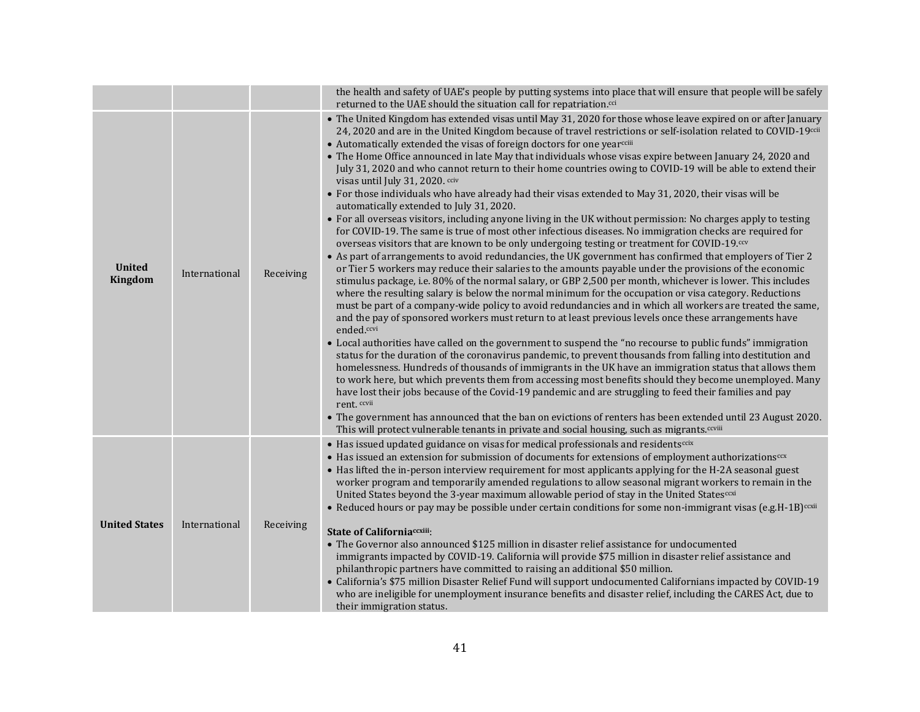|                                 |               |           | the health and safety of UAE's people by putting systems into place that will ensure that people will be safely<br>returned to the UAE should the situation call for repatriation. <sup>cci</sup>                                                                                                                                                                                                                                                                                                                                                                                                                                                                                                                                                                                                                                                                                                                                                                                                                                                                                                                                                                                                                                                                                                                                                                                                                                                                                                                                                                                                                                                                                                                                                                                                                                                                                                                                                                                                                                                                                                                                                                                                                                                                                                                                                                                                                                                                                                                                                      |
|---------------------------------|---------------|-----------|--------------------------------------------------------------------------------------------------------------------------------------------------------------------------------------------------------------------------------------------------------------------------------------------------------------------------------------------------------------------------------------------------------------------------------------------------------------------------------------------------------------------------------------------------------------------------------------------------------------------------------------------------------------------------------------------------------------------------------------------------------------------------------------------------------------------------------------------------------------------------------------------------------------------------------------------------------------------------------------------------------------------------------------------------------------------------------------------------------------------------------------------------------------------------------------------------------------------------------------------------------------------------------------------------------------------------------------------------------------------------------------------------------------------------------------------------------------------------------------------------------------------------------------------------------------------------------------------------------------------------------------------------------------------------------------------------------------------------------------------------------------------------------------------------------------------------------------------------------------------------------------------------------------------------------------------------------------------------------------------------------------------------------------------------------------------------------------------------------------------------------------------------------------------------------------------------------------------------------------------------------------------------------------------------------------------------------------------------------------------------------------------------------------------------------------------------------------------------------------------------------------------------------------------------------|
| <b>United</b><br><b>Kingdom</b> | International | Receiving | • The United Kingdom has extended visas until May 31, 2020 for those whose leave expired on or after January<br>24, 2020 and are in the United Kingdom because of travel restrictions or self-isolation related to COVID-19 <sup>ccii</sup><br>• Automatically extended the visas of foreign doctors for one yearcciii<br>• The Home Office announced in late May that individuals whose visas expire between January 24, 2020 and<br>July 31, 2020 and who cannot return to their home countries owing to COVID-19 will be able to extend their<br>visas until July 31, 2020. cciv<br>• For those individuals who have already had their visas extended to May 31, 2020, their visas will be<br>automatically extended to July 31, 2020.<br>• For all overseas visitors, including anyone living in the UK without permission: No charges apply to testing<br>for COVID-19. The same is true of most other infectious diseases. No immigration checks are required for<br>overseas visitors that are known to be only undergoing testing or treatment for COVID-19.ccv<br>• As part of arrangements to avoid redundancies, the UK government has confirmed that employers of Tier 2<br>or Tier 5 workers may reduce their salaries to the amounts payable under the provisions of the economic<br>stimulus package, i.e. 80% of the normal salary, or GBP 2,500 per month, whichever is lower. This includes<br>where the resulting salary is below the normal minimum for the occupation or visa category. Reductions<br>must be part of a company-wide policy to avoid redundancies and in which all workers are treated the same,<br>and the pay of sponsored workers must return to at least previous levels once these arrangements have<br>ended.ccvi<br>• Local authorities have called on the government to suspend the "no recourse to public funds" immigration<br>status for the duration of the coronavirus pandemic, to prevent thousands from falling into destitution and<br>homelessness. Hundreds of thousands of immigrants in the UK have an immigration status that allows them<br>to work here, but which prevents them from accessing most benefits should they become unemployed. Many<br>have lost their jobs because of the Covid-19 pandemic and are struggling to feed their families and pay<br>rent. ccvii<br>• The government has announced that the ban on evictions of renters has been extended until 23 August 2020.<br>This will protect vulnerable tenants in private and social housing, such as migrants.ccviii |
|                                 |               |           | • Has issued updated guidance on visas for medical professionals and residents <sup>ccix</sup><br>• Has issued an extension for submission of documents for extensions of employment authorizations <sup>ccx</sup><br>• Has lifted the in-person interview requirement for most applicants applying for the H-2A seasonal guest<br>worker program and temporarily amended regulations to allow seasonal migrant workers to remain in the<br>United States beyond the 3-year maximum allowable period of stay in the United States <sup>coxi</sup><br>• Reduced hours or pay may be possible under certain conditions for some non-immigrant visas (e.g.H-1B) <sup>ccxii</sup>                                                                                                                                                                                                                                                                                                                                                                                                                                                                                                                                                                                                                                                                                                                                                                                                                                                                                                                                                                                                                                                                                                                                                                                                                                                                                                                                                                                                                                                                                                                                                                                                                                                                                                                                                                                                                                                                          |
| <b>United States</b>            | International | Receiving | <b>State of Californiaccxiii:</b><br>• The Governor also announced \$125 million in disaster relief assistance for undocumented<br>immigrants impacted by COVID-19. California will provide \$75 million in disaster relief assistance and<br>philanthropic partners have committed to raising an additional \$50 million.<br>• California's \$75 million Disaster Relief Fund will support undocumented Californians impacted by COVID-19<br>who are ineligible for unemployment insurance benefits and disaster relief, including the CARES Act, due to<br>their immigration status.                                                                                                                                                                                                                                                                                                                                                                                                                                                                                                                                                                                                                                                                                                                                                                                                                                                                                                                                                                                                                                                                                                                                                                                                                                                                                                                                                                                                                                                                                                                                                                                                                                                                                                                                                                                                                                                                                                                                                                 |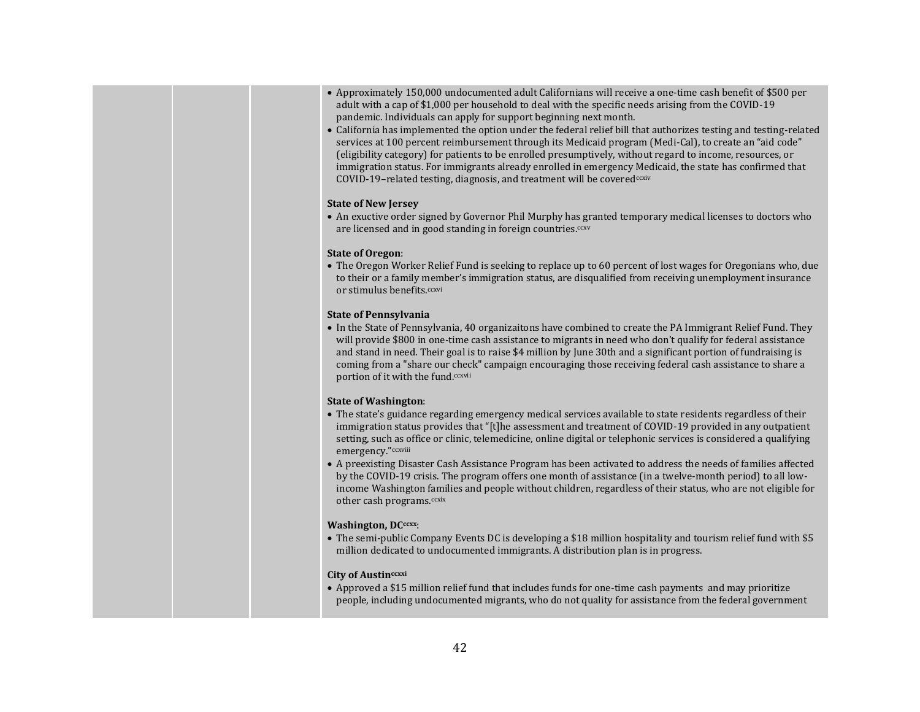- Approximately 150,000 undocumented adult Californians will receive a one-time cash benefit of \$500 per adult with a cap of \$1,000 per household to deal with the specific needs arising from the COVID-19 pandemic. Individuals can apply for support beginning next month.
- California has implemented the option under the federal relief bill that authorizes testing and testing-related services at 100 percent reimbursement through its Medicaid program (Medi-Cal), to create an "aid code" (eligibility category) for patients to be enrolled presumptively, without regard to income, resources, or immigration status. For immigrants already enrolled in emergency Medicaid, the state has confirmed that COVID-19-related testing, diagnosis, and treatment will be coveredccxiv

#### **State of New Jersey**

• An exuctive order signed by Governor Phil Murphy has granted temporary medical licenses to doctors who are licensed and in good standing in foreign countries.<sup>ccxv</sup>

#### **State of Oregon**:

• The Oregon [Worker Relief Fund](https://www.mrgfoundation.org/oregon-worker-relief-fund/) is seeking to replace up to 60 percent of lost wages for Oregonians who, due to their or a family member's immigration status, are disqualified from receiving unemployment insurance or stimulus benefits.ccxvi

#### **State of Pennsylvania**

• In the State of Pennsylvania, 40 organizaitons have combined to create the PA Immigrant Relief Fund. They will provide \$800 in one-time cash assistance to migrants in need who don't qualify for federal assistance and stand in need. Their goal is to raise \$4 million by June 30th and a significant portion of fundraising is coming from a "share our check" campaign encouraging those receiving federal cash assistance to share a portion of it with the fund.ccxvii

#### **State of Washington**:

- The state's guidance regarding emergency medical services available to state residents regardless of their immigration status provides that "[t]he assessment and treatment of COVID-19 provided in any outpatient setting, such as office or clinic, telemedicine, online digital or telephonic services is considered a qualifying emergency."ccxviii
- A preexisting Disaster Cash Assistance Program has been activated to address the needs of families affected by the COVID-19 crisis. The program offers one month of assistance (in a twelve-month period) to all lowincome Washington families and people without children, regardless of their status, who are not eligible for other cash programs.<sup>ccxix</sup>

#### **Washington, DCccxx**:

• The semi-public Company Events DC is developing a \$18 million hospitality and tourism relief fund with \$5 million dedicated to undocumented immigrants. A distribution plan is in progress.

#### **City of Austinccxxi**

• Approved a \$15 million relief fund that includes funds for one-time cash payments and may prioritize people, including undocumented migrants, who do not quality for assistance from the federal government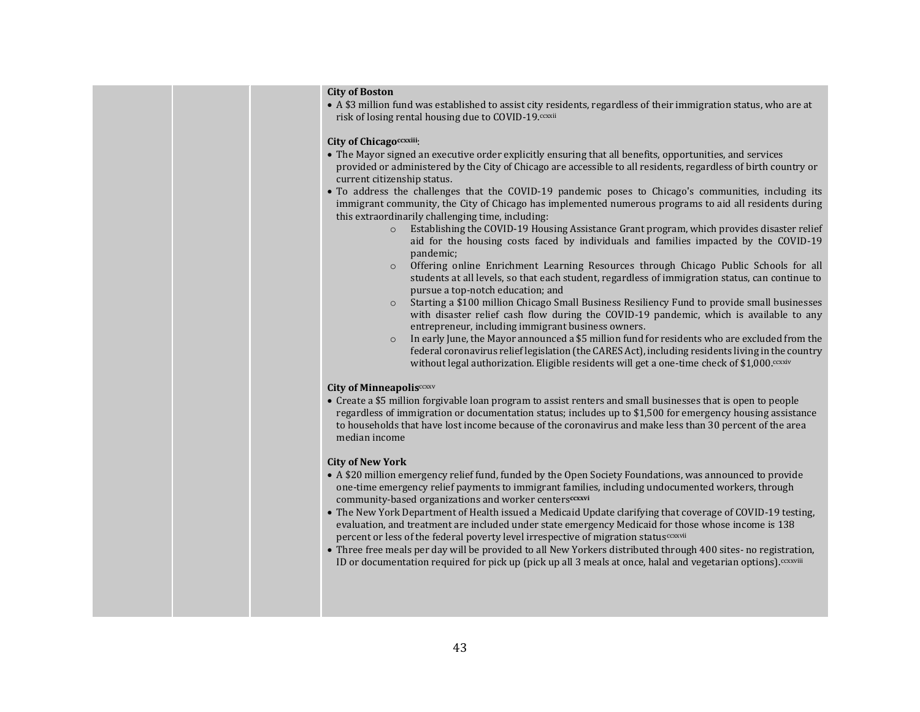### **City of Boston**

• A \$3 million fund was established to assist city residents, regardless of their immigration status, who are at risk of losing rental housing due to COVID-19.ccxxii

#### **City of Chicagoccxxiii**:

- The Mayor signed an executive order explicitly ensuring that all benefits, opportunities, and services provided or administered by the City of Chicago are accessible to all residents, regardless of birth country or current citizenship status.
- To address the challenges that the COVID-19 pandemic poses to Chicago's communities, including its immigrant community, the City of Chicago has implemented numerous programs to aid all residents during this extraordinarily challenging time, including:
	- o Establishing the COVID-19 Housing Assistance Grant program, which provides disaster relief aid for the housing costs faced by individuals and families impacted by the COVID-19 pandemic;
	- o Offering online Enrichment Learning Resources through Chicago Public Schools for all students at all levels, so that each student, regardless of immigration status, can continue to pursue a top-notch education; and
	- o Starting a \$100 million Chicago Small Business Resiliency Fund to provide small businesses with disaster relief cash flow during the COVID-19 pandemic, which is available to any entrepreneur, including immigrant business owners.
	- $\circ$  In early June, the Mayor announced a \$5 million fund for residents who are excluded from the federal coronavirus relief legislation (the CARES Act), including residents living in the country without legal authorization. Eligible residents will get a one-time check of  $$1,000$ .ccxxiv

#### **City of Minneapolis**ccxxv

• Create a \$5 million forgivable loan program to assist renters and small businesses that is open to people regardless of immigration or documentation status; includes up to \$1,500 for emergency housing assistance to households that have lost income because of the coronavirus and make less than 30 percent of the area median income

#### **City of New York**

- A \$20 million emergency relief fund, funded by the Open Society Foundations, was announced to provide one-time emergency relief payments to immigrant families, including undocumented workers, through community-based organizations and worker centers**ccxxvi**
- The New York Department of Health issued a [Medicaid Update](https://www.health.ny.gov/health_care/medicaid/program/update/2020/docs/2020-03-27_covid-19_reimbursement.pdf) clarifying that coverage of COVID-19 testing, evaluation, and treatment are included under state emergency Medicaid for those whose income is 138 percent or less of the federal poverty level irrespective of migration status<sup>ccxxvii</sup>
- Three free meals per day will be provided to all New Yorkers distributed through 400 sites- no registration, ID or documentation required for pick up (pick up all 3 meals at once, halal and vegetarian options).<sup>ccxxviii</sup>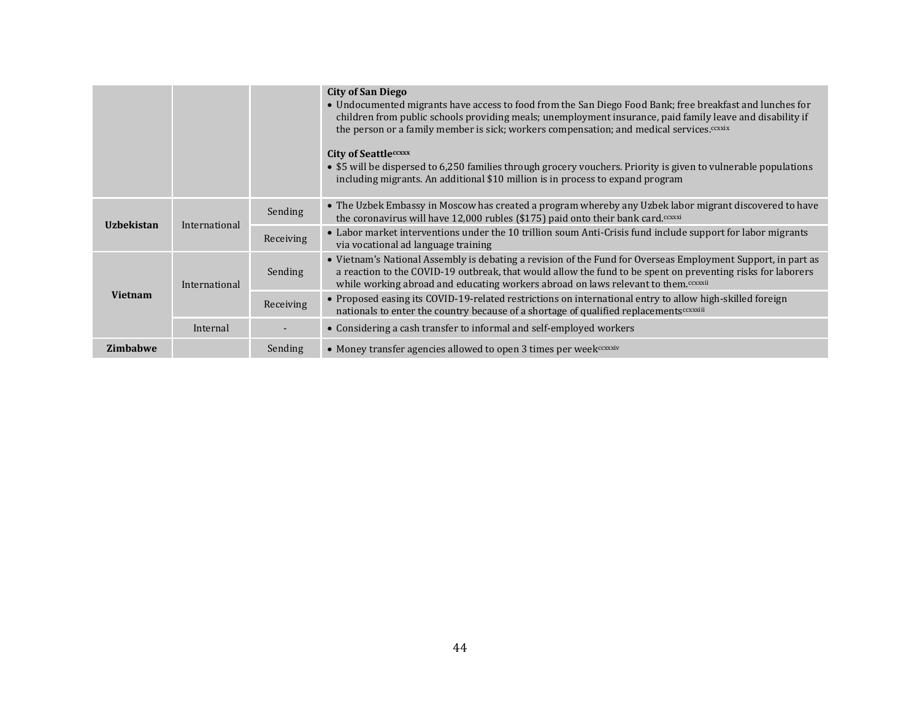|                   |               |           | <b>City of San Diego</b><br>• Undocumented migrants have access to food from the San Diego Food Bank; free breakfast and lunches for<br>children from public schools providing meals; unemployment insurance, paid family leave and disability if<br>the person or a family member is sick; workers compensation; and medical services. <sup>ccxxix</sup> |
|-------------------|---------------|-----------|-----------------------------------------------------------------------------------------------------------------------------------------------------------------------------------------------------------------------------------------------------------------------------------------------------------------------------------------------------------|
|                   |               |           | <b>City of Seattleccxxx</b><br>• \$5 will be dispersed to 6,250 families through grocery vouchers. Priority is given to vulnerable populations<br>including migrants. An additional \$10 million is in process to expand program                                                                                                                          |
| <b>Uzbekistan</b> | International | Sending   | • The Uzbek Embassy in Moscow has created a program whereby any Uzbek labor migrant discovered to have<br>the coronavirus will have $12,000$ rubles (\$175) paid onto their bank card. <sup>coxxi</sup>                                                                                                                                                   |
|                   |               | Receiving | • Labor market interventions under the 10 trillion soum Anti-Crisis fund include support for labor migrants<br>via vocational ad language training                                                                                                                                                                                                        |
| <b>Vietnam</b>    | International | Sending   | • Vietnam's National Assembly is debating a revision of the Fund for Overseas Employment Support, in part as<br>a reaction to the COVID-19 outbreak, that would allow the fund to be spent on preventing risks for laborers<br>while working abroad and educating workers abroad on laws relevant to them. <sup>ccxxxii</sup>                             |
|                   |               | Receiving | • Proposed easing its COVID-19-related restrictions on international entry to allow high-skilled foreign<br>nationals to enter the country because of a shortage of qualified replacements <sup>cexxiii</sup>                                                                                                                                             |
|                   | Internal      |           | • Considering a cash transfer to informal and self-employed workers                                                                                                                                                                                                                                                                                       |
| <b>Zimbabwe</b>   |               | Sending   | • Money transfer agencies allowed to open 3 times per week coxxxiv                                                                                                                                                                                                                                                                                        |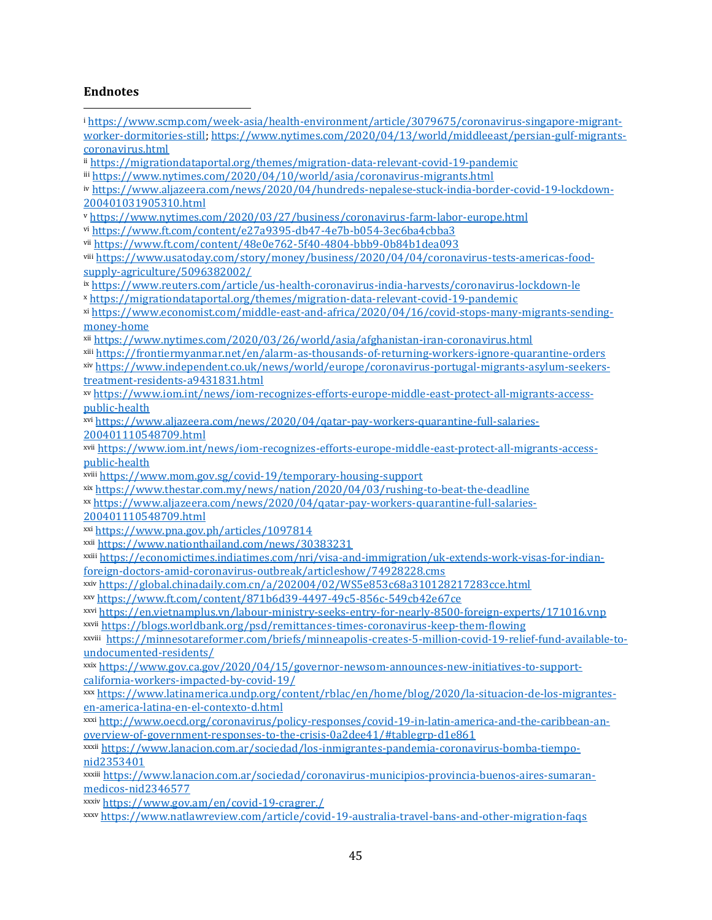# **Endnotes**

| <sup>i</sup> https://www.scmp.com/week-asia/health-environment/article/3079675/coronavirus-singapore-migrant-                    |
|----------------------------------------------------------------------------------------------------------------------------------|
| worker-dormitories-still; https://www.nytimes.com/2020/04/13/world/middleeast/persian-gulf-migrants-                             |
| coronavirus.html                                                                                                                 |
| ii https://migrationdataportal.org/themes/migration-data-relevant-covid-19-pandemic                                              |
| iii https://www.nytimes.com/2020/04/10/world/asia/coronavirus-migrants.html                                                      |
| iv https://www.aljazeera.com/news/2020/04/hundreds-nepalese-stuck-india-border-covid-19-lockdown-                                |
| 200401031905310.html                                                                                                             |
| v https://www.nytimes.com/2020/03/27/business/coronavirus-farm-labor-europe.html                                                 |
| vi https://www.ft.com/content/e27a9395-db47-4e7b-b054-3ec6ba4cbba3                                                               |
| vii https://www.ft.com/content/48e0e762-5f40-4804-bbb9-0b84b1dea093                                                              |
| viii https://www.usatoday.com/story/money/business/2020/04/04/coronavirus-tests-americas-food-<br>supply-agriculture/5096382002/ |
| ix https://www.reuters.com/article/us-health-coronavirus-india-harvests/coronavirus-lockdown-le                                  |
| x https://migrationdataportal.org/themes/migration-data-relevant-covid-19-pandemic                                               |
| xi https://www.economist.com/middle-east-and-africa/2020/04/16/covid-stops-many-migrants-sending-                                |
| money-home                                                                                                                       |
| xii https://www.nytimes.com/2020/03/26/world/asia/afghanistan-iran-coronavirus.html                                              |
| xiii https://frontiermyanmar.net/en/alarm-as-thousands-of-returning-workers-ignore-quarantine-orders                             |
| xiv https://www.independent.co.uk/news/world/europe/coronavirus-portugal-migrants-asylum-seekers-                                |
| treatment-residents-a9431831.html                                                                                                |
| xv https://www.iom.int/news/iom-recognizes-efforts-europe-middle-east-protect-all-migrants-access-                               |
| public-health                                                                                                                    |
| xvi https://www.aljazeera.com/news/2020/04/gatar-pay-workers-quarantine-full-salaries-                                           |
| 200401110548709.html                                                                                                             |
| xvii https://www.iom.int/news/iom-recognizes-efforts-europe-middle-east-protect-all-migrants-access-                             |
| public-health                                                                                                                    |
| xviii https://www.mom.gov.sg/covid-19/temporary-housing-support                                                                  |
| xix https://www.thestar.com.my/news/nation/2020/04/03/rushing-to-beat-the-deadline                                               |
| xx https://www.aljazeera.com/news/2020/04/gatar-pay-workers-quarantine-full-salaries-                                            |
| 200401110548709.html                                                                                                             |
| xxi https://www.pna.gov.ph/articles/1097814                                                                                      |
| xxii https://www.nationthailand.com/news/30383231                                                                                |
| xxiii https://economictimes.indiatimes.com/nri/visa-and-immigration/uk-extends-work-visas-for-indian-                            |
| foreign-doctors-amid-coronavirus-outbreak/articleshow/74928228.cms                                                               |
| xxiv https://global.chinadaily.com.cn/a/202004/02/WS5e853c68a310128217283cce.html                                                |
| xxv https://www.ft.com/content/871b6d39-4497-49c5-856c-549cb42e67ce                                                              |
| xxvi https://en.vietnamplus.vn/labour-ministry-seeks-entry-for-nearly-8500-foreign-experts/171016.vnp                            |
| xxvii https://blogs.worldbank.org/psd/remittances-times-coronavirus-keep-them-flowing                                            |
| xxviii https://minnesotareformer.com/briefs/minneapolis-creates-5-million-covid-19-relief-fund-available-to-                     |
| undocumented-residents/                                                                                                          |
| xxix https://www.gov.ca.gov/2020/04/15/governor-newsom-announces-new-initiatives-to-support-                                     |
| california-workers-impacted-by-covid-19/                                                                                         |
| xxx https://www.latinamerica.undp.org/content/rblac/en/home/blog/2020/la-situacion-de-los-migrantes-                             |
| en-america-latina-en-el-contexto-d.html                                                                                          |
| xxxi http://www.oecd.org/coronavirus/policy-responses/covid-19-in-latin-america-and-the-caribbean-an-                            |
| overview-of-government-responses-to-the-crisis-0a2dee41/#tablegrp-d1e861                                                         |
| xxxii https://www.lanacion.com.ar/sociedad/los-inmigrantes-pandemia-coronavirus-bomba-tiempo-                                    |
| nid2353401                                                                                                                       |
| xxxiii https://www.lanacion.com.ar/sociedad/coronavirus-municipios-provincia-buenos-aires-sumaran-                               |
| medicos-nid2346577                                                                                                               |
| xxxiv https://www.gov.am/en/covid-19-cragrer./                                                                                   |
| xxxv https://www.natlawreview.com/article/covid-19-australia-travel-bans-and-other-migration-faqs                                |
|                                                                                                                                  |
|                                                                                                                                  |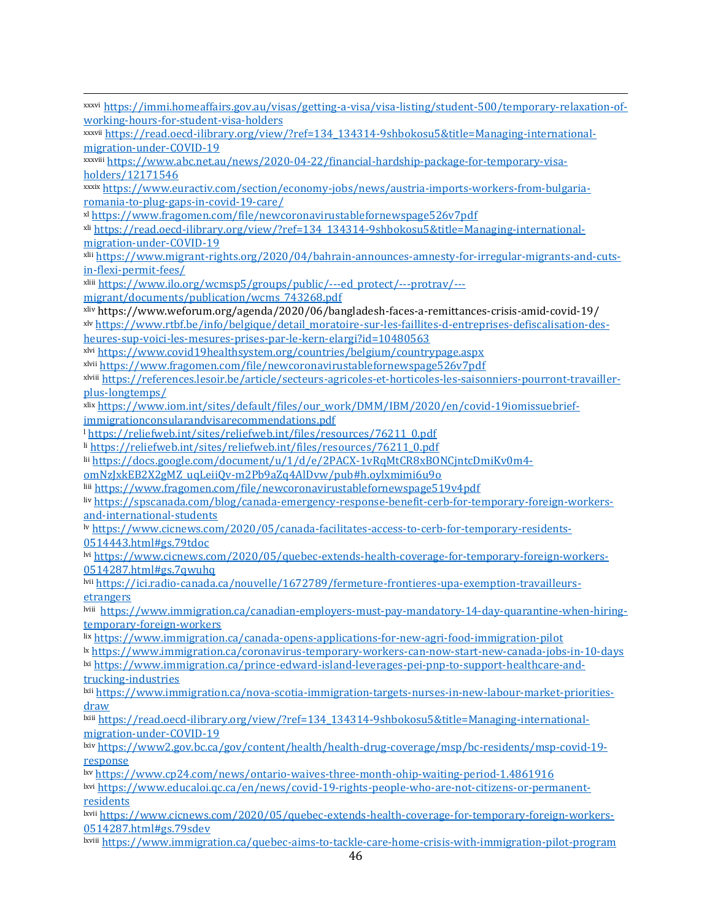| xxxvi https://immi.homeaffairs.gov.au/visas/getting-a-visa/visa-listing/student-500/temporary-relaxation-of-                 |
|------------------------------------------------------------------------------------------------------------------------------|
| working-hours-for-student-visa-holders                                                                                       |
| xxxvii https://read.oecd-ilibrary.org/view/?ref=134 134314-9shbokosu5&title=Managing-international-                          |
| migration-under-COVID-19                                                                                                     |
| xxxviii https://www.abc.net.au/news/2020-04-22/financial-hardship-package-for-temporary-visa-                                |
| holders/12171546                                                                                                             |
| xxxix https://www.euractiv.com/section/economy-jobs/news/austria-imports-workers-from-bulgaria-                              |
| romania-to-plug-gaps-in-covid-19-care/                                                                                       |
| xl https://www.fragomen.com/file/newcoronavirustablefornewspage526v7pdf                                                      |
| x <sup>ii</sup> https://read.oecd-ilibrary.org/view/?ref=134 134314-9shbokosu5&title=Managing-international-                 |
| migration-under-COVID-19                                                                                                     |
| xlii https://www.migrant-rights.org/2020/04/bahrain-announces-amnesty-for-irregular-migrants-and-cuts-                       |
| in-flexi-permit-fees/                                                                                                        |
| xliii https://www.ilo.org/wcmsp5/groups/public/---ed_protect/---protrav/---                                                  |
| migrant/documents/publication/wcms 743268.pdf                                                                                |
| /19/https://www.weforum.org/agenda/2020/06/bangladesh-faces-a-remittances-crisis-amid-covid-19                               |
| x <sup>1v</sup> https://www.rtbf.be/info/belgique/detail_moratoire-sur-les-faillites-d-entreprises-defiscalisation-des-      |
| heures-sup-voici-les-mesures-prises-par-le-kern-elargi?id=10480563                                                           |
| x <sup>1</sup> https://www.covid19healthsystem.org/countries/belgium/countrypage.aspx                                        |
| x <sup>1</sup> https://www.fragomen.com/file/newcoronavirustablefornewspage526v7pdf                                          |
| x <sup>viii</sup> https://references.lesoir.be/article/secteurs-agricoles-et-horticoles-les-saisonniers-pourront-travailler- |
| plus-longtemps/                                                                                                              |
| xlix https://www.iom.int/sites/default/files/our_work/DMM/IBM/2020/en/covid-19iomissuebrief-                                 |
| immigrationconsularandvisarecommendations.pdf                                                                                |
| <sup>1</sup> https://reliefweb.int/sites/reliefweb.int/files/resources/76211_0.pdf                                           |
| li https://reliefweb.int/sites/reliefweb.int/files/resources/76211_0.pdf                                                     |
| lii https://docs.google.com/document/u/1/d/e/2PACX-1vRqMtCR8xBONCjntcDmiKv0m4-                                               |
| omNzJxkEB2X2gMZ_uqLeiiQv-m2Pb9aZq4AlDvw/pub#h.oylxmimi6u9o                                                                   |
| liii https://www.fragomen.com/file/newcoronavirustablefornewspage519v4pdf                                                    |
| liv https://spscanada.com/blog/canada-emergency-response-benefit-cerb-for-temporary-foreign-workers-                         |
| and-international-students                                                                                                   |
| Iv https://www.cicnews.com/2020/05/canada-facilitates-access-to-cerb-for-temporary-residents-                                |
| 0514443.html#gs.79tdoc                                                                                                       |
| l <sup>vi</sup> https://www.cicnews.com/2020/05/quebec-extends-health-coverage-for-temporary-foreign-workers-                |
| 0514287.html#gs.7qwuhq                                                                                                       |
| lvii https://ici.radio-canada.ca/nouvelle/1672789/fermeture-frontieres-upa-exemption-travailleurs-                           |
| etrangers                                                                                                                    |
| l <sup>tiii</sup> https://www.immigration.ca/canadian-emplovers-must-pay-mandatory-14-day-quarantine-when-hiring-            |
| <u>temporary-foreign-workers</u>                                                                                             |
| lix https://www.immigration.ca/canada-opens-applications-for-new-agri-food-immigration-pilot                                 |
| lx https://www.immigration.ca/coronavirus-temporary-workers-can-now-start-new-canada-jobs-in-10-days                         |
| lxi https://www.immigration.ca/prince-edward-island-leverages-pei-pnp-to-support-healthcare-and-                             |
| trucking-industries                                                                                                          |
| lxii https://www.immigration.ca/nova-scotia-immigration-targets-nurses-in-new-labour-market-priorities-                      |
| draw                                                                                                                         |
| lxiii https://read.oecd-ilibrary.org/view/?ref=134_134314-9shbokosu5&title=Managing-international-                           |
| migration-under-COVID-19                                                                                                     |
| lxiv https://www2.gov.bc.ca/gov/content/health/health-drug-coverage/msp/bc-residents/msp-covid-19-                           |
| response                                                                                                                     |
| lxv https://www.cp24.com/news/ontario-waives-three-month-ohip-waiting-period-1.4861916                                       |
| ltrus://www.educaloi.gc.ca/en/news/covid-19-rights-people-who-are-not-citizens-or-permanent-                                 |
| <u>residents</u>                                                                                                             |
| lxvii https://www.cicnews.com/2020/05/quebec-extends-health-coverage-for-temporary-foreign-workers-                          |
| 0514287.html#gs.79sdev                                                                                                       |
| lxviii https://www.immigration.ca/quebec-aims-to-tackle-care-home-crisis-with-immigration-pilot-program                      |
|                                                                                                                              |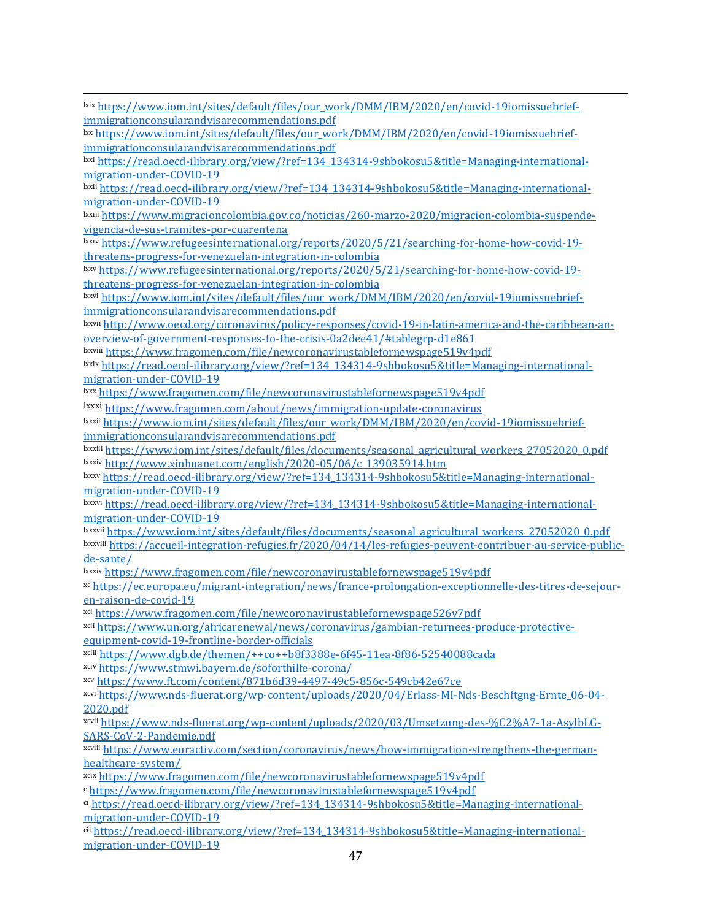lxix [https://www.iom.int/sites/default/files/our\\_work/DMM/IBM/2020/en/covid-19iomissuebrief](https://www.iom.int/sites/default/files/our_work/DMM/IBM/2020/en/covid-19iomissuebrief-immigrationconsularandvisarecommendations.pdf)[immigrationconsularandvisarecommendations.pdf](https://www.iom.int/sites/default/files/our_work/DMM/IBM/2020/en/covid-19iomissuebrief-immigrationconsularandvisarecommendations.pdf)

lxx [https://www.iom.int/sites/default/files/our\\_work/DMM/IBM/2020/en/covid-19iomissuebrief](https://www.iom.int/sites/default/files/our_work/DMM/IBM/2020/en/covid-19iomissuebrief-immigrationconsularandvisarecommendations.pdf)[immigrationconsularandvisarecommendations.pdf](https://www.iom.int/sites/default/files/our_work/DMM/IBM/2020/en/covid-19iomissuebrief-immigrationconsularandvisarecommendations.pdf)

lxxi [https://read.oecd-ilibrary.org/view/?ref=134\\_134314-9shbokosu5&title=Managing-international](https://read.oecd-ilibrary.org/view/?ref=134_134314-9shbokosu5&title=Managing-international-migration-under-COVID-19)[migration-under-COVID-19](https://read.oecd-ilibrary.org/view/?ref=134_134314-9shbokosu5&title=Managing-international-migration-under-COVID-19)

lxxii [https://read.oecd-ilibrary.org/view/?ref=134\\_134314-9shbokosu5&title=Managing-international](https://read.oecd-ilibrary.org/view/?ref=134_134314-9shbokosu5&title=Managing-international-migration-under-COVID-19)[migration-under-COVID-19](https://read.oecd-ilibrary.org/view/?ref=134_134314-9shbokosu5&title=Managing-international-migration-under-COVID-19)

lxxiii [https://www.migracioncolombia.gov.co/noticias/260-marzo-2020/migracion-colombia-suspende](https://www.migracioncolombia.gov.co/noticias/260-marzo-2020/migracion-colombia-suspende-vigencia-de-sus-tramites-por-cuarentena)[vigencia-de-sus-tramites-por-cuarentena](https://www.migracioncolombia.gov.co/noticias/260-marzo-2020/migracion-colombia-suspende-vigencia-de-sus-tramites-por-cuarentena)

lxxiv [https://www.refugeesinternational.org/reports/2020/5/21/searching-for-home-how-covid-19](https://www.refugeesinternational.org/reports/2020/5/21/searching-for-home-how-covid-19-threatens-progress-for-venezuelan-integration-in-colombia) [threatens-progress-for-venezuelan-integration-in-colombia](https://www.refugeesinternational.org/reports/2020/5/21/searching-for-home-how-covid-19-threatens-progress-for-venezuelan-integration-in-colombia)

lxxv [https://www.refugeesinternational.org/reports/2020/5/21/searching-for-home-how-covid-19](https://www.refugeesinternational.org/reports/2020/5/21/searching-for-home-how-covid-19-threatens-progress-for-venezuelan-integration-in-colombia) [threatens-progress-for-venezuelan-integration-in-colombia](https://www.refugeesinternational.org/reports/2020/5/21/searching-for-home-how-covid-19-threatens-progress-for-venezuelan-integration-in-colombia)

lxxvi [https://www.iom.int/sites/default/files/our\\_work/DMM/IBM/2020/en/covid-19iomissuebrief](https://www.iom.int/sites/default/files/our_work/DMM/IBM/2020/en/covid-19iomissuebrief-immigrationconsularandvisarecommendations.pdf)[immigrationconsularandvisarecommendations.pdf](https://www.iom.int/sites/default/files/our_work/DMM/IBM/2020/en/covid-19iomissuebrief-immigrationconsularandvisarecommendations.pdf)

lxxvii [http://www.oecd.org/coronavirus/policy-responses/covid-19-in-latin-america-and-the-caribbean-an](http://www.oecd.org/coronavirus/policy-responses/covid-19-in-latin-america-and-the-caribbean-an-overview-of-government-responses-to-the-crisis-0a2dee41/#tablegrp-d1e861)[overview-of-government-responses-to-the-crisis-0a2dee41/#tablegrp-d1e861](http://www.oecd.org/coronavirus/policy-responses/covid-19-in-latin-america-and-the-caribbean-an-overview-of-government-responses-to-the-crisis-0a2dee41/#tablegrp-d1e861)

lxxviii <https://www.fragomen.com/file/newcoronavirustablefornewspage519v4pdf>

lxxix [https://read.oecd-ilibrary.org/view/?ref=134\\_134314-9shbokosu5&title=Managing-international](https://read.oecd-ilibrary.org/view/?ref=134_134314-9shbokosu5&title=Managing-international-migration-under-COVID-19)[migration-under-COVID-19](https://read.oecd-ilibrary.org/view/?ref=134_134314-9shbokosu5&title=Managing-international-migration-under-COVID-19)

lxxx <https://www.fragomen.com/file/newcoronavirustablefornewspage519v4pdf>

lxxxi <https://www.fragomen.com/about/news/immigration-update-coronavirus>

lxxxii [https://www.iom.int/sites/default/files/our\\_work/DMM/IBM/2020/en/covid-19iomissuebrief](https://www.iom.int/sites/default/files/our_work/DMM/IBM/2020/en/covid-19iomissuebrief-immigrationconsularandvisarecommendations.pdf)[immigrationconsularandvisarecommendations.pdf](https://www.iom.int/sites/default/files/our_work/DMM/IBM/2020/en/covid-19iomissuebrief-immigrationconsularandvisarecommendations.pdf)

lxxxiii [https://www.iom.int/sites/default/files/documents/seasonal\\_agricultural\\_workers\\_27052020\\_0.pdf](https://www.iom.int/sites/default/files/documents/seasonal_agricultural_workers_27052020_0.pdf) lxxxiv [http://www.xinhuanet.com/english/2020-05/06/c\\_139035914.htm](http://www.xinhuanet.com/english/2020-05/06/c_139035914.htm)

lxxxv [https://read.oecd-ilibrary.org/view/?ref=134\\_134314-9shbokosu5&title=Managing-international](https://read.oecd-ilibrary.org/view/?ref=134_134314-9shbokosu5&title=Managing-international-migration-under-COVID-19)[migration-under-COVID-19](https://read.oecd-ilibrary.org/view/?ref=134_134314-9shbokosu5&title=Managing-international-migration-under-COVID-19)

lxxxvi [https://read.oecd-ilibrary.org/view/?ref=134\\_134314-9shbokosu5&title=Managing-international](https://read.oecd-ilibrary.org/view/?ref=134_134314-9shbokosu5&title=Managing-international-migration-under-COVID-19)[migration-under-COVID-19](https://read.oecd-ilibrary.org/view/?ref=134_134314-9shbokosu5&title=Managing-international-migration-under-COVID-19)

lxxxvii [https://www.iom.int/sites/default/files/documents/seasonal\\_agricultural\\_workers\\_27052020\\_0.pdf](https://www.iom.int/sites/default/files/documents/seasonal_agricultural_workers_27052020_0.pdf) lxxxviii [https://accueil-integration-refugies.fr/2020/04/14/les-refugies-peuvent-contribuer-au-service-public](https://accueil-integration-refugies.fr/2020/04/14/les-refugies-peuvent-contribuer-au-service-public-de-sante/)[de-sante/](https://accueil-integration-refugies.fr/2020/04/14/les-refugies-peuvent-contribuer-au-service-public-de-sante/)

lxxxix <https://www.fragomen.com/file/newcoronavirustablefornewspage519v4pdf>

xc [https://ec.europa.eu/migrant-integration/news/france-prolongation-exceptionnelle-des-titres-de-sejour](https://ec.europa.eu/migrant-integration/news/france-prolongation-exceptionnelle-des-titres-de-sejour-en-raison-de-covid-19)[en-raison-de-covid-19](https://ec.europa.eu/migrant-integration/news/france-prolongation-exceptionnelle-des-titres-de-sejour-en-raison-de-covid-19)

xci <https://www.fragomen.com/file/newcoronavirustablefornewspage526v7pdf>

xcii [https://www.un.org/africarenewal/news/coronavirus/gambian-returnees-produce-protective](https://www.un.org/africarenewal/news/coronavirus/gambian-returnees-produce-protective-equipment-covid-19-frontline-border-officials)[equipment-covid-19-frontline-border-officials](https://www.un.org/africarenewal/news/coronavirus/gambian-returnees-produce-protective-equipment-covid-19-frontline-border-officials)

xciii <https://www.dgb.de/themen/++co++b8f3388e-6f45-11ea-8f86-52540088cada>

xciv <https://www.stmwi.bayern.de/soforthilfe-corona/>

xcv <https://www.ft.com/content/871b6d39-4497-49c5-856c-549cb42e67ce>

xcvi [https://www.nds-fluerat.org/wp-content/uploads/2020/04/Erlass-MI-Nds-Beschftgng-Ernte\\_06-04-](https://www.nds-fluerat.org/wp-content/uploads/2020/04/Erlass-MI-Nds-Beschftgng-Ernte_06-04-2020.pdf) [2020.pdf](https://www.nds-fluerat.org/wp-content/uploads/2020/04/Erlass-MI-Nds-Beschftgng-Ernte_06-04-2020.pdf)

xcvii [https://www.nds-fluerat.org/wp-content/uploads/2020/03/Umsetzung-des-%C2%A7-1a-AsylbLG-](https://www.nds-fluerat.org/wp-content/uploads/2020/03/Umsetzung-des-%C2%A7-1a-AsylbLG-SARS-CoV-2-Pandemie.pdf)[SARS-CoV-2-Pandemie.pdf](https://www.nds-fluerat.org/wp-content/uploads/2020/03/Umsetzung-des-%C2%A7-1a-AsylbLG-SARS-CoV-2-Pandemie.pdf)

xcviii [https://www.euractiv.com/section/coronavirus/news/how-immigration-strengthens-the-german](https://www.euractiv.com/section/coronavirus/news/how-immigration-strengthens-the-german-healthcare-system/)[healthcare-system/](https://www.euractiv.com/section/coronavirus/news/how-immigration-strengthens-the-german-healthcare-system/)

xcix <https://www.fragomen.com/file/newcoronavirustablefornewspage519v4pdf>

<sup>c</sup> <https://www.fragomen.com/file/newcoronavirustablefornewspage519v4pdf>

ci [https://read.oecd-ilibrary.org/view/?ref=134\\_134314-9shbokosu5&title=Managing-international](https://read.oecd-ilibrary.org/view/?ref=134_134314-9shbokosu5&title=Managing-international-migration-under-COVID-19)[migration-under-COVID-19](https://read.oecd-ilibrary.org/view/?ref=134_134314-9shbokosu5&title=Managing-international-migration-under-COVID-19)

cii [https://read.oecd-ilibrary.org/view/?ref=134\\_134314-9shbokosu5&title=Managing-international](https://read.oecd-ilibrary.org/view/?ref=134_134314-9shbokosu5&title=Managing-international-migration-under-COVID-19)[migration-under-COVID-19](https://read.oecd-ilibrary.org/view/?ref=134_134314-9shbokosu5&title=Managing-international-migration-under-COVID-19)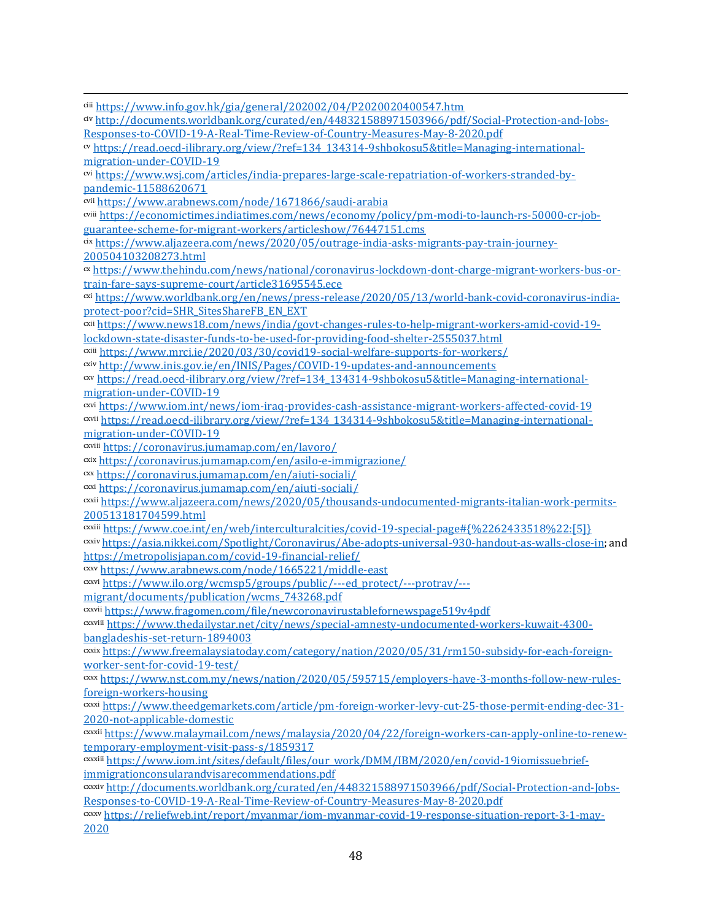ciii <https://www.info.gov.hk/gia/general/202002/04/P2020020400547.htm> civ [http://documents.worldbank.org/curated/en/448321588971503966/pdf/Social-Protection-and-Jobs-](http://documents.worldbank.org/curated/en/448321588971503966/pdf/Social-Protection-and-Jobs-Responses-to-COVID-19-A-Real-Time-Review-of-Country-Measures-May-8-2020.pdf)[Responses-to-COVID-19-A-Real-Time-Review-of-Country-Measures-May-8-2020.pdf](http://documents.worldbank.org/curated/en/448321588971503966/pdf/Social-Protection-and-Jobs-Responses-to-COVID-19-A-Real-Time-Review-of-Country-Measures-May-8-2020.pdf) cv [https://read.oecd-ilibrary.org/view/?ref=134\\_134314-9shbokosu5&title=Managing-international](https://read.oecd-ilibrary.org/view/?ref=134_134314-9shbokosu5&title=Managing-international-migration-under-COVID-19)[migration-under-COVID-19](https://read.oecd-ilibrary.org/view/?ref=134_134314-9shbokosu5&title=Managing-international-migration-under-COVID-19) cvi [https://www.wsj.com/articles/india-prepares-large-scale-repatriation-of-workers-stranded-by](https://www.wsj.com/articles/india-prepares-large-scale-repatriation-of-workers-stranded-by-pandemic-11588620671)[pandemic-11588620671](https://www.wsj.com/articles/india-prepares-large-scale-repatriation-of-workers-stranded-by-pandemic-11588620671) cvii <https://www.arabnews.com/node/1671866/saudi-arabia> cviii [https://economictimes.indiatimes.com/news/economy/policy/pm-modi-to-launch-rs-50000-cr-job](https://economictimes.indiatimes.com/news/economy/policy/pm-modi-to-launch-rs-50000-cr-job-guarantee-scheme-for-migrant-workers/articleshow/76447151.cms)[guarantee-scheme-for-migrant-workers/articleshow/76447151.cms](https://economictimes.indiatimes.com/news/economy/policy/pm-modi-to-launch-rs-50000-cr-job-guarantee-scheme-for-migrant-workers/articleshow/76447151.cms) cix [https://www.aljazeera.com/news/2020/05/outrage-india-asks-migrants-pay-train-journey-](https://www.aljazeera.com/news/2020/05/outrage-india-asks-migrants-pay-train-journey-200504103208273.html)[200504103208273.html](https://www.aljazeera.com/news/2020/05/outrage-india-asks-migrants-pay-train-journey-200504103208273.html) cx [https://www.thehindu.com/news/national/coronavirus-lockdown-dont-charge-migrant-workers-bus-or](https://www.thehindu.com/news/national/coronavirus-lockdown-dont-charge-migrant-workers-bus-or-train-fare-says-supreme-court/article31695545.ece)[train-fare-says-supreme-court/article31695545.ece](https://www.thehindu.com/news/national/coronavirus-lockdown-dont-charge-migrant-workers-bus-or-train-fare-says-supreme-court/article31695545.ece) cxi [https://www.worldbank.org/en/news/press-release/2020/05/13/world-bank-covid-coronavirus-india](https://www.worldbank.org/en/news/press-release/2020/05/13/world-bank-covid-coronavirus-india-protect-poor?cid=SHR_SitesShareFB_EN_EXT)[protect-poor?cid=SHR\\_SitesShareFB\\_EN\\_EXT](https://www.worldbank.org/en/news/press-release/2020/05/13/world-bank-covid-coronavirus-india-protect-poor?cid=SHR_SitesShareFB_EN_EXT) cxii [https://www.news18.com/news/india/govt-changes-rules-to-help-migrant-workers-amid-covid-19](https://www.news18.com/news/india/govt-changes-rules-to-help-migrant-workers-amid-covid-19-lockdown-state-disaster-funds-to-be-used-for-providing-food-shelter-2555037.html) [lockdown-state-disaster-funds-to-be-used-for-providing-food-shelter-2555037.html](https://www.news18.com/news/india/govt-changes-rules-to-help-migrant-workers-amid-covid-19-lockdown-state-disaster-funds-to-be-used-for-providing-food-shelter-2555037.html) cxiii <https://www.mrci.ie/2020/03/30/covid19-social-welfare-supports-for-workers/> cxiv <http://www.inis.gov.ie/en/INIS/Pages/COVID-19-updates-and-announcements> cxv [https://read.oecd-ilibrary.org/view/?ref=134\\_134314-9shbokosu5&title=Managing-international](https://read.oecd-ilibrary.org/view/?ref=134_134314-9shbokosu5&title=Managing-international-migration-under-COVID-19)[migration-under-COVID-19](https://read.oecd-ilibrary.org/view/?ref=134_134314-9shbokosu5&title=Managing-international-migration-under-COVID-19) cxvi <https://www.iom.int/news/iom-iraq-provides-cash-assistance-migrant-workers-affected-covid-19> cxvii [https://read.oecd-ilibrary.org/view/?ref=134\\_134314-9shbokosu5&title=Managing-international](https://read.oecd-ilibrary.org/view/?ref=134_134314-9shbokosu5&title=Managing-international-migration-under-COVID-19)[migration-under-COVID-19](https://read.oecd-ilibrary.org/view/?ref=134_134314-9shbokosu5&title=Managing-international-migration-under-COVID-19) cxviii <https://coronavirus.jumamap.com/en/lavoro/> cxix <https://coronavirus.jumamap.com/en/asilo-e-immigrazione/> cxx <https://coronavirus.jumamap.com/en/aiuti-sociali/> cxxi <https://coronavirus.jumamap.com/en/aiuti-sociali/> cxxii [https://www.aljazeera.com/news/2020/05/thousands-undocumented-migrants-italian-work-permits-](https://www.aljazeera.com/news/2020/05/thousands-undocumented-migrants-italian-work-permits-200513181704599.html)[200513181704599.html](https://www.aljazeera.com/news/2020/05/thousands-undocumented-migrants-italian-work-permits-200513181704599.html) cxxiii [https://www.coe.int/en/web/interculturalcities/covid-19-special-page#{%2262433518%22:\[5\]}](https://www.coe.int/en/web/interculturalcities/covid-19-special-page#{%2262433518%22:[5]}) cxxiv [https://asia.nikkei.com/Spotlight/Coronavirus/Abe-adopts-universal-930-handout-as-walls-close-in;](https://asia.nikkei.com/Spotlight/Coronavirus/Abe-adopts-universal-930-handout-as-walls-close-in) and <https://metropolisjapan.com/covid-19-financial-relief/> cxxv <https://www.arabnews.com/node/1665221/middle-east> cxxvi [https://www.ilo.org/wcmsp5/groups/public/---ed\\_protect/---protrav/--](https://www.ilo.org/wcmsp5/groups/public/---ed_protect/---protrav/---migrant/documents/publication/wcms_743268.pdf) [migrant/documents/publication/wcms\\_743268.pdf](https://www.ilo.org/wcmsp5/groups/public/---ed_protect/---protrav/---migrant/documents/publication/wcms_743268.pdf) cxxvii <https://www.fragomen.com/file/newcoronavirustablefornewspage519v4pdf> cxxviii [https://www.thedailystar.net/city/news/special-amnesty-undocumented-workers-kuwait-4300](https://www.thedailystar.net/city/news/special-amnesty-undocumented-workers-kuwait-4300-bangladeshis-set-return-1894003) [bangladeshis-set-return-1894003](https://www.thedailystar.net/city/news/special-amnesty-undocumented-workers-kuwait-4300-bangladeshis-set-return-1894003) cxxix [https://www.freemalaysiatoday.com/category/nation/2020/05/31/rm150-subsidy-for-each-foreign](https://www.freemalaysiatoday.com/category/nation/2020/05/31/rm150-subsidy-for-each-foreign-worker-sent-for-covid-19-test/)[worker-sent-for-covid-19-test/](https://www.freemalaysiatoday.com/category/nation/2020/05/31/rm150-subsidy-for-each-foreign-worker-sent-for-covid-19-test/) cxxx [https://www.nst.com.my/news/nation/2020/05/595715/employers-have-3-months-follow-new-rules](https://www.nst.com.my/news/nation/2020/05/595715/employers-have-3-months-follow-new-rules-foreign-workers-housing)[foreign-workers-housing](https://www.nst.com.my/news/nation/2020/05/595715/employers-have-3-months-follow-new-rules-foreign-workers-housing) cxxxi [https://www.theedgemarkets.com/article/pm-foreign-worker-levy-cut-25-those-permit-ending-dec-31-](https://www.theedgemarkets.com/article/pm-foreign-worker-levy-cut-25-those-permit-ending-dec-31-2020-not-applicable-domestic) [2020-not-applicable-domestic](https://www.theedgemarkets.com/article/pm-foreign-worker-levy-cut-25-those-permit-ending-dec-31-2020-not-applicable-domestic) cxxxii [https://www.malaymail.com/news/malaysia/2020/04/22/foreign-workers-can-apply-online-to-renew](https://www.malaymail.com/news/malaysia/2020/04/22/foreign-workers-can-apply-online-to-renew-temporary-employment-visit-pass-s/1859317)[temporary-employment-visit-pass-s/1859317](https://www.malaymail.com/news/malaysia/2020/04/22/foreign-workers-can-apply-online-to-renew-temporary-employment-visit-pass-s/1859317) cxxxiii [https://www.iom.int/sites/default/files/our\\_work/DMM/IBM/2020/en/covid-19iomissuebrief](https://www.iom.int/sites/default/files/our_work/DMM/IBM/2020/en/covid-19iomissuebrief-immigrationconsularandvisarecommendations.pdf)[immigrationconsularandvisarecommendations.pdf](https://www.iom.int/sites/default/files/our_work/DMM/IBM/2020/en/covid-19iomissuebrief-immigrationconsularandvisarecommendations.pdf) cxxxiv [http://documents.worldbank.org/curated/en/448321588971503966/pdf/Social-Protection-and-Jobs-](http://documents.worldbank.org/curated/en/448321588971503966/pdf/Social-Protection-and-Jobs-Responses-to-COVID-19-A-Real-Time-Review-of-Country-Measures-May-8-2020.pdf)[Responses-to-COVID-19-A-Real-Time-Review-of-Country-Measures-May-8-2020.pdf](http://documents.worldbank.org/curated/en/448321588971503966/pdf/Social-Protection-and-Jobs-Responses-to-COVID-19-A-Real-Time-Review-of-Country-Measures-May-8-2020.pdf) cxxxv [https://reliefweb.int/report/myanmar/iom-myanmar-covid-19-response-situation-report-3-1-may-](https://reliefweb.int/report/myanmar/iom-myanmar-covid-19-response-situation-report-3-1-may-2020)[2020](https://reliefweb.int/report/myanmar/iom-myanmar-covid-19-response-situation-report-3-1-may-2020)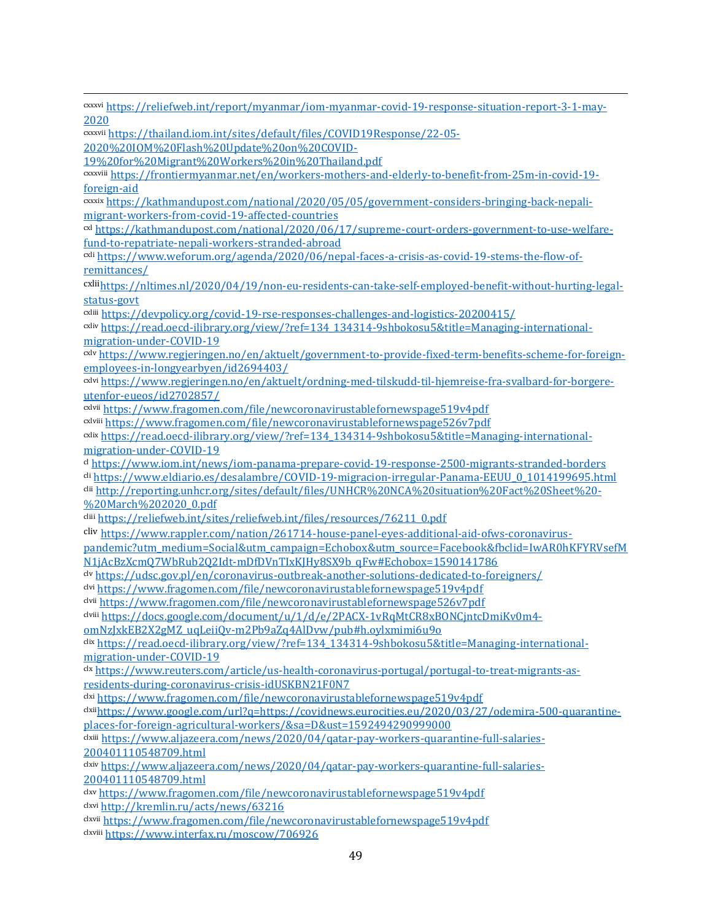cxxxvi [https://reliefweb.int/report/myanmar/iom-myanmar-covid-19-response-situation-report-3-1-may-](https://reliefweb.int/report/myanmar/iom-myanmar-covid-19-response-situation-report-3-1-may-2020)[2020](https://reliefweb.int/report/myanmar/iom-myanmar-covid-19-response-situation-report-3-1-may-2020) cxxxvii [https://thailand.iom.int/sites/default/files/COVID19Response/22-05-](https://thailand.iom.int/sites/default/files/COVID19Response/22-05-2020%20IOM%20Flash%20Update%20on%20COVID-19%20for%20Migrant%20Workers%20in%20Thailand.pdf) [2020%20IOM%20Flash%20Update%20on%20COVID-](https://thailand.iom.int/sites/default/files/COVID19Response/22-05-2020%20IOM%20Flash%20Update%20on%20COVID-19%20for%20Migrant%20Workers%20in%20Thailand.pdf)[19%20for%20Migrant%20Workers%20in%20Thailand.pdf](https://thailand.iom.int/sites/default/files/COVID19Response/22-05-2020%20IOM%20Flash%20Update%20on%20COVID-19%20for%20Migrant%20Workers%20in%20Thailand.pdf) cxxxviii [https://frontiermyanmar.net/en/workers-mothers-and-elderly-to-benefit-from-25m-in-covid-19](https://frontiermyanmar.net/en/workers-mothers-and-elderly-to-benefit-from-25m-in-covid-19-foreign-aid) [foreign-aid](https://frontiermyanmar.net/en/workers-mothers-and-elderly-to-benefit-from-25m-in-covid-19-foreign-aid) cxxxix [https://kathmandupost.com/national/2020/05/05/government-considers-bringing-back-nepali](https://kathmandupost.com/national/2020/05/05/government-considers-bringing-back-nepali-migrant-workers-from-covid-19-affected-countries)[migrant-workers-from-covid-19-affected-countries](https://kathmandupost.com/national/2020/05/05/government-considers-bringing-back-nepali-migrant-workers-from-covid-19-affected-countries) cxl [https://kathmandupost.com/national/2020/06/17/supreme-court-orders-government-to-use-welfare](https://kathmandupost.com/national/2020/06/17/supreme-court-orders-government-to-use-welfare-fund-to-repatriate-nepali-workers-stranded-abroad)[fund-to-repatriate-nepali-workers-stranded-abroad](https://kathmandupost.com/national/2020/06/17/supreme-court-orders-government-to-use-welfare-fund-to-repatriate-nepali-workers-stranded-abroad) cxli [https://www.weforum.org/agenda/2020/06/nepal-faces-a-crisis-as-covid-19-stems-the-flow-of](https://www.weforum.org/agenda/2020/06/nepal-faces-a-crisis-as-covid-19-stems-the-flow-of-remittances/)[remittances/](https://www.weforum.org/agenda/2020/06/nepal-faces-a-crisis-as-covid-19-stems-the-flow-of-remittances/) cxlii[https://nltimes.nl/2020/04/19/non-eu-residents-can-take-self-employed-benefit-without-hurting-legal](https://nltimes.nl/2020/04/19/non-eu-residents-can-take-self-employed-benefit-without-hurting-legal-status-govt)[status-govt](https://nltimes.nl/2020/04/19/non-eu-residents-can-take-self-employed-benefit-without-hurting-legal-status-govt) cxliii <https://devpolicy.org/covid-19-rse-responses-challenges-and-logistics-20200415/> cxliv [https://read.oecd-ilibrary.org/view/?ref=134\\_134314-9shbokosu5&title=Managing-international](https://read.oecd-ilibrary.org/view/?ref=134_134314-9shbokosu5&title=Managing-international-migration-under-COVID-19)[migration-under-COVID-19](https://read.oecd-ilibrary.org/view/?ref=134_134314-9shbokosu5&title=Managing-international-migration-under-COVID-19) cxlv [https://www.regjeringen.no/en/aktuelt/government-to-provide-fixed-term-benefits-scheme-for-foreign](https://www.regjeringen.no/en/aktuelt/government-to-provide-fixed-term-benefits-scheme-for-foreign-employees-in-longyearbyen/id2694403/)[employees-in-longyearbyen/id2694403/](https://www.regjeringen.no/en/aktuelt/government-to-provide-fixed-term-benefits-scheme-for-foreign-employees-in-longyearbyen/id2694403/) cxlvi [https://www.regjeringen.no/en/aktuelt/ordning-med-tilskudd-til-hjemreise-fra-svalbard-for-borgere](https://www.regjeringen.no/en/aktuelt/ordning-med-tilskudd-til-hjemreise-fra-svalbard-for-borgere-utenfor-eueos/id2702857/)[utenfor-eueos/id2702857/](https://www.regjeringen.no/en/aktuelt/ordning-med-tilskudd-til-hjemreise-fra-svalbard-for-borgere-utenfor-eueos/id2702857/) cxlvii <https://www.fragomen.com/file/newcoronavirustablefornewspage519v4pdf> cxlviii <https://www.fragomen.com/file/newcoronavirustablefornewspage526v7pdf> cxlix [https://read.oecd-ilibrary.org/view/?ref=134\\_134314-9shbokosu5&title=Managing-international](https://read.oecd-ilibrary.org/view/?ref=134_134314-9shbokosu5&title=Managing-international-migration-under-COVID-19)[migration-under-COVID-19](https://read.oecd-ilibrary.org/view/?ref=134_134314-9shbokosu5&title=Managing-international-migration-under-COVID-19) cl <https://www.iom.int/news/iom-panama-prepare-covid-19-response-2500-migrants-stranded-borders> cli [https://www.eldiario.es/desalambre/COVID-19-migracion-irregular-Panama-EEUU\\_0\\_1014199695.html](https://www.eldiario.es/desalambre/COVID-19-migracion-irregular-Panama-EEUU_0_1014199695.html) clii [http://reporting.unhcr.org/sites/default/files/UNHCR%20NCA%20situation%20Fact%20Sheet%20-](http://reporting.unhcr.org/sites/default/files/UNHCR%20NCA%20situation%20Fact%20Sheet%20-%20March%202020_0.pdf) [%20March%202020\\_0.pdf](http://reporting.unhcr.org/sites/default/files/UNHCR%20NCA%20situation%20Fact%20Sheet%20-%20March%202020_0.pdf) cliii [https://reliefweb.int/sites/reliefweb.int/files/resources/76211\\_0.pdf](https://reliefweb.int/sites/reliefweb.int/files/resources/76211_0.pdf) cliv [https://www.rappler.com/nation/261714-house-panel-eyes-additional-aid-ofws-coronavirus](https://www.rappler.com/nation/261714-house-panel-eyes-additional-aid-ofws-coronavirus-pandemic?utm_medium=Social&utm_campaign=Echobox&utm_source=Facebook&fbclid=IwAR0hKFYRVsefMN1jAcBzXcmQ7WbRub2Q2Idt-mDfDVnTIxKJHy8SX9b_qFw#Echobox=1590141786)[pandemic?utm\\_medium=Social&utm\\_campaign=Echobox&utm\\_source=Facebook&fbclid=IwAR0hKFYRVsefM](https://www.rappler.com/nation/261714-house-panel-eyes-additional-aid-ofws-coronavirus-pandemic?utm_medium=Social&utm_campaign=Echobox&utm_source=Facebook&fbclid=IwAR0hKFYRVsefMN1jAcBzXcmQ7WbRub2Q2Idt-mDfDVnTIxKJHy8SX9b_qFw#Echobox=1590141786) [N1jAcBzXcmQ7WbRub2Q2Idt-mDfDVnTIxKJHy8SX9b\\_qFw#Echobox=1590141786](https://www.rappler.com/nation/261714-house-panel-eyes-additional-aid-ofws-coronavirus-pandemic?utm_medium=Social&utm_campaign=Echobox&utm_source=Facebook&fbclid=IwAR0hKFYRVsefMN1jAcBzXcmQ7WbRub2Q2Idt-mDfDVnTIxKJHy8SX9b_qFw#Echobox=1590141786) clv <https://udsc.gov.pl/en/coronavirus-outbreak-another-solutions-dedicated-to-foreigners/> clvi <https://www.fragomen.com/file/newcoronavirustablefornewspage519v4pdf> clvii <https://www.fragomen.com/file/newcoronavirustablefornewspage526v7pdf> clviii [https://docs.google.com/document/u/1/d/e/2PACX-1vRqMtCR8xBONCjntcDmiKv0m4](https://docs.google.com/document/u/1/d/e/2PACX-1vRqMtCR8xBONCjntcDmiKv0m4-omNzJxkEB2X2gMZ_uqLeiiQv-m2Pb9aZq4AlDvw/pub#h.oylxmimi6u9o) [omNzJxkEB2X2gMZ\\_uqLeiiQv-m2Pb9aZq4AlDvw/pub#h.oylxmimi6u9o](https://docs.google.com/document/u/1/d/e/2PACX-1vRqMtCR8xBONCjntcDmiKv0m4-omNzJxkEB2X2gMZ_uqLeiiQv-m2Pb9aZq4AlDvw/pub#h.oylxmimi6u9o) clix [https://read.oecd-ilibrary.org/view/?ref=134\\_134314-9shbokosu5&title=Managing-international](https://read.oecd-ilibrary.org/view/?ref=134_134314-9shbokosu5&title=Managing-international-migration-under-COVID-19)[migration-under-COVID-19](https://read.oecd-ilibrary.org/view/?ref=134_134314-9shbokosu5&title=Managing-international-migration-under-COVID-19) clx [https://www.reuters.com/article/us-health-coronavirus-portugal/portugal-to-treat-migrants-as](https://www.reuters.com/article/us-health-coronavirus-portugal/portugal-to-treat-migrants-as-residents-during-coronavirus-crisis-idUSKBN21F0N7)[residents-during-coronavirus-crisis-idUSKBN21F0N7](https://www.reuters.com/article/us-health-coronavirus-portugal/portugal-to-treat-migrants-as-residents-during-coronavirus-crisis-idUSKBN21F0N7) clxi <https://www.fragomen.com/file/newcoronavirustablefornewspage519v4pdf> clxii[https://www.google.com/url?q=https://covidnews.eurocities.eu/2020/03/27/odemira-500-quarantine](https://www.google.com/url?q=https://covidnews.eurocities.eu/2020/03/27/odemira-500-quarantine-places-for-foreign-agricultural-workers/&sa=D&ust=1592494290999000)[places-for-foreign-agricultural-workers/&sa=D&ust=1592494290999000](https://www.google.com/url?q=https://covidnews.eurocities.eu/2020/03/27/odemira-500-quarantine-places-for-foreign-agricultural-workers/&sa=D&ust=1592494290999000) clxiii [https://www.aljazeera.com/news/2020/04/qatar-pay-workers-quarantine-full-salaries-](https://www.aljazeera.com/news/2020/04/qatar-pay-workers-quarantine-full-salaries-200401110548709.html)[200401110548709.html](https://www.aljazeera.com/news/2020/04/qatar-pay-workers-quarantine-full-salaries-200401110548709.html) clxiv [https://www.aljazeera.com/news/2020/04/qatar-pay-workers-quarantine-full-salaries-](https://www.aljazeera.com/news/2020/04/qatar-pay-workers-quarantine-full-salaries-200401110548709.html)[200401110548709.html](https://www.aljazeera.com/news/2020/04/qatar-pay-workers-quarantine-full-salaries-200401110548709.html) clxv <https://www.fragomen.com/file/newcoronavirustablefornewspage519v4pdf> clxvi <http://kremlin.ru/acts/news/63216> clxvii <https://www.fragomen.com/file/newcoronavirustablefornewspage519v4pdf> clxviii <https://www.interfax.ru/moscow/706926>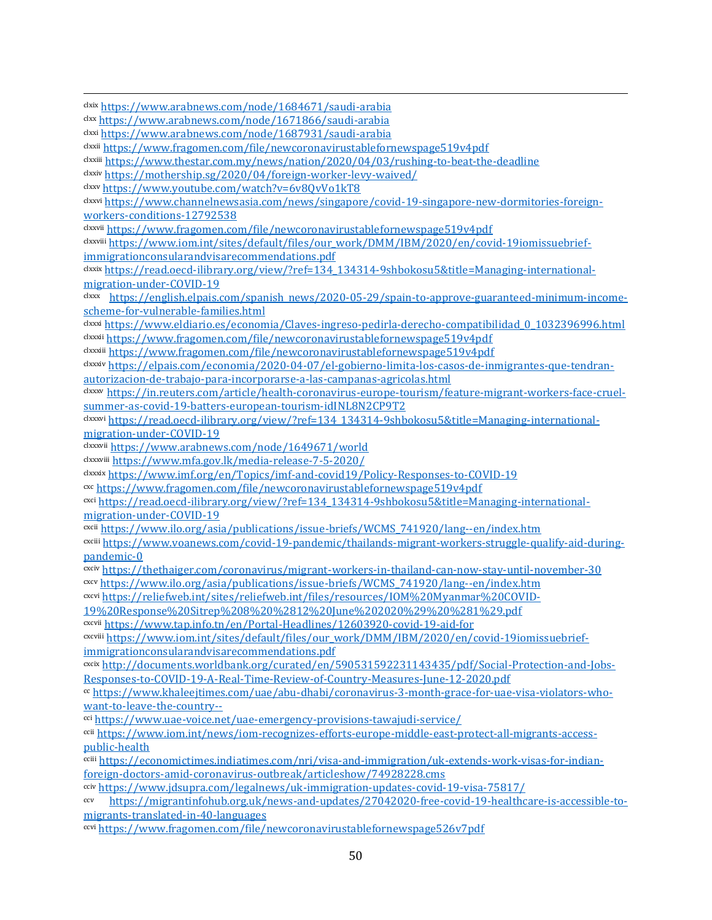clxix <https://www.arabnews.com/node/1684671/saudi-arabia>

clxx <https://www.arabnews.com/node/1671866/saudi-arabia>

clxxi <https://www.arabnews.com/node/1687931/saudi-arabia>

clxxii <https://www.fragomen.com/file/newcoronavirustablefornewspage519v4pdf>

clxxiii <https://www.thestar.com.my/news/nation/2020/04/03/rushing-to-beat-the-deadline>

clxxiv <https://mothership.sg/2020/04/foreign-worker-levy-waived/>

clxxv <https://www.youtube.com/watch?v=6v8QvVo1kT8>

clxxvi [https://www.channelnewsasia.com/news/singapore/covid-19-singapore-new-dormitories-foreign](https://www.channelnewsasia.com/news/singapore/covid-19-singapore-new-dormitories-foreign-workers-conditions-12792538)[workers-conditions-12792538](https://www.channelnewsasia.com/news/singapore/covid-19-singapore-new-dormitories-foreign-workers-conditions-12792538)

clxxvii <https://www.fragomen.com/file/newcoronavirustablefornewspage519v4pdf>

clxxviii [https://www.iom.int/sites/default/files/our\\_work/DMM/IBM/2020/en/covid-19iomissuebrief](https://www.iom.int/sites/default/files/our_work/DMM/IBM/2020/en/covid-19iomissuebrief-immigrationconsularandvisarecommendations.pdf)[immigrationconsularandvisarecommendations.pdf](https://www.iom.int/sites/default/files/our_work/DMM/IBM/2020/en/covid-19iomissuebrief-immigrationconsularandvisarecommendations.pdf)

clxxix [https://read.oecd-ilibrary.org/view/?ref=134\\_134314-9shbokosu5&title=Managing-international](https://read.oecd-ilibrary.org/view/?ref=134_134314-9shbokosu5&title=Managing-international-migration-under-COVID-19)[migration-under-COVID-19](https://read.oecd-ilibrary.org/view/?ref=134_134314-9shbokosu5&title=Managing-international-migration-under-COVID-19)

clxxx [https://english.elpais.com/spanish\\_news/2020-05-29/spain-to-approve-guaranteed-minimum-income](https://english.elpais.com/spanish_news/2020-05-29/spain-to-approve-guaranteed-minimum-income-scheme-for-vulnerable-families.html)[scheme-for-vulnerable-families.html](https://english.elpais.com/spanish_news/2020-05-29/spain-to-approve-guaranteed-minimum-income-scheme-for-vulnerable-families.html)

clxxxi [https://www.eldiario.es/economia/Claves-ingreso-pedirla-derecho-compatibilidad\\_0\\_1032396996.html](https://www.eldiario.es/economia/Claves-ingreso-pedirla-derecho-compatibilidad_0_1032396996.html) clxxxii <https://www.fragomen.com/file/newcoronavirustablefornewspage519v4pdf>

clxxxiii <https://www.fragomen.com/file/newcoronavirustablefornewspage519v4pdf>

clxxxiv [https://elpais.com/economia/2020-04-07/el-gobierno-limita-los-casos-de-inmigrantes-que-tendran](https://elpais.com/economia/2020-04-07/el-gobierno-limita-los-casos-de-inmigrantes-que-tendran-autorizacion-de-trabajo-para-incorporarse-a-las-campanas-agricolas.html)[autorizacion-de-trabajo-para-incorporarse-a-las-campanas-agricolas.html](https://elpais.com/economia/2020-04-07/el-gobierno-limita-los-casos-de-inmigrantes-que-tendran-autorizacion-de-trabajo-para-incorporarse-a-las-campanas-agricolas.html)

clxxxv [https://in.reuters.com/article/health-coronavirus-europe-tourism/feature-migrant-workers-face-cruel](https://in.reuters.com/article/health-coronavirus-europe-tourism/feature-migrant-workers-face-cruel-summer-as-covid-19-batters-european-tourism-idINL8N2CP9T2)[summer-as-covid-19-batters-european-tourism-idINL8N2CP9T2](https://in.reuters.com/article/health-coronavirus-europe-tourism/feature-migrant-workers-face-cruel-summer-as-covid-19-batters-european-tourism-idINL8N2CP9T2)

clxxxvi [https://read.oecd-ilibrary.org/view/?ref=134\\_134314-9shbokosu5&title=Managing-international](https://read.oecd-ilibrary.org/view/?ref=134_134314-9shbokosu5&title=Managing-international-migration-under-COVID-19)[migration-under-COVID-19](https://read.oecd-ilibrary.org/view/?ref=134_134314-9shbokosu5&title=Managing-international-migration-under-COVID-19)

clxxxvii <https://www.arabnews.com/node/1649671/world>

clxxxviii <https://www.mfa.gov.lk/media-release-7-5-2020/>

clxxxix <https://www.imf.org/en/Topics/imf-and-covid19/Policy-Responses-to-COVID-19>

cxc <https://www.fragomen.com/file/newcoronavirustablefornewspage519v4pdf>

cxci [https://read.oecd-ilibrary.org/view/?ref=134\\_134314-9shbokosu5&title=Managing-international](https://read.oecd-ilibrary.org/view/?ref=134_134314-9shbokosu5&title=Managing-international-migration-under-COVID-19)[migration-under-COVID-19](https://read.oecd-ilibrary.org/view/?ref=134_134314-9shbokosu5&title=Managing-international-migration-under-COVID-19)

cxcii [https://www.ilo.org/asia/publications/issue-briefs/WCMS\\_741920/lang--en/index.htm](https://www.ilo.org/asia/publications/issue-briefs/WCMS_741920/lang--en/index.htm)

cxciii [https://www.voanews.com/covid-19-pandemic/thailands-migrant-workers-struggle-qualify-aid-during](https://www.voanews.com/covid-19-pandemic/thailands-migrant-workers-struggle-qualify-aid-during-pandemic-0)[pandemic-0](https://www.voanews.com/covid-19-pandemic/thailands-migrant-workers-struggle-qualify-aid-during-pandemic-0)

cxciv <https://thethaiger.com/coronavirus/migrant-workers-in-thailand-can-now-stay-until-november-30>

cxcv [https://www.ilo.org/asia/publications/issue-briefs/WCMS\\_741920/lang--en/index.htm](https://www.ilo.org/asia/publications/issue-briefs/WCMS_741920/lang--en/index.htm)

cxcvi [https://reliefweb.int/sites/reliefweb.int/files/resources/IOM%20Myanmar%20COVID-](https://reliefweb.int/sites/reliefweb.int/files/resources/IOM%20Myanmar%20COVID-19%20Response%20Sitrep%208%20%2812%20June%202020%29%20%281%29.pdf)

[19%20Response%20Sitrep%208%20%2812%20June%202020%29%20%281%29.pdf](https://reliefweb.int/sites/reliefweb.int/files/resources/IOM%20Myanmar%20COVID-19%20Response%20Sitrep%208%20%2812%20June%202020%29%20%281%29.pdf)

cxcvii <https://www.tap.info.tn/en/Portal-Headlines/12603920-covid-19-aid-for>

cxcviii [https://www.iom.int/sites/default/files/our\\_work/DMM/IBM/2020/en/covid-19iomissuebrief](https://www.iom.int/sites/default/files/our_work/DMM/IBM/2020/en/covid-19iomissuebrief-immigrationconsularandvisarecommendations.pdf)[immigrationconsularandvisarecommendations.pdf](https://www.iom.int/sites/default/files/our_work/DMM/IBM/2020/en/covid-19iomissuebrief-immigrationconsularandvisarecommendations.pdf)

cxcix [http://documents.worldbank.org/curated/en/590531592231143435/pdf/Social-Protection-and-Jobs-](http://documents.worldbank.org/curated/en/590531592231143435/pdf/Social-Protection-and-Jobs-Responses-to-COVID-19-A-Real-Time-Review-of-Country-Measures-June-12-2020.pdf)[Responses-to-COVID-19-A-Real-Time-Review-of-Country-Measures-June-12-2020.pdf](http://documents.worldbank.org/curated/en/590531592231143435/pdf/Social-Protection-and-Jobs-Responses-to-COVID-19-A-Real-Time-Review-of-Country-Measures-June-12-2020.pdf)

cc [https://www.khaleejtimes.com/uae/abu-dhabi/coronavirus-3-month-grace-for-uae-visa-violators-who](https://www.khaleejtimes.com/uae/abu-dhabi/coronavirus-3-month-grace-for-uae-visa-violators-who-want-to-leave-the-country--)[want-to-leave-the-country--](https://www.khaleejtimes.com/uae/abu-dhabi/coronavirus-3-month-grace-for-uae-visa-violators-who-want-to-leave-the-country--)

cci <https://www.uae-voice.net/uae-emergency-provisions-tawajudi-service/>

ccii [https://www.iom.int/news/iom-recognizes-efforts-europe-middle-east-protect-all-migrants-access](https://www.iom.int/news/iom-recognizes-efforts-europe-middle-east-protect-all-migrants-access-public-health)[public-health](https://www.iom.int/news/iom-recognizes-efforts-europe-middle-east-protect-all-migrants-access-public-health)

cciii [https://economictimes.indiatimes.com/nri/visa-and-immigration/uk-extends-work-visas-for-indian](https://economictimes.indiatimes.com/nri/visa-and-immigration/uk-extends-work-visas-for-indian-foreign-doctors-amid-coronavirus-outbreak/articleshow/74928228.cms)[foreign-doctors-amid-coronavirus-outbreak/articleshow/74928228.cms](https://economictimes.indiatimes.com/nri/visa-and-immigration/uk-extends-work-visas-for-indian-foreign-doctors-amid-coronavirus-outbreak/articleshow/74928228.cms)

cciv <https://www.jdsupra.com/legalnews/uk-immigration-updates-covid-19-visa-75817/>

ccv [https://migrantinfohub.org.uk/news-and-updates/27042020-free-covid-19-healthcare-is-accessible-to](https://migrantinfohub.org.uk/news-and-updates/27042020-free-covid-19-healthcare-is-accessible-to-migrants-translated-in-40-languages)[migrants-translated-in-40-languages](https://migrantinfohub.org.uk/news-and-updates/27042020-free-covid-19-healthcare-is-accessible-to-migrants-translated-in-40-languages)

ccvi <https://www.fragomen.com/file/newcoronavirustablefornewspage526v7pdf>